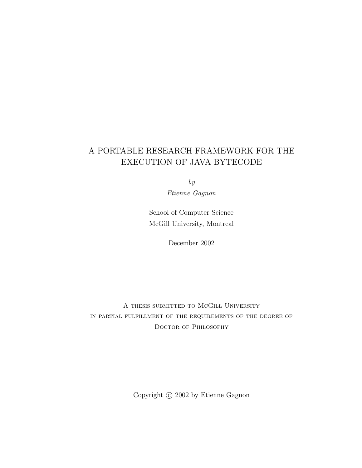## A PORTABLE RESEARCH FRAMEWORK FOR THE EXECUTION OF JAVA BYTECODE

by

Etienne Gagnon

School of Computer Science McGill University, Montreal

December 2002

A thesis submitted to McGill University in partial fulfillment of the requirements of the degree of DOCTOR OF PHILOSOPHY

Copyright  $\odot$  2002 by Etienne Gagnon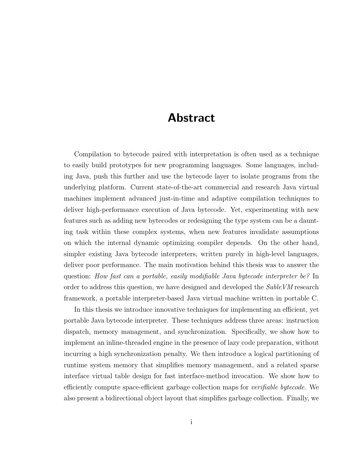## Abstract

Compilation to bytecode paired with interpretation is often used as a technique to easily build prototypes for new programming languages. Some languages, including Java, push this further and use the bytecode layer to isolate programs from the underlying platform. Current state-of-the-art commercial and research Java virtual machines implement advanced just-in-time and adaptive compilation techniques to deliver high-performance execution of Java bytecode. Yet, experimenting with new features such as adding new bytecodes or redesigning the type system can be a daunting task within these complex systems, when new features invalidate assumptions on which the internal dynamic optimizing compiler depends. On the other hand, simpler existing Java bytecode interpreters, written purely in high-level languages, deliver poor performance. The main motivation behind this thesis was to answer the question: How fast can a portable, easily modifiable Java bytecode interpreter be? In order to address this question, we have designed and developed the SableVM research framework, a portable interpreter-based Java virtual machine written in portable C.

In this thesis we introduce innovative techniques for implementing an efficient, yet portable Java bytecode interpreter. These techniques address three areas: instruction dispatch, memory management, and synchronization. Specifically, we show how to implement an inline-threaded engine in the presence of lazy code preparation, without incurring a high synchronization penalty. We then introduce a logical partitioning of runtime system memory that simplifies memory management, and a related sparse interface virtual table design for fast interface-method invocation. We show how to efficiently compute space-efficient garbage collection maps for *verifiable bytecode*. We also present a bidirectional object layout that simplifies garbage collection. Finally, we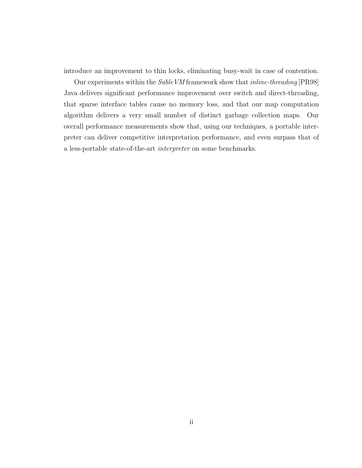introduce an improvement to thin locks, eliminating busy-wait in case of contention.

Our experiments within the SableVM framework show that inline-threading [PR98] Java delivers significant performance improvement over switch and direct-threading, that sparse interface tables cause no memory loss, and that our map computation algorithm delivers a very small number of distinct garbage collection maps. Our overall performance measurements show that, using our techniques, a portable interpreter can deliver competitive interpretation performance, and even surpass that of a less-portable state-of-the-art interpreter on some benchmarks.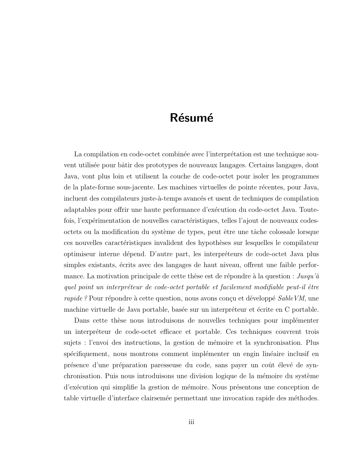## Résumé

La compilation en code-octet combinée avec l'interprétation est une technique souvent utilisée pour bâtir des prototypes de nouveaux langages. Certains langages, dont Java, vont plus loin et utilisent la couche de code-octet pour isoler les programmes de la plate-forme sous-jacente. Les machines virtuelles de pointe récentes, pour Java, incluent des compilateurs juste-à-temps avancés et usent de techniques de compilation adaptables pour offrir une haute performance d'exécution du code-octet Java. Toutefois, l'expérimentation de nouvelles caractéristiques, telles l'ajout de nouveaux codesoctets ou la modification du système de types, peut être une tâche colossale lorsque ces nouvelles caractéristiques invalident des hypothèses sur lesquelles le compilateur optimiseur interne dépend. D'autre part, les interpréteurs de code-octet Java plus simples existants, écrits avec des langages de haut niveau, offrent une faible performance. La motivation principale de cette thèse est de répondre à la question :  $Jusqu'd$ quel point un interpréteur de code-octet portable et facilement modifiable peut-il être rapide ? Pour répondre à cette question, nous avons conçu et développé SableVM, une machine virtuelle de Java portable, basée sur un interpréteur et écrite en C portable.

Dans cette thèse nous introduisons de nouvelles techniques pour implémenter un interpr´eteur de code-octet efficace et portable. Ces techniques couvrent trois sujets : l'envoi des instructions, la gestion de mémoire et la synchronisation. Plus spécifiquement, nous montrons comment implémenter un engin linéaire inclusif en présence d'une préparation paresseuse du code, sans payer un coût élevé de synchronisation. Puis nous introduisons une division logique de la mémoire du système d'exécution qui simplifie la gestion de mémoire. Nous présentons une conception de table virtuelle d'interface clairsemée permettant une invocation rapide des méthodes.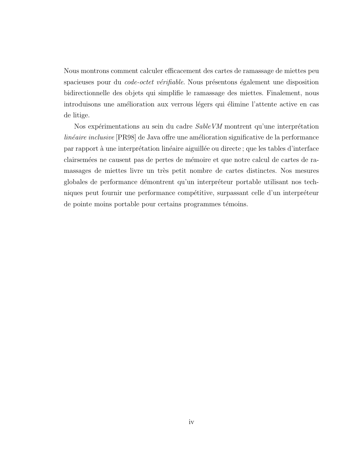Nous montrons comment calculer efficacement des cartes de ramassage de miettes peu spacieuses pour du *code-octet vérifiable*. Nous présentons également une disposition bidirectionnelle des objets qui simplifie le ramassage des miettes. Finalement, nous introduisons une amélioration aux verrous légers qui élimine l'attente active en cas de litige.

Nos expérimentations au sein du cadre  $SableVM$  montrent qu'une interprétation  $linéaire inclusive [PR98]$  de Java offre une amélioration significative de la performance par rapport à une interprétation linéaire aiguillée ou directe ; que les tables d'interface clairsemées ne causent pas de pertes de mémoire et que notre calcul de cartes de ramassages de miettes livre un très petit nombre de cartes distinctes. Nos mesures globales de performance démontrent qu'un interpréteur portable utilisant nos techniques peut fournir une performance compétitive, surpassant celle d'un interpréteur de pointe moins portable pour certains programmes témoins.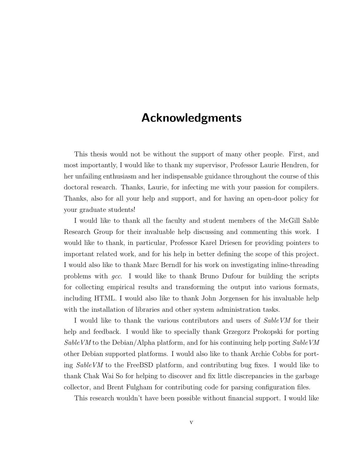## Acknowledgments

This thesis would not be without the support of many other people. First, and most importantly, I would like to thank my supervisor, Professor Laurie Hendren, for her unfailing enthusiasm and her indispensable guidance throughout the course of this doctoral research. Thanks, Laurie, for infecting me with your passion for compilers. Thanks, also for all your help and support, and for having an open-door policy for your graduate students!

I would like to thank all the faculty and student members of the McGill Sable Research Group for their invaluable help discussing and commenting this work. I would like to thank, in particular, Professor Karel Driesen for providing pointers to important related work, and for his help in better defining the scope of this project. I would also like to thank Marc Berndl for his work on investigating inline-threading problems with gcc. I would like to thank Bruno Dufour for building the scripts for collecting empirical results and transforming the output into various formats, including HTML. I would also like to thank John Jorgensen for his invaluable help with the installation of libraries and other system administration tasks.

I would like to thank the various contributors and users of SableVM for their help and feedback. I would like to specially thank Grzegorz Prokopski for porting SableVM to the Debian/Alpha platform, and for his continuing help porting SableVM other Debian supported platforms. I would also like to thank Archie Cobbs for porting SableVM to the FreeBSD platform, and contributing bug fixes. I would like to thank Chak Wai So for helping to discover and fix little discrepancies in the garbage collector, and Brent Fulgham for contributing code for parsing configuration files.

This research wouldn't have been possible without financial support. I would like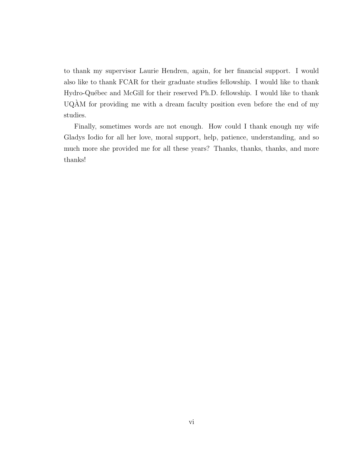to thank my supervisor Laurie Hendren, again, for her financial support. I would also like to thank FCAR for their graduate studies fellowship. I would like to thank Hydro-Québec and McGill for their reserved Ph.D. fellowship. I would like to thank  $UQAM$  for providing me with a dream faculty position even before the end of my studies.

Finally, sometimes words are not enough. How could I thank enough my wife Gladys Iodio for all her love, moral support, help, patience, understanding, and so much more she provided me for all these years? Thanks, thanks, thanks, and more thanks!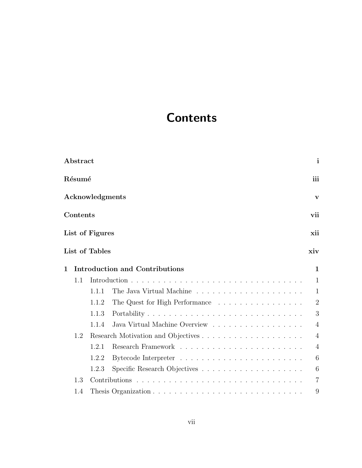# Contents

|              | Abstract |                 |                                       | $\mathbf{i}$   |
|--------------|----------|-----------------|---------------------------------------|----------------|
|              | Résumé   |                 |                                       | iii            |
|              |          | Acknowledgments |                                       | V              |
|              | Contents |                 |                                       | vii            |
|              |          | List of Figures |                                       | xii            |
|              |          | List of Tables  |                                       | xiv            |
| $\mathbf{1}$ |          |                 | <b>Introduction and Contributions</b> | 1              |
|              | 1.1      |                 |                                       | 1              |
|              |          | 1.1.1           |                                       | $\mathbf{1}$   |
|              |          | 1.1.2           | The Quest for High Performance        | $\overline{2}$ |
|              |          | 1.1.3           |                                       | 3              |
|              |          | 1.1.4           | Java Virtual Machine Overview         | $\overline{4}$ |
|              | 1.2      |                 |                                       | 4              |
|              |          | 1.2.1           |                                       | $\overline{4}$ |
|              |          | 1.2.2           |                                       | 6              |
|              |          | 1.2.3           |                                       | 6              |
|              | 1.3      |                 |                                       | 7              |
|              | 1.4      |                 |                                       | 9              |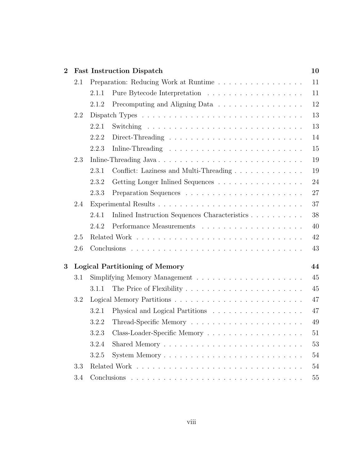| $\overline{2}$ |     | <b>Fast Instruction Dispatch</b>                                                           | 10     |
|----------------|-----|--------------------------------------------------------------------------------------------|--------|
|                | 2.1 | Preparation: Reducing Work at Runtime                                                      | 11     |
|                |     | 2.1.1                                                                                      | 11     |
|                |     | Precomputing and Aligning Data<br>2.1.2                                                    | 12     |
|                | 2.2 |                                                                                            | 13     |
|                |     | 2.2.1                                                                                      | 13     |
|                |     | 2.2.2<br>Direct-Threading $\ldots \ldots \ldots \ldots \ldots \ldots \ldots \ldots \ldots$ | 14     |
|                |     | 2.2.3                                                                                      | 15     |
|                | 2.3 | Inline-Threading Java                                                                      | 19     |
|                |     | Conflict: Laziness and Multi-Threading<br>2.3.1                                            | 19     |
|                |     | 2.3.2<br>Getting Longer Inlined Sequences                                                  | 24     |
|                |     | 2.3.3                                                                                      | 27     |
|                | 2.4 |                                                                                            | 37     |
|                |     | Inlined Instruction Sequences Characteristics<br>2.4.1                                     | 38     |
|                |     | 2.4.2                                                                                      | 40     |
|                | 2.5 |                                                                                            | 42     |
|                | 2.6 |                                                                                            | 43     |
| 3              |     | <b>Logical Partitioning of Memory</b>                                                      | 44     |
|                | 3.1 |                                                                                            | 45     |
|                |     | 3.1.1                                                                                      | 45     |
|                | 3.2 |                                                                                            | 47     |
|                |     | 3.2.1<br>Physical and Logical Partitions                                                   | 47     |
|                |     | 3.2.2                                                                                      | 49     |
|                |     |                                                                                            | $51\,$ |
|                |     | 3.2.4                                                                                      | 53     |
|                |     | 3.2.5                                                                                      | 54     |
|                | 3.3 |                                                                                            | 54     |
|                | 3.4 |                                                                                            | 55     |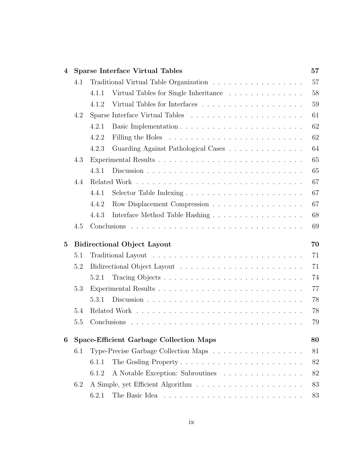| $\boldsymbol{4}$ |     |       | <b>Sparse Interface Virtual Tables</b>         | 57 |
|------------------|-----|-------|------------------------------------------------|----|
|                  | 4.1 |       |                                                | 57 |
|                  |     | 4.1.1 | Virtual Tables for Single Inheritance          | 58 |
|                  |     | 4.1.2 |                                                | 59 |
|                  | 4.2 |       |                                                | 61 |
|                  |     | 4.2.1 |                                                | 62 |
|                  |     | 4.2.2 |                                                | 62 |
|                  |     | 4.2.3 | Guarding Against Pathological Cases            | 64 |
|                  | 4.3 |       |                                                | 65 |
|                  |     | 4.3.1 |                                                | 65 |
|                  | 4.4 |       |                                                | 67 |
|                  |     | 4.4.1 |                                                | 67 |
|                  |     | 4.4.2 | Row Displacement Compression                   | 67 |
|                  |     | 4.4.3 |                                                | 68 |
|                  | 4.5 |       |                                                | 69 |
| $\bf{5}$         |     |       | <b>Bidirectional Object Layout</b>             | 70 |
|                  | 5.1 |       |                                                | 71 |
|                  | 5.2 |       |                                                | 71 |
|                  |     | 5.2.1 |                                                | 74 |
|                  | 5.3 |       |                                                | 77 |
|                  |     | 5.3.1 |                                                | 78 |
|                  | 5.4 |       |                                                | 78 |
|                  | 5.5 |       |                                                | 79 |
|                  |     |       |                                                |    |
| 6                |     |       | <b>Space-Efficient Garbage Collection Maps</b> | 80 |
|                  | 6.1 |       | Type-Precise Garbage Collection Maps           | 81 |
|                  |     | 6.1.1 | The Gosling Property                           | 82 |
|                  |     | 6.1.2 | A Notable Exception: Subroutines               | 82 |
|                  | 6.2 |       |                                                | 83 |
|                  |     | 6.2.1 |                                                | 83 |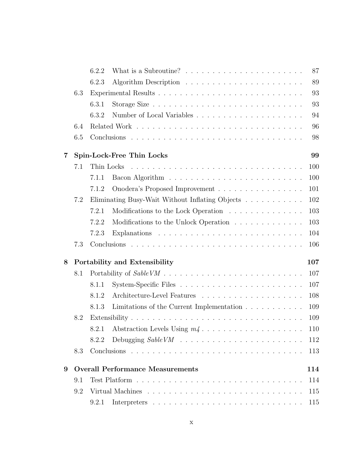|   |     | 6.2.2      | What is a Subroutine? $\ldots \ldots \ldots \ldots \ldots \ldots \ldots$ | 87  |
|---|-----|------------|--------------------------------------------------------------------------|-----|
|   |     | 6.2.3      |                                                                          | 89  |
|   | 6.3 |            |                                                                          | 93  |
|   |     | 6.3.1      |                                                                          | 93  |
|   |     | 6.3.2      |                                                                          | 94  |
|   | 6.4 |            |                                                                          | 96  |
|   | 6.5 |            |                                                                          | 98  |
| 7 |     |            | Spin-Lock-Free Thin Locks                                                | 99  |
|   | 7.1 | Thin Locks |                                                                          | 100 |
|   |     | 7.1.1      |                                                                          | 100 |
|   |     | 7.1.2      | Onodera's Proposed Improvement                                           | 101 |
|   | 7.2 |            | Eliminating Busy-Wait Without Inflating Objects                          | 102 |
|   |     | 7.2.1      | Modifications to the Lock Operation                                      | 103 |
|   |     | 7.2.2      | Modifications to the Unlock Operation                                    | 103 |
|   |     | 7.2.3      |                                                                          | 104 |
|   | 7.3 |            |                                                                          | 106 |
| 8 |     |            | Portability and Extensibility                                            | 107 |
|   | 8.1 |            |                                                                          | 107 |
|   |     | 8.1.1      |                                                                          | 107 |
|   |     | 8.1.2      |                                                                          | 108 |
|   |     | 8.1.3      | Limitations of the Current Implementation $\ldots \ldots \ldots$         | 109 |
|   | 8.2 |            |                                                                          | 109 |
|   |     | 8.2.1      |                                                                          | 110 |
|   |     | 8.2.2      |                                                                          | 112 |
|   | 8.3 |            |                                                                          | 113 |
| 9 |     |            | <b>Overall Performance Measurements</b>                                  | 114 |
|   | 9.1 |            |                                                                          | 114 |
|   | 9.2 |            |                                                                          | 115 |
|   |     | 9.2.1      |                                                                          | 115 |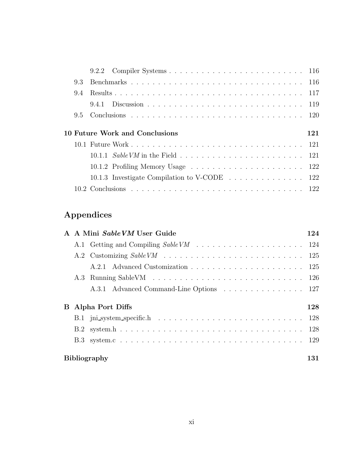| 93 |                                |     |
|----|--------------------------------|-----|
| 94 |                                |     |
|    |                                |     |
|    |                                |     |
|    |                                |     |
|    |                                |     |
|    | 10 Future Work and Conclusions | 121 |
|    |                                |     |
|    |                                |     |
|    |                                |     |
|    |                                |     |

## Appendices

|                           | A A Mini Sable VM User Guide            | 124 |  |
|---------------------------|-----------------------------------------|-----|--|
|                           |                                         |     |  |
|                           |                                         |     |  |
|                           |                                         |     |  |
|                           |                                         |     |  |
|                           | A.3.1 Advanced Command-Line Options 127 |     |  |
| <b>B</b> Alpha Port Diffs |                                         |     |  |
|                           |                                         |     |  |
|                           |                                         |     |  |
|                           |                                         |     |  |
|                           | <b>Bibliography</b>                     | 131 |  |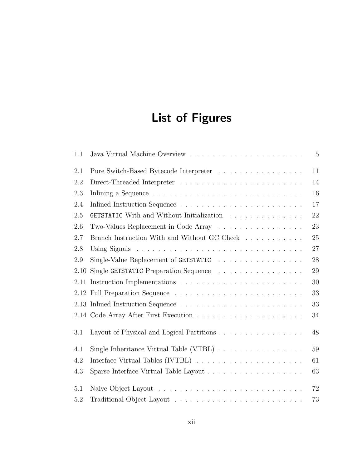# List of Figures

| 1.1  |                                                                                     | $\overline{5}$ |
|------|-------------------------------------------------------------------------------------|----------------|
| 2.1  | Pure Switch-Based Bytecode Interpreter                                              | 11             |
| 2.2  |                                                                                     | 14             |
| 2.3  |                                                                                     | 16             |
| 2.4  |                                                                                     | 17             |
| 2.5  | <b>GETSTATIC</b> With and Without Initialization                                    | 22             |
| 2.6  | Two-Values Replacement in Code Array                                                | 23             |
| 2.7  | Branch Instruction With and Without GC Check $\ldots \ldots \ldots$                 | 25             |
| 2.8  |                                                                                     | 27             |
| 2.9  | Single-Value Replacement of GETSTATIC                                               | 28             |
| 2.10 | Single GETSTATIC Preparation Sequence                                               | 29             |
| 2.11 |                                                                                     | 30             |
|      |                                                                                     | 33             |
|      |                                                                                     | 33             |
|      |                                                                                     | 34             |
| 3.1  | Layout of Physical and Logical Partitions                                           | 48             |
| 4.1  | Single Inheritance Virtual Table (VTBL) $\ldots \ldots \ldots \ldots \ldots$        | 59             |
| 4.2  | Interface Virtual Tables (IVTBL) $\ldots \ldots \ldots \ldots \ldots \ldots \ldots$ | 61             |
| 4.3  |                                                                                     | 63             |
| 5.1  |                                                                                     | 72             |
| 5.2  |                                                                                     | 73             |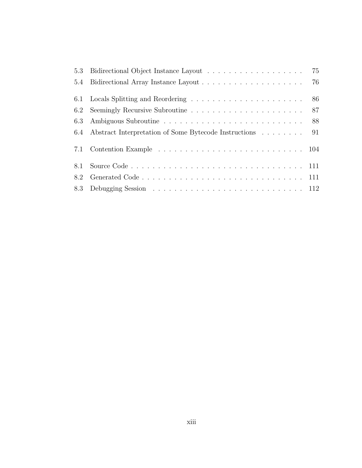| 6.3 |                                                              |  |
|-----|--------------------------------------------------------------|--|
|     | 6.4 Abstract Interpretation of Some Bytecode Instructions 91 |  |
|     |                                                              |  |
| 8.1 |                                                              |  |
| 8.2 |                                                              |  |
|     |                                                              |  |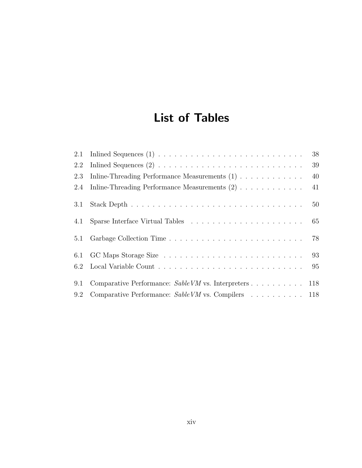# List of Tables

|     |                                                                                              | 38 |
|-----|----------------------------------------------------------------------------------------------|----|
| 2.2 |                                                                                              | 39 |
| 2.3 | Inline-Threading Performance Measurements $(1)$                                              | 40 |
|     | 2.4 Inline-Threading Performance Measurements (2)                                            | 41 |
| 3.1 |                                                                                              | 50 |
| 4.1 | Sparse Interface Virtual Tables $\ldots \ldots \ldots \ldots \ldots \ldots \ldots \ldots$ 65 |    |
| 5.1 |                                                                                              | 78 |
| 6.1 |                                                                                              |    |
|     |                                                                                              |    |
| 9.1 | Comparative Performance: $SableVM$ vs. Interpreters 118                                      |    |
|     | 9.2 Comparative Performance: Sable VM vs. Compilers 118                                      |    |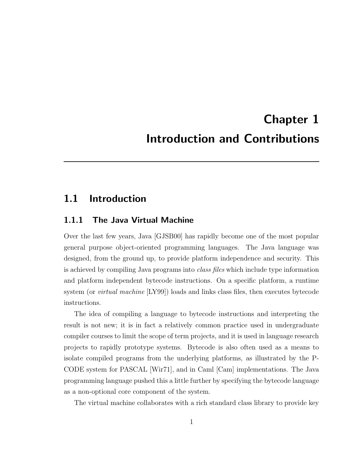# Chapter 1 Introduction and Contributions

### 1.1 Introduction

### 1.1.1 The Java Virtual Machine

Over the last few years, Java [GJSB00] has rapidly become one of the most popular general purpose object-oriented programming languages. The Java language was designed, from the ground up, to provide platform independence and security. This is achieved by compiling Java programs into *class files* which include type information and platform independent bytecode instructions. On a specific platform, a runtime system (or virtual machine [LY99]) loads and links class files, then executes bytecode instructions.

The idea of compiling a language to bytecode instructions and interpreting the result is not new; it is in fact a relatively common practice used in undergraduate compiler courses to limit the scope of term projects, and it is used in language research projects to rapidly prototype systems. Bytecode is also often used as a means to isolate compiled programs from the underlying platforms, as illustrated by the P-CODE system for PASCAL [Wir71], and in Caml [Cam] implementations. The Java programming language pushed this a little further by specifying the bytecode language as a non-optional core component of the system.

The virtual machine collaborates with a rich standard class library to provide key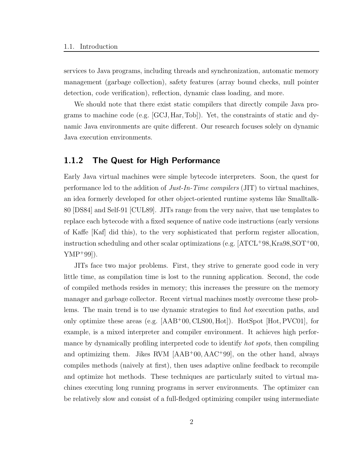services to Java programs, including threads and synchronization, automatic memory management (garbage collection), safety features (array bound checks, null pointer detection, code verification), reflection, dynamic class loading, and more.

We should note that there exist static compilers that directly compile Java programs to machine code (e.g. [GCJ,Har, Tob]). Yet, the constraints of static and dynamic Java environments are quite different. Our research focuses solely on dynamic Java execution environments.

### 1.1.2 The Quest for High Performance

Early Java virtual machines were simple bytecode interpreters. Soon, the quest for performance led to the addition of Just-In-Time compilers (JIT) to virtual machines, an idea formerly developed for other object-oriented runtime systems like Smalltalk-80 [DS84] and Self-91 [CUL89]. JITs range from the very naive, that use templates to replace each bytecode with a fixed sequence of native code instructions (early versions of Kaffe [Kaf] did this), to the very sophisticated that perform register allocation, instruction scheduling and other scalar optimizations (e.g.  $[ATCL+98,Kra98,SOT+00,$  $YMP+99$ ]).

JITs face two major problems. First, they strive to generate good code in very little time, as compilation time is lost to the running application. Second, the code of compiled methods resides in memory; this increases the pressure on the memory manager and garbage collector. Recent virtual machines mostly overcome these problems. The main trend is to use dynamic strategies to find hot execution paths, and only optimize these areas (e.g. [AAB<sup>+</sup>00, CLS00, Hot]). HotSpot [Hot, PVC01], for example, is a mixed interpreter and compiler environment. It achieves high performance by dynamically profiling interpreted code to identify *hot spots*, then compiling and optimizing them. Jikes RVM [AAB<sup>+</sup>00, AAC<sup>+</sup>99], on the other hand, always compiles methods (naively at first), then uses adaptive online feedback to recompile and optimize hot methods. These techniques are particularly suited to virtual machines executing long running programs in server environments. The optimizer can be relatively slow and consist of a full-fledged optimizing compiler using intermediate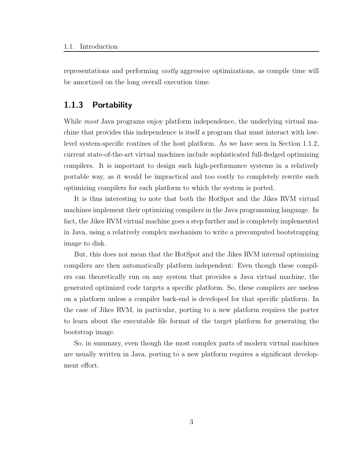representations and performing costly aggressive optimizations, as compile time will be amortized on the long overall execution time.

### 1.1.3 Portability

While *most* Java programs enjoy platform independence, the underlying virtual machine that provides this independence is itself a program that must interact with lowlevel system-specific routines of the host platform. As we have seen in Section 1.1.2, current state-of-the-art virtual machines include sophisticated full-fledged optimizing compilers. It is important to design such high-performance systems in a relatively portable way, as it would be impractical and too costly to completely rewrite such optimizing compilers for each platform to which the system is ported.

It is thus interesting to note that both the HotSpot and the Jikes RVM virtual machines implement their optimizing compilers in the Java programming language. In fact, the Jikes RVM virtual machine goes a step further and is completely implemented in Java, using a relatively complex mechanism to write a precomputed bootstrapping image to disk.

But, this does not mean that the HotSpot and the Jikes RVM internal optimizing compilers are then automatically platform independent: Even though these compilers can theoretically run on any system that provides a Java virtual machine, the generated optimized code targets a specific platform. So, these compilers are useless on a platform unless a compiler back-end is developed for that specific platform. In the case of Jikes RVM, in particular, porting to a new platform requires the porter to learn about the executable file format of the target platform for generating the bootstrap image.

So, in summary, even though the most complex parts of modern virtual machines are usually written in Java, porting to a new platform requires a significant development effort.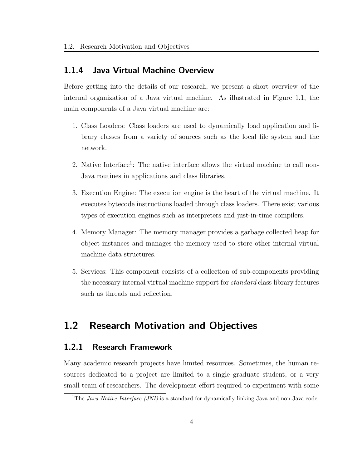### 1.1.4 Java Virtual Machine Overview

Before getting into the details of our research, we present a short overview of the internal organization of a Java virtual machine. As illustrated in Figure 1.1, the main components of a Java virtual machine are:

- 1. Class Loaders: Class loaders are used to dynamically load application and library classes from a variety of sources such as the local file system and the network.
- 2. Native Interface<sup>1</sup>: The native interface allows the virtual machine to call non-Java routines in applications and class libraries.
- 3. Execution Engine: The execution engine is the heart of the virtual machine. It executes bytecode instructions loaded through class loaders. There exist various types of execution engines such as interpreters and just-in-time compilers.
- 4. Memory Manager: The memory manager provides a garbage collected heap for object instances and manages the memory used to store other internal virtual machine data structures.
- 5. Services: This component consists of a collection of sub-components providing the necessary internal virtual machine support for standard class library features such as threads and reflection.

## 1.2 Research Motivation and Objectives

### 1.2.1 Research Framework

Many academic research projects have limited resources. Sometimes, the human resources dedicated to a project are limited to a single graduate student, or a very small team of researchers. The development effort required to experiment with some

<sup>&</sup>lt;sup>1</sup>The *Java Native Interface (JNI)* is a standard for dynamically linking Java and non-Java code.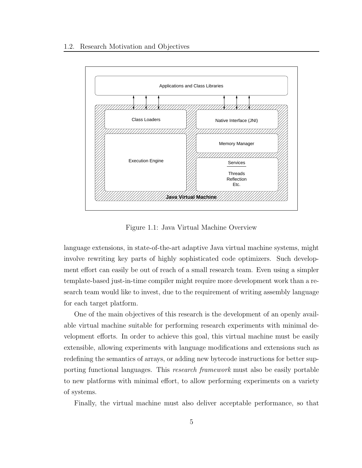

Figure 1.1: Java Virtual Machine Overview

language extensions, in state-of-the-art adaptive Java virtual machine systems, might involve rewriting key parts of highly sophisticated code optimizers. Such development effort can easily be out of reach of a small research team. Even using a simpler template-based just-in-time compiler might require more development work than a research team would like to invest, due to the requirement of writing assembly language for each target platform.

One of the main objectives of this research is the development of an openly available virtual machine suitable for performing research experiments with minimal development efforts. In order to achieve this goal, this virtual machine must be easily extensible, allowing experiments with language modifications and extensions such as redefining the semantics of arrays, or adding new bytecode instructions for better supporting functional languages. This research framework must also be easily portable to new platforms with minimal effort, to allow performing experiments on a variety of systems.

Finally, the virtual machine must also deliver acceptable performance, so that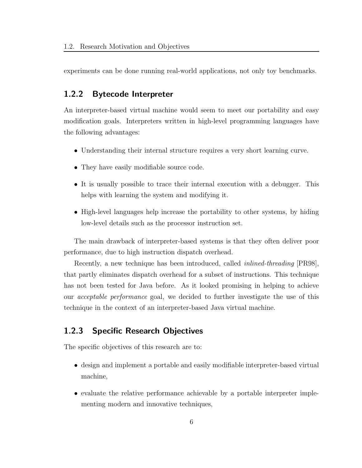experiments can be done running real-world applications, not only toy benchmarks.

### 1.2.2 Bytecode Interpreter

An interpreter-based virtual machine would seem to meet our portability and easy modification goals. Interpreters written in high-level programming languages have the following advantages:

- Understanding their internal structure requires a very short learning curve.
- They have easily modifiable source code.
- It is usually possible to trace their internal execution with a debugger. This helps with learning the system and modifying it.
- High-level languages help increase the portability to other systems, by hiding low-level details such as the processor instruction set.

The main drawback of interpreter-based systems is that they often deliver poor performance, due to high instruction dispatch overhead.

Recently, a new technique has been introduced, called inlined-threading [PR98], that partly eliminates dispatch overhead for a subset of instructions. This technique has not been tested for Java before. As it looked promising in helping to achieve our acceptable performance goal, we decided to further investigate the use of this technique in the context of an interpreter-based Java virtual machine.

### 1.2.3 Specific Research Objectives

The specific objectives of this research are to:

- design and implement a portable and easily modifiable interpreter-based virtual machine,
- evaluate the relative performance achievable by a portable interpreter implementing modern and innovative techniques,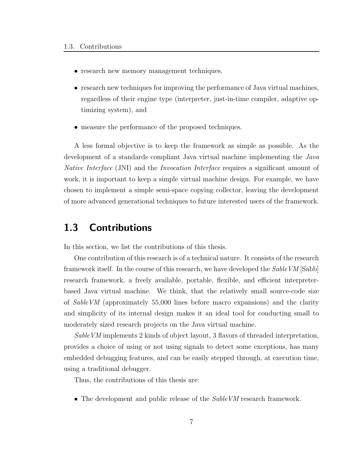- research new memory management techniques,
- research new techniques for improving the performance of Java virtual machines, regardless of their engine type (interpreter, just-in-time compiler, adaptive optimizing system), and
- measure the performance of the proposed techniques.

A less formal objective is to keep the framework as simple as possible. As the development of a standards compliant Java virtual machine implementing the Java Native Interface (JNI) and the Invocation Interface requires a significant amount of work, it is important to keep a simple virtual machine design. For example, we have chosen to implement a simple semi-space copying collector, leaving the development of more advanced generational techniques to future interested users of the framework.

## 1.3 Contributions

In this section, we list the contributions of this thesis.

One contribution of this research is of a technical nature. It consists of the research framework itself. In the course of this research, we have developed the SableVM [Sabb] research framework, a freely available, portable, flexible, and efficient interpreterbased Java virtual machine. We think, that the relatively small source-code size of SableVM (approximately 55,000 lines before macro expansions) and the clarity and simplicity of its internal design makes it an ideal tool for conducting small to moderately sized research projects on the Java virtual machine.

SableVM implements 2 kinds of object layout, 3 flavors of threaded interpretation, provides a choice of using or not using signals to detect some exceptions, has many embedded debugging features, and can be easily stepped through, at execution time, using a traditional debugger.

Thus, the contributions of this thesis are:

• The development and public release of the *SableVM* research framework.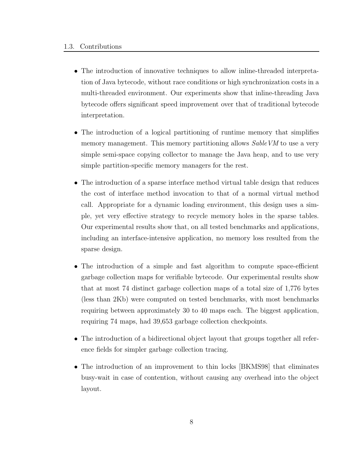- The introduction of innovative techniques to allow inline-threaded interpretation of Java bytecode, without race conditions or high synchronization costs in a multi-threaded environment. Our experiments show that inline-threading Java bytecode offers significant speed improvement over that of traditional bytecode interpretation.
- The introduction of a logical partitioning of runtime memory that simplifies memory management. This memory partitioning allows Sable VM to use a very simple semi-space copying collector to manage the Java heap, and to use very simple partition-specific memory managers for the rest.
- The introduction of a sparse interface method virtual table design that reduces the cost of interface method invocation to that of a normal virtual method call. Appropriate for a dynamic loading environment, this design uses a simple, yet very effective strategy to recycle memory holes in the sparse tables. Our experimental results show that, on all tested benchmarks and applications, including an interface-intensive application, no memory loss resulted from the sparse design.
- The introduction of a simple and fast algorithm to compute space-efficient garbage collection maps for verifiable bytecode. Our experimental results show that at most 74 distinct garbage collection maps of a total size of 1,776 bytes (less than 2Kb) were computed on tested benchmarks, with most benchmarks requiring between approximately 30 to 40 maps each. The biggest application, requiring 74 maps, had 39,653 garbage collection checkpoints.
- The introduction of a bidirectional object layout that groups together all reference fields for simpler garbage collection tracing.
- The introduction of an improvement to thin locks [BKMS98] that eliminates busy-wait in case of contention, without causing any overhead into the object layout.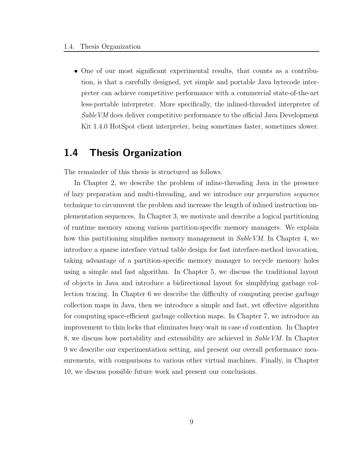• One of our most significant experimental results, that counts as a contribution, is that a carefully designed, yet simple and portable Java bytecode interpreter can achieve competitive performance with a commercial state-of-the-art less-portable interpreter. More specifically, the inlined-threaded interpreter of SableVM does deliver competitive performance to the official Java Development Kit 1.4.0 HotSpot client interpreter, being sometimes faster, sometimes slower.

### 1.4 Thesis Organization

The remainder of this thesis is structured as follows.

In Chapter 2, we describe the problem of inline-threading Java in the presence of lazy preparation and multi-threading, and we introduce our preparation sequence technique to circumvent the problem and increase the length of inlined instruction implementation sequences. In Chapter 3, we motivate and describe a logical partitioning of runtime memory among various partition-specific memory managers. We explain how this partitioning simplifies memory management in SableVM. In Chapter 4, we introduce a sparse interface virtual table design for fast interface-method invocation, taking advantage of a partition-specific memory manager to recycle memory holes using a simple and fast algorithm. In Chapter 5, we discuss the traditional layout of objects in Java and introduce a bidirectional layout for simplifying garbage collection tracing. In Chapter 6 we describe the difficulty of computing precise garbage collection maps in Java, then we introduce a simple and fast, yet effective algorithm for computing space-efficient garbage collection maps. In Chapter 7, we introduce an improvement to thin locks that eliminates busy-wait in case of contention. In Chapter 8, we discuss how portability and extensibility are achieved in SableVM. In Chapter 9 we describe our experimentation setting, and present our overall performance measurements, with comparisons to various other virtual machines. Finally, in Chapter 10, we discuss possible future work and present our conclusions.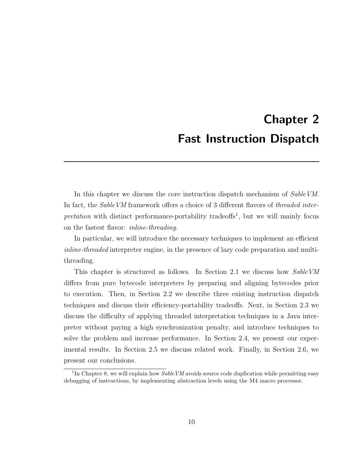# Chapter 2 Fast Instruction Dispatch

In this chapter we discuss the core instruction dispatch mechanism of SableVM. In fact, the *SableVM* framework offers a choice of 3 different flavors of *threaded inter* $pretation$  with distinct performance-portability tradeoffs<sup>1</sup>, but we will mainly focus on the fastest flavor: inline-threading.

In particular, we will introduce the necessary techniques to implement an efficient inline-threaded interpreter engine, in the presence of lazy code preparation and multithreading.

This chapter is structured as follows. In Section 2.1 we discuss how SableVM differs from pure bytecode interpreters by preparing and aligning bytecodes prior to execution. Then, in Section 2.2 we describe three existing instruction dispatch techniques and discuss their efficiency-portability tradeoffs. Next, in Section 2.3 we discuss the difficulty of applying threaded interpretation techniques in a Java interpreter without paying a high synchronization penalty, and introduce techniques to solve the problem and increase performance. In Section 2.4, we present our experimental results. In Section 2.5 we discuss related work. Finally, in Section 2.6, we present our conclusions.

<sup>&</sup>lt;sup>1</sup>In Chapter 8, we will explain how  $SableVM$  avoids source code duplication while permitting easy debugging of instructions, by implementing abstraction levels using the M4 macro processor.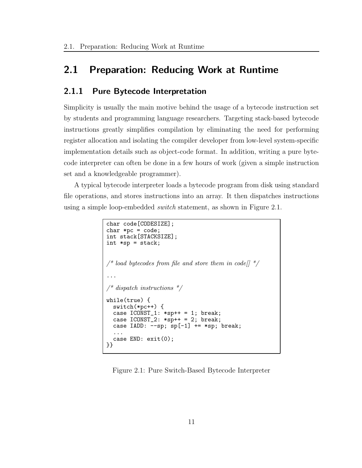## 2.1 Preparation: Reducing Work at Runtime

### 2.1.1 Pure Bytecode Interpretation

Simplicity is usually the main motive behind the usage of a bytecode instruction set by students and programming language researchers. Targeting stack-based bytecode instructions greatly simplifies compilation by eliminating the need for performing register allocation and isolating the compiler developer from low-level system-specific implementation details such as object-code format. In addition, writing a pure bytecode interpreter can often be done in a few hours of work (given a simple instruction set and a knowledgeable programmer).

A typical bytecode interpreter loads a bytecode program from disk using standard file operations, and stores instructions into an array. It then dispatches instructions using a simple loop-embedded switch statement, as shown in Figure 2.1.

```
char code[CODESIZE];
char *pc = code;int stack[STACKSIZE];
int *sp = stack;\frac{1}{2} load bytecodes from file and store them in code \frac{1}{2} */
...
\frac{1}{4} dispatch instructions \frac{1}{4}while(true) {
  switch(*pc++) {
  case ICONST_1: *sp++ = 1; break;case ICONST_2: *sp++ = 2; break;case IADD: --sp; sp[-1] += *sp; break;
  ...
  case END: exit(0);
}}
```
Figure 2.1: Pure Switch-Based Bytecode Interpreter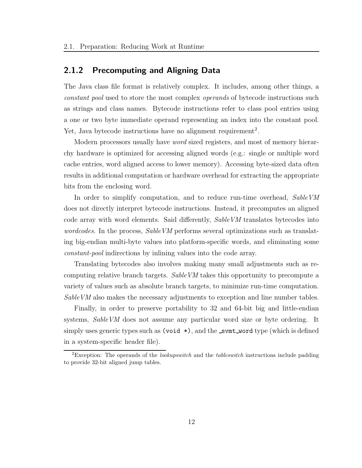### 2.1.2 Precomputing and Aligning Data

The Java class file format is relatively complex. It includes, among other things, a constant pool used to store the most complex operands of bytecode instructions such as strings and class names. Bytecode instructions refer to class pool entries using a one or two byte immediate operand representing an index into the constant pool. Yet, Java bytecode instructions have no alignment requirement<sup>2</sup>.

Modern processors usually have word sized registers, and most of memory hierarchy hardware is optimized for accessing aligned words (e.g.: single or multiple word cache entries, word aligned access to lower memory). Accessing byte-sized data often results in additional computation or hardware overhead for extracting the appropriate bits from the enclosing word.

In order to simplify computation, and to reduce run-time overhead, SableVM does not directly interpret bytecode instructions. Instead, it precomputes an aligned code array with word elements. Said differently, SableVM translates bytecodes into wordcodes. In the process, Sable VM performs several optimizations such as translating big-endian multi-byte values into platform-specific words, and eliminating some constant-pool indirections by inlining values into the code array.

Translating bytecodes also involves making many small adjustments such as recomputing relative branch targets. SableVM takes this opportunity to precompute a variety of values such as absolute branch targets, to minimize run-time computation. Sable VM also makes the necessary adjustments to exception and line number tables.

Finally, in order to preserve portability to 32 and 64-bit big and little-endian systems, SableVM does not assume any particular word size or byte ordering. It simply uses generic types such as (void  $\ast$ ), and the svmt word type (which is defined in a system-specific header file).

<sup>&</sup>lt;sup>2</sup>Exception: The operands of the *lookupswitch* and the *tableswitch* instructions include padding to provide 32-bit aligned jump tables.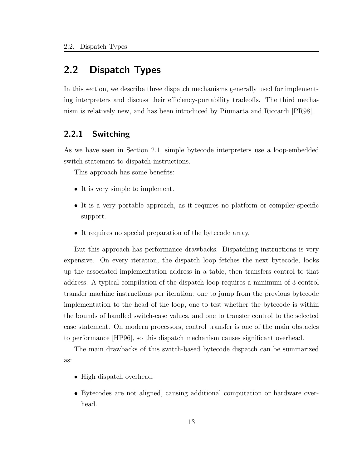## 2.2 Dispatch Types

In this section, we describe three dispatch mechanisms generally used for implementing interpreters and discuss their efficiency-portability tradeoffs. The third mechanism is relatively new, and has been introduced by Piumarta and Riccardi [PR98].

### 2.2.1 Switching

As we have seen in Section 2.1, simple bytecode interpreters use a loop-embedded switch statement to dispatch instructions.

This approach has some benefits:

- It is very simple to implement.
- It is a very portable approach, as it requires no platform or compiler-specific support.
- It requires no special preparation of the bytecode array.

But this approach has performance drawbacks. Dispatching instructions is very expensive. On every iteration, the dispatch loop fetches the next bytecode, looks up the associated implementation address in a table, then transfers control to that address. A typical compilation of the dispatch loop requires a minimum of 3 control transfer machine instructions per iteration: one to jump from the previous bytecode implementation to the head of the loop, one to test whether the bytecode is within the bounds of handled switch-case values, and one to transfer control to the selected case statement. On modern processors, control transfer is one of the main obstacles to performance [HP96], so this dispatch mechanism causes significant overhead.

The main drawbacks of this switch-based bytecode dispatch can be summarized as:

- High dispatch overhead.
- Bytecodes are not aligned, causing additional computation or hardware overhead.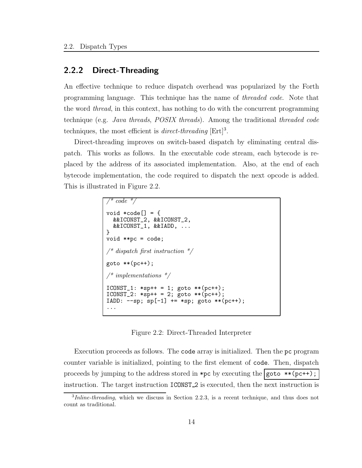### 2.2.2 Direct-Threading

An effective technique to reduce dispatch overhead was popularized by the Forth programming language. This technique has the name of threaded code. Note that the word thread, in this context, has nothing to do with the concurrent programming technique (e.g. Java threads, POSIX threads). Among the traditional threaded code techniques, the most efficient is *direct-threading*  $[Ert]^3$ .

Direct-threading improves on switch-based dispatch by eliminating central dispatch. This works as follows. In the executable code stream, each bytecode is replaced by the address of its associated implementation. Also, at the end of each bytecode implementation, the code required to dispatch the next opcode is added. This is illustrated in Figure 2.2.

```
code *void *\text{code} = {
  &&ICONST_2, &&ICONST_2,
  &&ICONST_1, &&IADD, ...
}
void **pc = code;
\frac{1}{x} dispatch first instruction \frac{x}{x}goto **(pc++);
\mathcal{N}^* implementations \mathcal{N}ICONST_1: *sp++ = 1; goto **(pc++);
ICONST_2: *sp++ = 2; goto **(pc++);
IADD: --sp; sp[-1] += *sp; goto **(pc++);
...
```
Figure 2.2: Direct-Threaded Interpreter

Execution proceeds as follows. The code array is initialized. Then the pc program counter variable is initialized, pointing to the first element of code. Then, dispatch proceeds by jumping to the address stored in \*pc by executing the  $|$ goto \*\*(pc++); instruction. The target instruction **ICONST**<sub>2</sub> is executed, then the next instruction is

<sup>&</sup>lt;sup>3</sup>Inline-threading, which we discuss in Section 2.2.3, is a recent technique, and thus does not count as traditional.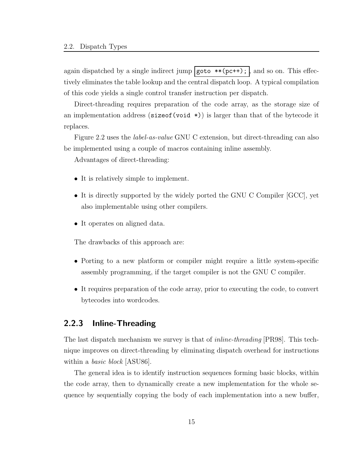again dispatched by a single indirect jump  $\gamma$  goto \*\*(pc++);  $\gamma$ , and so on. This effectively eliminates the table lookup and the central dispatch loop. A typical compilation of this code yields a single control transfer instruction per dispatch.

Direct-threading requires preparation of the code array, as the storage size of an implementation address ( $sizeof(void *))$ ) is larger than that of the bytecode it replaces.

Figure 2.2 uses the label-as-value GNU C extension, but direct-threading can also be implemented using a couple of macros containing inline assembly.

Advantages of direct-threading:

- It is relatively simple to implement.
- It is directly supported by the widely ported the GNU C Compiler [GCC], yet also implementable using other compilers.
- It operates on aligned data.

The drawbacks of this approach are:

- Porting to a new platform or compiler might require a little system-specific assembly programming, if the target compiler is not the GNU C compiler.
- It requires preparation of the code array, prior to executing the code, to convert bytecodes into wordcodes.

### 2.2.3 Inline-Threading

The last dispatch mechanism we survey is that of *inline-threading* [PR98]. This technique improves on direct-threading by eliminating dispatch overhead for instructions within a *basic block* [ASU86].

The general idea is to identify instruction sequences forming basic blocks, within the code array, then to dynamically create a new implementation for the whole sequence by sequentially copying the body of each implementation into a new buffer,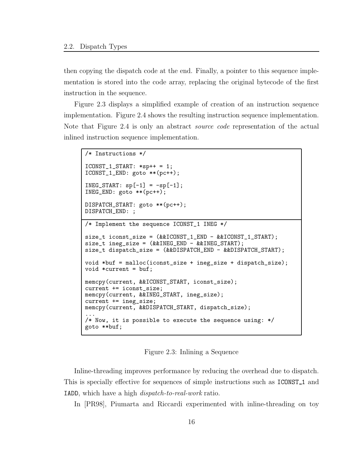then copying the dispatch code at the end. Finally, a pointer to this sequence implementation is stored into the code array, replacing the original bytecode of the first instruction in the sequence.

Figure 2.3 displays a simplified example of creation of an instruction sequence implementation. Figure 2.4 shows the resulting instruction sequence implementation. Note that Figure 2.4 is only an abstract *source code* representation of the actual inlined instruction sequence implementation.

```
/* Instructions */
ICONST_1_START: *sp++ = 1;
ICONST_1_END: goto **(pc++);
INEG_START: sp[-1] = -sp[-1];INEG_END: goto **(pc++);
DISPATCH_START: goto **(pc++);
DISPATCH_END: ;
/* Implement the sequence ICONST_1 INEG */
size_t iconst_size = (&&ICONST_1_END - &&ICONST_1_START);
size_t ineg_size = (&&INEG_END - &&INEG_START);
size_t dispatch_size = (&&DISPATCH_END - &&DISPATCH_START);
void *buf = malloc(iconst_size + ineg_size + dispatch_size);
void *current = buf;
memcpy(current, &&ICONST_START, iconst_size);
current += iconst_size;
memcpy(current, &&INEG_START, ineg_size);
current += ineg_size;
memcpy(current, &&DISPATCH_START, dispatch_size);
...
/* Now, it is possible to execute the sequence using: */
goto **buf;
```
Figure 2.3: Inlining a Sequence

Inline-threading improves performance by reducing the overhead due to dispatch. This is specially effective for sequences of simple instructions such as ICONST 1 and IADD, which have a high dispatch-to-real-work ratio.

In [PR98], Piumarta and Riccardi experimented with inline-threading on toy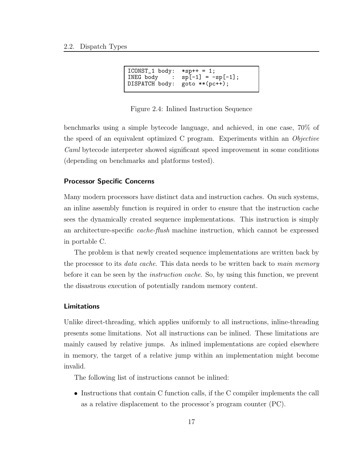```
ICONST_1 body: *sp++ = 1;
INEG body : sp[-1] = -sp[-1];<br>DISPATCH body: goto **(pc++);
DISPATCH body:
```
Figure 2.4: Inlined Instruction Sequence

benchmarks using a simple bytecode language, and achieved, in one case, 70% of the speed of an equivalent optimized C program. Experiments within an Objective Caml bytecode interpreter showed significant speed improvement in some conditions (depending on benchmarks and platforms tested).

### Processor Specific Concerns

Many modern processors have distinct data and instruction caches. On such systems, an inline assembly function is required in order to ensure that the instruction cache sees the dynamically created sequence implementations. This instruction is simply an architecture-specific cache-flush machine instruction, which cannot be expressed in portable C.

The problem is that newly created sequence implementations are written back by the processor to its *data cache*. This data needs to be written back to main memory before it can be seen by the *instruction cache*. So, by using this function, we prevent the disastrous execution of potentially random memory content.

### Limitations

Unlike direct-threading, which applies uniformly to all instructions, inline-threading presents some limitations. Not all instructions can be inlined. These limitations are mainly caused by relative jumps. As inlined implementations are copied elsewhere in memory, the target of a relative jump within an implementation might become invalid.

The following list of instructions cannot be inlined:

• Instructions that contain C function calls, if the C compiler implements the call as a relative displacement to the processor's program counter (PC).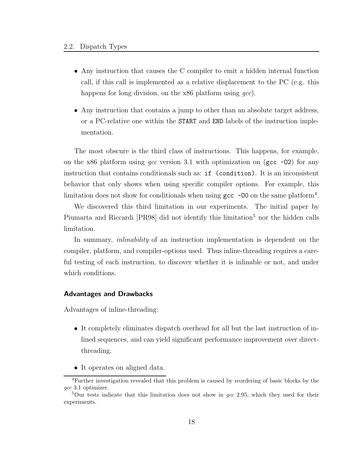- Any instruction that causes the C compiler to emit a hidden internal function call, if this call is implemented as a relative displacement to the PC (e.g. this happens for long division, on the x86 platform using gcc).
- Any instruction that contains a jump to other than an absolute target address, or a PC-relative one within the START and END labels of the instruction implementation.

The most obscure is the third class of instructions. This happens, for example, on the x86 platform using gcc version 3.1 with optimization on (gcc  $-02$ ) for any instruction that contains conditionals such as: if (condition). It is an inconsistent behavior that only shows when using specific compiler options. For example, this limitation does not show for conditionals when using  $\texttt{gcc}$  -00 on the same platform<sup>4</sup>.

We discovered this third limitation in our experiments. The initial paper by Piumarta and Riccardi [PR98] did not identify this limitation<sup>5</sup> nor the hidden calls limitation.

In summary, inlinability of an instruction implementation is dependent on the compiler, platform, and compiler-options used. Thus inline-threading requires a careful testing of each instruction, to discover whether it is inlinable or not, and under which conditions.

### Advantages and Drawbacks

Advantages of inline-threading:

- It completely eliminates dispatch overhead for all but the last instruction of inlined sequences, and can yield significant performance improvement over directthreading.
- It operates on aligned data.

<sup>4</sup>Further investigation revealed that this problem is caused by reordering of basic blocks by the gcc 3.1 optimizer.

<sup>&</sup>lt;sup>5</sup>Our tests indicate that this limitation does not show in *gcc* 2.95, which they used for their experiments.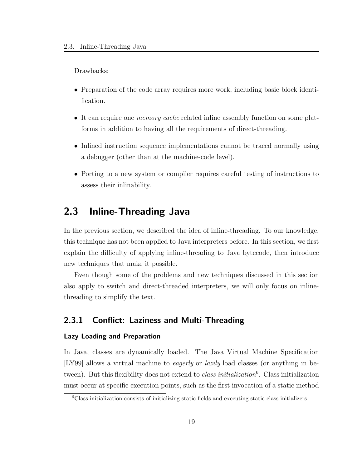Drawbacks:

- Preparation of the code array requires more work, including basic block identification.
- It can require one *memory cache* related inline assembly function on some platforms in addition to having all the requirements of direct-threading.
- Inlined instruction sequence implementations cannot be traced normally using a debugger (other than at the machine-code level).
- Porting to a new system or compiler requires careful testing of instructions to assess their inlinability.

## 2.3 Inline-Threading Java

In the previous section, we described the idea of inline-threading. To our knowledge, this technique has not been applied to Java interpreters before. In this section, we first explain the difficulty of applying inline-threading to Java bytecode, then introduce new techniques that make it possible.

Even though some of the problems and new techniques discussed in this section also apply to switch and direct-threaded interpreters, we will only focus on inlinethreading to simplify the text.

### 2.3.1 Conflict: Laziness and Multi-Threading

#### Lazy Loading and Preparation

In Java, classes are dynamically loaded. The Java Virtual Machine Specification [LY99] allows a virtual machine to eagerly or lazily load classes (or anything in between). But this flexibility does not extend to *class initialization*<sup>6</sup>. Class initialization must occur at specific execution points, such as the first invocation of a static method

<sup>6</sup>Class initialization consists of initializing static fields and executing static class initializers.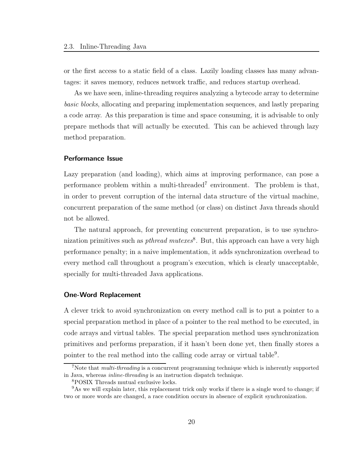or the first access to a static field of a class. Lazily loading classes has many advantages: it saves memory, reduces network traffic, and reduces startup overhead.

As we have seen, inline-threading requires analyzing a bytecode array to determine basic blocks, allocating and preparing implementation sequences, and lastly preparing a code array. As this preparation is time and space consuming, it is advisable to only prepare methods that will actually be executed. This can be achieved through lazy method preparation.

#### Performance Issue

Lazy preparation (and loading), which aims at improving performance, can pose a performance problem within a multi-threaded<sup>7</sup> environment. The problem is that, in order to prevent corruption of the internal data structure of the virtual machine, concurrent preparation of the same method (or class) on distinct Java threads should not be allowed.

The natural approach, for preventing concurrent preparation, is to use synchronization primitives such as *pthread mutexes*<sup>8</sup>. But, this approach can have a very high performance penalty; in a naive implementation, it adds synchronization overhead to every method call throughout a program's execution, which is clearly unacceptable, specially for multi-threaded Java applications.

### One-Word Replacement

A clever trick to avoid synchronization on every method call is to put a pointer to a special preparation method in place of a pointer to the real method to be executed, in code arrays and virtual tables. The special preparation method uses synchronization primitives and performs preparation, if it hasn't been done yet, then finally stores a pointer to the real method into the calling code array or virtual table<sup>9</sup>.

<sup>&</sup>lt;sup>7</sup>Note that *multi-threading* is a concurrent programming technique which is inherently supported in Java, whereas inline-threading is an instruction dispatch technique.

<sup>8</sup>POSIX Threads mutual exclusive locks.

<sup>9</sup>As we will explain later, this replacement trick only works if there is a single word to change; if two or more words are changed, a race condition occurs in absence of explicit synchronization.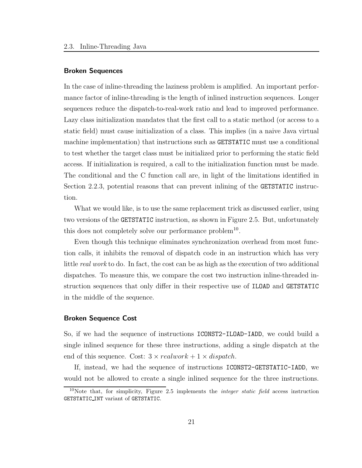#### Broken Sequences

In the case of inline-threading the laziness problem is amplified. An important performance factor of inline-threading is the length of inlined instruction sequences. Longer sequences reduce the dispatch-to-real-work ratio and lead to improved performance. Lazy class initialization mandates that the first call to a static method (or access to a static field) must cause initialization of a class. This implies (in a naive Java virtual machine implementation) that instructions such as GETSTATIC must use a conditional to test whether the target class must be initialized prior to performing the static field access. If initialization is required, a call to the initialization function must be made. The conditional and the C function call are, in light of the limitations identified in Section 2.2.3, potential reasons that can prevent inlining of the GETSTATIC instruction.

What we would like, is to use the same replacement trick as discussed earlier, using two versions of the GETSTATIC instruction, as shown in Figure 2.5. But, unfortunately this does not completely solve our performance problem<sup>10</sup>.

Even though this technique eliminates synchronization overhead from most function calls, it inhibits the removal of dispatch code in an instruction which has very little real work to do. In fact, the cost can be as high as the execution of two additional dispatches. To measure this, we compare the cost two instruction inline-threaded instruction sequences that only differ in their respective use of ILOAD and GETSTATIC in the middle of the sequence.

### Broken Sequence Cost

So, if we had the sequence of instructions ICONST2-ILOAD-IADD, we could build a single inlined sequence for these three instructions, adding a single dispatch at the end of this sequence. Cost:  $3 \times realwork + 1 \times dispatch$ .

If, instead, we had the sequence of instructions ICONST2-GETSTATIC-IADD, we would not be allowed to create a single inlined sequence for the three instructions.

<sup>&</sup>lt;sup>10</sup>Note that, for simplicity, Figure 2.5 implements the *integer static field* access instruction GETSTATIC INT variant of GETSTATIC.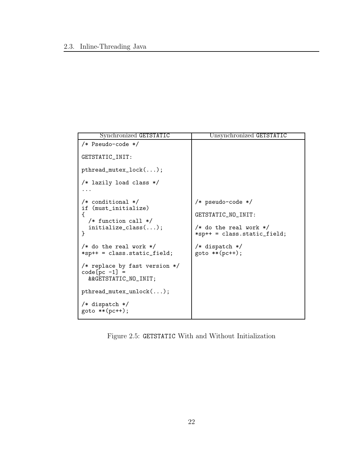| Synchronized GETSTATIC                                                     | Unsynchronized GETSTATIC                                     |
|----------------------------------------------------------------------------|--------------------------------------------------------------|
| /* Pseudo-code */<br>GETSTATIC_INIT:                                       |                                                              |
| $\texttt{pthread\_mutex\_lock}(\dots);$                                    |                                                              |
| /* lazily load class */                                                    |                                                              |
| $/*$ conditional $*/$<br>if (must_initialize)                              | /* pseudo-code */                                            |
| ſ<br>$/*$ function call $*/$                                               | GETSTATIC_NO_INIT:                                           |
| $initialize_{class}();$<br>}                                               | $/*$ do the real work $*/$<br>$*$ sp++ = class.static_field; |
| $/*$ do the real work $*/$<br>$*$ sp++ = class.static_field;               | $/*$ dispatch $*/$<br>$goto ** (pc++);$                      |
| /* replace by fast version $*/$<br>$code[pc -1] =$<br>&&GETSTATIC_NO_INIT; |                                                              |
| $pthread_mutes\_unlock();$                                                 |                                                              |
| $/*$ dispatch $*/$<br>$goto ** (pc++);$                                    |                                                              |

Figure 2.5: GETSTATIC With and Without Initialization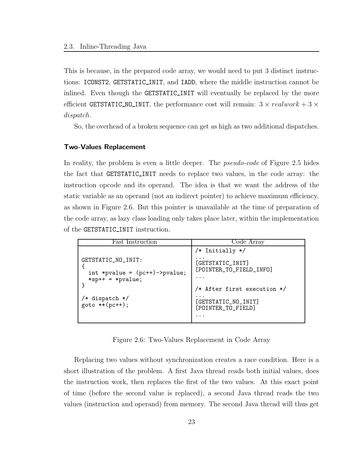This is because, in the prepared code array, we would need to put 3 distinct instructions: ICONST2, GETSTATIC INIT, and IADD, where the middle instruction cannot be inlined. Even though the GETSTATIC INIT will eventually be replaced by the more efficient GETSTATIC\_NO\_INIT, the performance cost will remain:  $3 \times realwork + 3 \times$ dispatch.

So, the overhead of a broken sequence can get as high as two additional dispatches.

#### Two-Values Replacement

In reality, the problem is even a little deeper. The *pseudo-code* of Figure 2.5 hides the fact that GETSTATIC INIT needs to replace two values, in the code array: the instruction opcode and its operand. The idea is that we want the address of the static variable as an operand (not an indirect pointer) to achieve maximum efficiency, as shown in Figure 2.6. But this pointer is unavailable at the time of preparation of the code array, as lazy class loading only takes place later, within the implementation of the GETSTATIC INIT instruction.

| <b>Fast Instruction</b>                                                          | Code Array                                            |  |  |
|----------------------------------------------------------------------------------|-------------------------------------------------------|--|--|
|                                                                                  | /* Initially */                                       |  |  |
| GETSTATIC_NO_INIT:<br>int *pvalue = $(pc++)$ ->pvalue;<br>$*$ sp++ = $*$ pvalue; | [GETSTATIC_INIT]<br>[POINTER_TO_FIELD_INFO]           |  |  |
|                                                                                  | /* After first execution */                           |  |  |
| /* dispatch */<br>$goto **(pc++);$                                               | $\cdots$<br>[GETSTATIC_NO_INIT]<br>[POINTER_TO_FIELD] |  |  |
|                                                                                  |                                                       |  |  |

Figure 2.6: Two-Values Replacement in Code Array

Replacing two values without synchronization creates a race condition. Here is a short illustration of the problem. A first Java thread reads both initial values, does the instruction work, then replaces the first of the two values. At this exact point of time (before the second value is replaced), a second Java thread reads the two values (instruction and operand) from memory. The second Java thread will thus get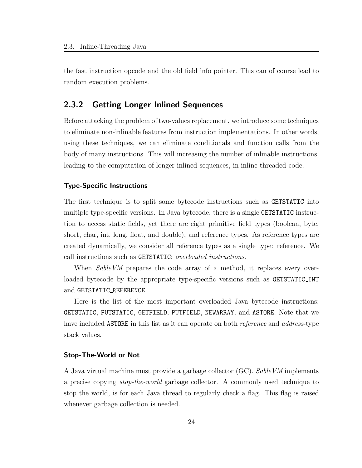the fast instruction opcode and the old field info pointer. This can of course lead to random execution problems.

# 2.3.2 Getting Longer Inlined Sequences

Before attacking the problem of two-values replacement, we introduce some techniques to eliminate non-inlinable features from instruction implementations. In other words, using these techniques, we can eliminate conditionals and function calls from the body of many instructions. This will increasing the number of inlinable instructions, leading to the computation of longer inlined sequences, in inline-threaded code.

## Type-Specific Instructions

The first technique is to split some bytecode instructions such as GETSTATIC into multiple type-specific versions. In Java bytecode, there is a single GETSTATIC instruction to access static fields, yet there are eight primitive field types (boolean, byte, short, char, int, long, float, and double), and reference types. As reference types are created dynamically, we consider all reference types as a single type: reference. We call instructions such as GETSTATIC: overloaded instructions.

When SableVM prepares the code array of a method, it replaces every overloaded bytecode by the appropriate type-specific versions such as GETSTATIC INT and GETSTATIC REFERENCE.

Here is the list of the most important overloaded Java bytecode instructions: GETSTATIC, PUTSTATIC, GETFIELD, PUTFIELD, NEWARRAY, and ASTORE. Note that we have included **ASTORE** in this list as it can operate on both *reference* and *address*-type stack values.

## Stop-The-World or Not

A Java virtual machine must provide a garbage collector (GC). SableVM implements a precise copying stop-the-world garbage collector. A commonly used technique to stop the world, is for each Java thread to regularly check a flag. This flag is raised whenever garbage collection is needed.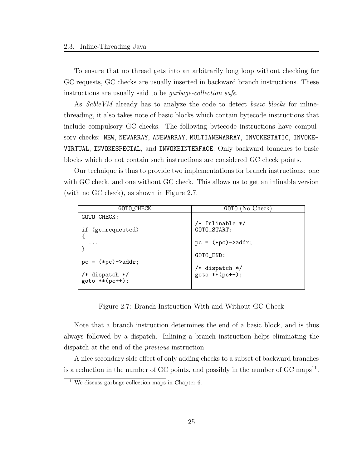To ensure that no thread gets into an arbitrarily long loop without checking for GC requests, GC checks are usually inserted in backward branch instructions. These instructions are usually said to be garbage-collection safe.

As SableVM already has to analyze the code to detect basic blocks for inlinethreading, it also takes note of basic blocks which contain bytecode instructions that include compulsory GC checks. The following bytecode instructions have compulsory checks: NEW, NEWARRAY, ANEWARRAY, MULTIANEWARRAY, INVOKESTATIC, INVOKE-VIRTUAL, INVOKESPECIAL, and INVOKEINTERFACE. Only backward branches to basic blocks which do not contain such instructions are considered GC check points.

Our technique is thus to provide two implementations for branch instructions: one with GC check, and one without GC check. This allows us to get an inlinable version (with no GC check), as shown in Figure 2.7.

| GOTO_CHECK                              | GOTO (No Check)                  |
|-----------------------------------------|----------------------------------|
| GOTO_CHECK:                             |                                  |
| if (gc_requested)                       | /* Inlinable */<br>GOTO_START:   |
| $\cdots$                                | $pc = (*pc)-> addr;$             |
|                                         | GOTO_END:                        |
| $pc = (*pc)-> addr;$                    |                                  |
| $/*$ dispatch $*/$<br>$goto ** (pc++);$ | /* dispatch */<br>goto **(pc++); |

Figure 2.7: Branch Instruction With and Without GC Check

Note that a branch instruction determines the end of a basic block, and is thus always followed by a dispatch. Inlining a branch instruction helps eliminating the dispatch at the end of the previous instruction.

A nice secondary side effect of only adding checks to a subset of backward branches is a reduction in the number of GC points, and possibly in the number of GC maps<sup>11</sup>.

<sup>&</sup>lt;sup>11</sup>We discuss garbage collection maps in Chapter 6.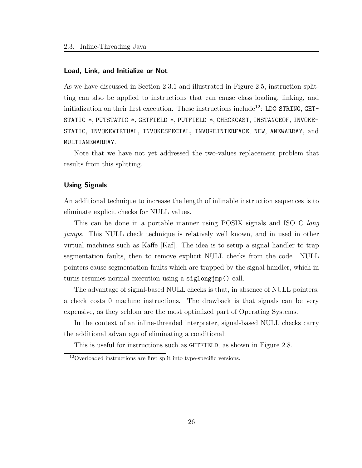#### Load, Link, and Initialize or Not

As we have discussed in Section 2.3.1 and illustrated in Figure 2.5, instruction splitting can also be applied to instructions that can cause class loading, linking, and initialization on their first execution. These instructions include<sup>12</sup>: LDC\_STRING, GET-STATIC\_\*, PUTSTATIC\_\*, GETFIELD\_\*, PUTFIELD\_\*, CHECKCAST, INSTANCEOF, INVOKE-STATIC, INVOKEVIRTUAL, INVOKESPECIAL, INVOKEINTERFACE, NEW, ANEWARRAY, and MULTIANEWARRAY.

Note that we have not yet addressed the two-values replacement problem that results from this splitting.

## Using Signals

An additional technique to increase the length of inlinable instruction sequences is to eliminate explicit checks for NULL values.

This can be done in a portable manner using POSIX signals and ISO C long jumps. This NULL check technique is relatively well known, and in used in other virtual machines such as Kaffe [Kaf]. The idea is to setup a signal handler to trap segmentation faults, then to remove explicit NULL checks from the code. NULL pointers cause segmentation faults which are trapped by the signal handler, which in turns resumes normal execution using a siglongjmp() call.

The advantage of signal-based NULL checks is that, in absence of NULL pointers, a check costs 0 machine instructions. The drawback is that signals can be very expensive, as they seldom are the most optimized part of Operating Systems.

In the context of an inline-threaded interpreter, signal-based NULL checks carry the additional advantage of eliminating a conditional.

This is useful for instructions such as GETFIELD, as shown in Figure 2.8.

<sup>12</sup>Overloaded instructions are first split into type-specific versions.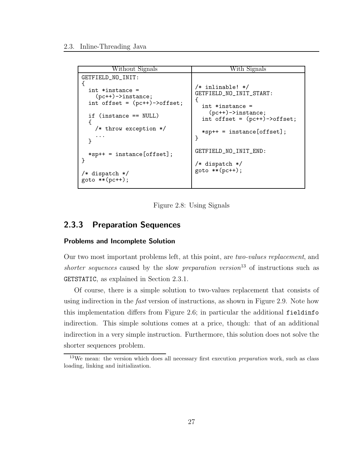```
Without Signals With Signals
GETFIELD_NO_INIT:
{
  int *instance =
    (pc++)->instance;
  int offset = (pc++)->offset;
  if (instance == NULL)
  {
    /* throw exception */
    ...
  }
  *sp++ = instance[offset];
}
/* dispatch */
goto **(pc++);
                                  /* inlinable! */
                                 GETFIELD_NO_INIT_START:
                                  {
                                    int *instance =
                                     (pc++)->instance;
                                   int offset = (pc++)->offset;
                                    *sp++ = instance[offset];
                                 }
                                  GETFIELD_NO_INIT_END:
                                 /* dispatch */
                                 goto **(pc++);
```
Figure 2.8: Using Signals

# 2.3.3 Preparation Sequences

## Problems and Incomplete Solution

Our two most important problems left, at this point, are two-values replacement, and shorter sequences caused by the slow preparation version<sup>13</sup> of instructions such as GETSTATIC, as explained in Section 2.3.1.

Of course, there is a simple solution to two-values replacement that consists of using indirection in the *fast* version of instructions, as shown in Figure 2.9. Note how this implementation differs from Figure 2.6; in particular the additional fieldinfo indirection. This simple solutions comes at a price, though: that of an additional indirection in a very simple instruction. Furthermore, this solution does not solve the shorter sequences problem.

<sup>&</sup>lt;sup>13</sup>We mean: the version which does all necessary first execution *preparation* work, such as class loading, linking and initialization.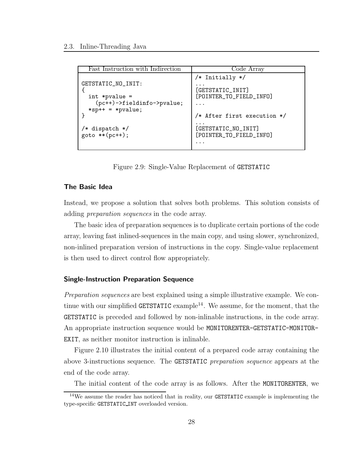| Fast Instruction with Indirection       | Code Array                                     |
|-----------------------------------------|------------------------------------------------|
|                                         |                                                |
|                                         | /* Initially */                                |
| GETSTATIC_NO_INIT:                      | .                                              |
|                                         | [GETSTATIC_INIT]                               |
| $int *pvalue =$                         | [POINTER_TO_FIELD_INFO]                        |
| (pc++)->fieldinfo->pvalue;              | .                                              |
| $*$ sp++ = $*$ pvalue;                  |                                                |
|                                         | /* After first execution */                    |
| $/*$ dispatch $*/$<br>$goto ** (pc++);$ | [GETSTATIC_NO_INIT]<br>[POINTER_TO_FIELD_INFO] |
|                                         |                                                |
|                                         | . .                                            |

Figure 2.9: Single-Value Replacement of GETSTATIC

#### The Basic Idea

Instead, we propose a solution that solves both problems. This solution consists of adding preparation sequences in the code array.

The basic idea of preparation sequences is to duplicate certain portions of the code array, leaving fast inlined-sequences in the main copy, and using slower, synchronized, non-inlined preparation version of instructions in the copy. Single-value replacement is then used to direct control flow appropriately.

## Single-Instruction Preparation Sequence

Preparation sequences are best explained using a simple illustrative example. We continue with our simplified GETSTATIC example<sup>14</sup>. We assume, for the moment, that the GETSTATIC is preceded and followed by non-inlinable instructions, in the code array. An appropriate instruction sequence would be MONITORENTER-GETSTATIC-MONITOR-EXIT, as neither monitor instruction is inlinable.

Figure 2.10 illustrates the initial content of a prepared code array containing the above 3-instructions sequence. The GETSTATIC preparation sequence appears at the end of the code array.

The initial content of the code array is as follows. After the MONITORENTER, we

 $14$ We assume the reader has noticed that in reality, our GETSTATIC example is implementing the type-specific GETSTATIC INT overloaded version.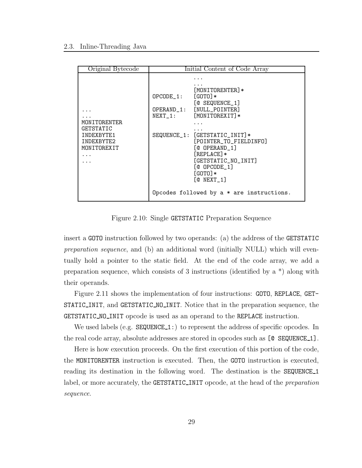| Original Bytecode                                                    |                                         | Initial Content of Code Array                                                                                                                                                                                                                                                                           |
|----------------------------------------------------------------------|-----------------------------------------|---------------------------------------------------------------------------------------------------------------------------------------------------------------------------------------------------------------------------------------------------------------------------------------------------------|
| MONITORENTER<br>GETSTATIC<br>INDEXBYTE1<br>TNDEXBYTE2<br>MONITOREXIT | $OPCODE_1:$<br>OPERAND_1:<br>$NEXT_1$ : | [MONITORENTER]*<br>$[GOTO]*$<br>[© SEQUENCE_1]<br>[NULL_POINTER]<br>[MONITOREXIT]*<br>SEQUENCE_1: [GETSTATIC_INIT]*<br>[POINTER_TO_FIELDINFO]<br>[@ OPERAND 1]<br>$[REPLACE]$ *<br>[GETSTATIC_NO_INIT]<br>$[@OPCODE_1]$<br>$[GOTO] *$<br>$[@$ NEXT $_1]$<br>Opcodes followed by $a * are instructions.$ |

Figure 2.10: Single GETSTATIC Preparation Sequence

insert a GOTO instruction followed by two operands: (a) the address of the GETSTATIC preparation sequence, and (b) an additional word (initially NULL) which will eventually hold a pointer to the static field. At the end of the code array, we add a preparation sequence, which consists of 3 instructions (identified by a \*) along with their operands.

Figure 2.11 shows the implementation of four instructions: GOTO, REPLACE, GET-STATIC INIT, and GETSTATIC NO INIT. Notice that in the preparation sequence, the GETSTATIC\_NO\_INIT opcode is used as an operand to the REPLACE instruction.

We used labels (e.g.  $SEQUENCE_1:$ ) to represent the address of specific opcodes. In the real code array, absolute addresses are stored in opcodes such as [@ SEQUENCE 1].

Here is how execution proceeds. On the first execution of this portion of the code, the MONITORENTER instruction is executed. Then, the GOTO instruction is executed, reading its destination in the following word. The destination is the SEQUENCE 1 label, or more accurately, the GETSTATIC INIT opcode, at the head of the preparation sequence.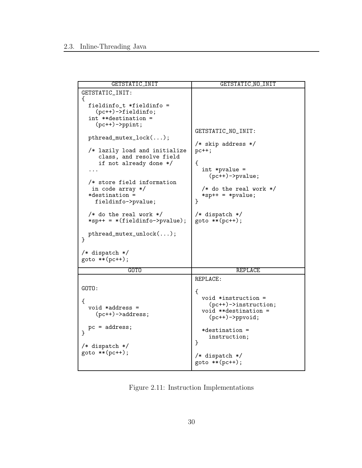| GETSTATIC_INIT                     | GETSTATIC NO_INIT          |
|------------------------------------|----------------------------|
| GETSTATIC_INIT:                    |                            |
| ₹                                  |                            |
| fieldinfo_t *fieldinfo =           |                            |
| $(pc++)$ ->fieldinfo;              |                            |
| int **destination =                |                            |
| $(pc++)$ ->ppint;                  |                            |
|                                    | GETSTATIC_NO_INIT:         |
| $pthread\_mutex\_lock();$          |                            |
|                                    | /* skip address */         |
| /* lazily load and initialize      | $pc++;$                    |
| class, and resolve field           |                            |
| if not already done */             | €                          |
|                                    | $int *pvalue =$            |
|                                    | $(pc++)$ ->pvalue;         |
| /* store field information         |                            |
| in code array */                   | $/*$ do the real work $*/$ |
| *destination =                     | $*$ sp++ = $*$ pvalue;     |
| fieldinfo->pvalue;                 | }                          |
|                                    |                            |
| $/*$ do the real work $*/$         | /* dispatch */             |
| $*$ sp++ = $*(fieldinfo->pvalue);$ | $goto * * (pc++);$         |
|                                    |                            |
| $pthread_mutex\_unlock();$         |                            |
| ŀ                                  |                            |
|                                    |                            |
| $/*$ dispatch $*/$                 |                            |
| $goto ** (pc++);$                  |                            |
|                                    |                            |
| <b>GOTO</b>                        | <b>REPLACE</b>             |
|                                    | REPLACE:                   |
| GOTO:                              |                            |
|                                    | €                          |
| €                                  | void $*instruction =$      |
| $void *address =$                  | $(pc++)$ ->instruction;    |
| $(pc++)$ ->address;                | void **destination =       |
|                                    | $(pc++)$ ->ppvoid;         |
| $pc = address;$                    |                            |
| }                                  | $*$ destination =          |
|                                    | instruction;               |
| $/*$ dispatch $*/$                 | }                          |
| $goto **(pc++);$                   |                            |
|                                    | /* dispatch */             |
|                                    | $goto ** (pc++);$          |

Figure 2.11: Instruction Implementations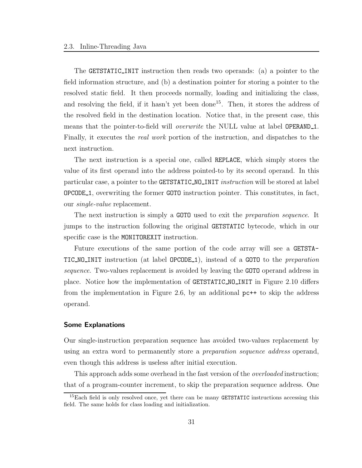The GETSTATIC INIT instruction then reads two operands: (a) a pointer to the field information structure, and (b) a destination pointer for storing a pointer to the resolved static field. It then proceeds normally, loading and initializing the class, and resolving the field, if it hasn't yet been done<sup>15</sup>. Then, it stores the address of the resolved field in the destination location. Notice that, in the present case, this means that the pointer-to-field will *overwrite* the NULL value at label OPERAND<sub>1</sub>. Finally, it executes the real work portion of the instruction, and dispatches to the next instruction.

The next instruction is a special one, called REPLACE, which simply stores the value of its first operand into the address pointed-to by its second operand. In this particular case, a pointer to the **GETSTATIC\_NO\_INIT** instruction will be stored at label OPCODE 1, overwriting the former GOTO instruction pointer. This constitutes, in fact, our single-value replacement.

The next instruction is simply a GOTO used to exit the preparation sequence. It jumps to the instruction following the original GETSTATIC bytecode, which in our specific case is the MONITOREXIT instruction.

Future executions of the same portion of the code array will see a GETSTA-TIC NO INIT instruction (at label OPCODE 1), instead of a GOTO to the preparation sequence. Two-values replacement is avoided by leaving the GOTO operand address in place. Notice how the implementation of GETSTATIC NO INIT in Figure 2.10 differs from the implementation in Figure 2.6, by an additional  $p_{c}$ ++ to skip the address operand.

#### Some Explanations

Our single-instruction preparation sequence has avoided two-values replacement by using an extra word to permanently store a *preparation sequence address* operand, even though this address is useless after initial execution.

This approach adds some overhead in the fast version of the *overloaded* instruction; that of a program-counter increment, to skip the preparation sequence address. One

<sup>&</sup>lt;sup>15</sup>Each field is only resolved once, yet there can be many **GETSTATIC** instructions accessing this field. The same holds for class loading and initialization.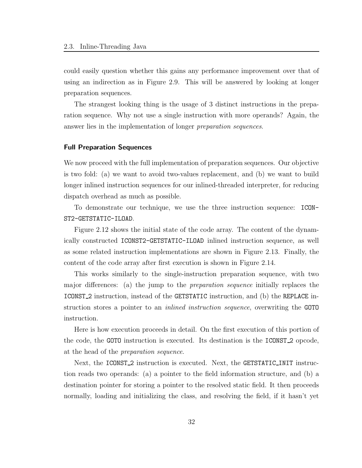could easily question whether this gains any performance improvement over that of using an indirection as in Figure 2.9. This will be answered by looking at longer preparation sequences.

The strangest looking thing is the usage of 3 distinct instructions in the preparation sequence. Why not use a single instruction with more operands? Again, the answer lies in the implementation of longer preparation sequences.

#### Full Preparation Sequences

We now proceed with the full implementation of preparation sequences. Our objective is two fold: (a) we want to avoid two-values replacement, and (b) we want to build longer inlined instruction sequences for our inlined-threaded interpreter, for reducing dispatch overhead as much as possible.

To demonstrate our technique, we use the three instruction sequence: ICON-ST2-GETSTATIC-ILOAD.

Figure 2.12 shows the initial state of the code array. The content of the dynamically constructed ICONST2-GETSTATIC-ILOAD inlined instruction sequence, as well as some related instruction implementations are shown in Figure 2.13. Finally, the content of the code array after first execution is shown in Figure 2.14.

This works similarly to the single-instruction preparation sequence, with two major differences: (a) the jump to the preparation sequence initially replaces the ICONST 2 instruction, instead of the GETSTATIC instruction, and (b) the REPLACE instruction stores a pointer to an inlined instruction sequence, overwriting the GOTO instruction.

Here is how execution proceeds in detail. On the first execution of this portion of the code, the GOTO instruction is executed. Its destination is the ICONST 2 opcode, at the head of the preparation sequence.

Next, the ICONST<sub>-2</sub> instruction is executed. Next, the GETSTATIC<sub>-INIT</sub> instruction reads two operands: (a) a pointer to the field information structure, and (b) a destination pointer for storing a pointer to the resolved static field. It then proceeds normally, loading and initializing the class, and resolving the field, if it hasn't yet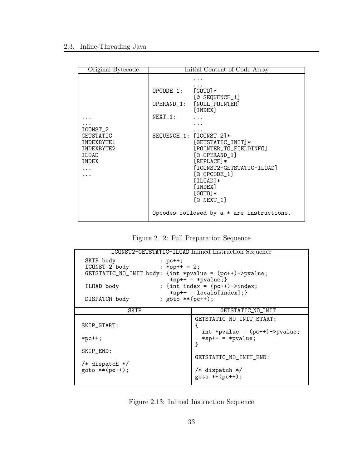| Original Bytecode                                                                           | Initial Content of Code Array                                                                                                                                                                                                                                                                                                                                   |
|---------------------------------------------------------------------------------------------|-----------------------------------------------------------------------------------------------------------------------------------------------------------------------------------------------------------------------------------------------------------------------------------------------------------------------------------------------------------------|
| ICONST <sub>-2</sub><br><b>GETSTATIC</b><br>INDEXBYTE1<br>TNDEXBYTE2<br>ILOAD<br>INDEX<br>. | $OPCODE_1: [GOTO]*$<br>[C SEQUENCE_1]<br>OPERAND_1: [NULL_POINTER]<br>[INDEX]<br>$NEXT_1:$<br>SEQUENCE_1: [ICONST_2]*<br>$[GETSTATE_INIT]$ *<br>[POINTER_TO_FIELDINFO]<br>[@ OPERAND 1]<br>$[REPLACE]$ *<br>[ICONST2-GETSTATIC-ILOAD]<br>$[@OPCODE_1]$<br>$[ILOAD]*$<br>[INDEX]<br>$[GOTO] *$<br>$[@$ NEXT $_1]$<br>Opcodes followed by $a * are instructions.$ |
|                                                                                             |                                                                                                                                                                                                                                                                                                                                                                 |

Figure 2.12: Full Preparation Sequence

| ICONST2-GETSTATIC-ILOAD Inlined Instruction Sequence                                                  |                                                                |  |  |  |
|-------------------------------------------------------------------------------------------------------|----------------------------------------------------------------|--|--|--|
| SKIP body<br>$:$ pc++;<br>$ICONST_2$ body : *sp++ = 2;                                                |                                                                |  |  |  |
| GETSTATIC_NO_INIT body: {int *pvalue = (pc++)->pvalue;                                                | $*$ sp++ = $*$ pvalue; }                                       |  |  |  |
| ILOAD body                                                                                            | : {int index = $(pc++)$ ->index;<br>$*$ sp++ = locals[index];} |  |  |  |
| : goto **(pc++);<br>DISPATCH body                                                                     |                                                                |  |  |  |
| SKIP                                                                                                  | GETSTATIC_NO_INIT                                              |  |  |  |
| SKIP_START:                                                                                           | GETSTATIC_NO_INIT_START:<br>int *pvalue = $(pc++)$ ->pvalue;   |  |  |  |
| $*pc++;$                                                                                              | $*$ sp++ = $*$ pvalue;<br>ጉ                                    |  |  |  |
| SKIP_END:                                                                                             |                                                                |  |  |  |
| GETSTATIC_NO_INIT_END:<br>/* dispatch */<br>$goto **(pc++);$<br>/* dispatch */<br>$goto * * (pc++)$ ; |                                                                |  |  |  |

Figure 2.13: Inlined Instruction Sequence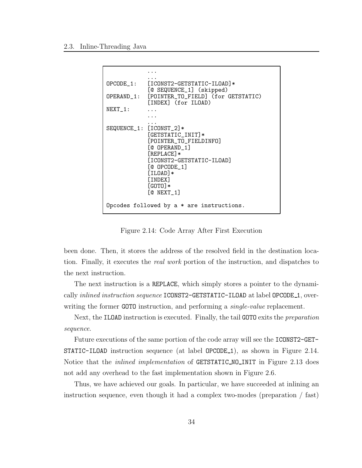```
...
            ...
OPCODE_1: [ICONST2-GETSTATIC-ILOAD]*
             [@ SEQUENCE_1] (skipped)
OPERAND_1: [POINTER_TO_FIELD] (for GETSTATIC)
            [INDEX] (for ILOAD)
NEXT_1: ...
            ...
            ...
SEQUENCE_1: [ICONST_2]*
            [GETSTATIC_INIT]*
             [POINTER_TO_FIELDINFO]
             [@ OPERAND_1]
             [REPLACE]*
             [ICONST2-GETSTATIC-ILOAD]
             [@ OPCODE_1]
             [ILOAD]*
             [INDEX]
             [GOTO] *[@ NEXT_1]
Opcodes followed by a * are instructions.
```
Figure 2.14: Code Array After First Execution

been done. Then, it stores the address of the resolved field in the destination location. Finally, it executes the real work portion of the instruction, and dispatches to the next instruction.

The next instruction is a REPLACE, which simply stores a pointer to the dynamically *inlined instruction sequence* ICONST2-GETSTATIC-ILOAD at label OPCODE<sub>1</sub>, overwriting the former GOTO instruction, and performing a *single-value* replacement.

Next, the ILOAD instruction is executed. Finally, the tail GOTO exits the preparation sequence.

Future executions of the same portion of the code array will see the ICONST2-GET-STATIC-ILOAD instruction sequence (at label OPCODE<sub>1</sub>), as shown in Figure 2.14. Notice that the *inlined implementation* of **GETSTATIC\_NO\_INIT** in Figure 2.13 does not add any overhead to the fast implementation shown in Figure 2.6.

Thus, we have achieved our goals. In particular, we have succeeded at inlining an instruction sequence, even though it had a complex two-modes (preparation / fast)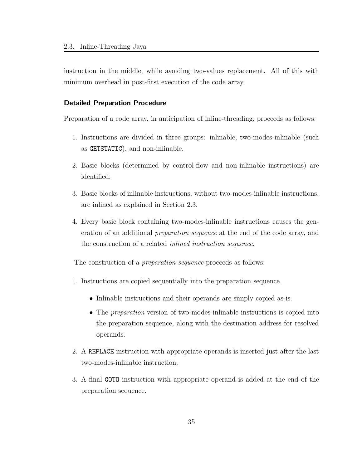instruction in the middle, while avoiding two-values replacement. All of this with minimum overhead in post-first execution of the code array.

#### Detailed Preparation Procedure

Preparation of a code array, in anticipation of inline-threading, proceeds as follows:

- 1. Instructions are divided in three groups: inlinable, two-modes-inlinable (such as GETSTATIC), and non-inlinable.
- 2. Basic blocks (determined by control-flow and non-inlinable instructions) are identified.
- 3. Basic blocks of inlinable instructions, without two-modes-inlinable instructions, are inlined as explained in Section 2.3.
- 4. Every basic block containing two-modes-inlinable instructions causes the generation of an additional preparation sequence at the end of the code array, and the construction of a related inlined instruction sequence.

The construction of a preparation sequence proceeds as follows:

- 1. Instructions are copied sequentially into the preparation sequence.
	- Inlinable instructions and their operands are simply copied as-is.
	- The *preparation* version of two-modes-inlinable instructions is copied into the preparation sequence, along with the destination address for resolved operands.
- 2. A REPLACE instruction with appropriate operands is inserted just after the last two-modes-inlinable instruction.
- 3. A final GOTO instruction with appropriate operand is added at the end of the preparation sequence.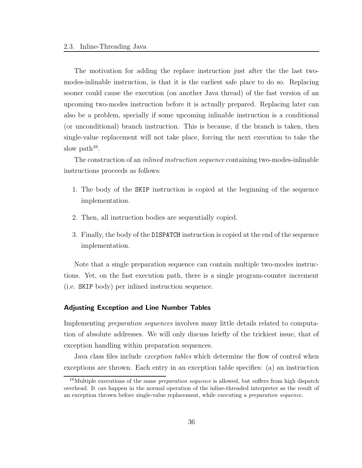The motivation for adding the replace instruction just after the the last twomodes-inlinable instruction, is that it is the earliest safe place to do so. Replacing sooner could cause the execution (on another Java thread) of the fast version of an upcoming two-modes instruction before it is actually prepared. Replacing later can also be a problem, specially if some upcoming inlinable instruction is a conditional (or unconditional) branch instruction. This is because, if the branch is taken, then single-value replacement will not take place, forcing the next execution to take the slow path<sup>16</sup>.

The construction of an *inlined instruction sequence* containing two-modes-inlinable instructions proceeds as follows:

- 1. The body of the SKIP instruction is copied at the beginning of the sequence implementation.
- 2. Then, all instruction bodies are sequentially copied.
- 3. Finally, the body of the DISPATCH instruction is copied at the end of the sequence implementation.

Note that a single preparation sequence can contain multiple two-modes instructions. Yet, on the fast execution path, there is a single program-counter increment (i.e. SKIP body) per inlined instruction sequence.

## Adjusting Exception and Line Number Tables

Implementing preparation sequences involves many little details related to computation of absolute addresses. We will only discuss briefly of the trickiest issue, that of exception handling within preparation sequences.

Java class files include *exception tables* which determine the flow of control when exceptions are thrown. Each entry in an exception table specifies: (a) an instruction

 $16$ Multiple executions of the same *preparation sequence* is allowed, but suffers from high dispatch overhead. It can happen in the normal operation of the inline-threaded interpreter as the result of an exception thrown before single-value replacement, while executing a preparation sequence.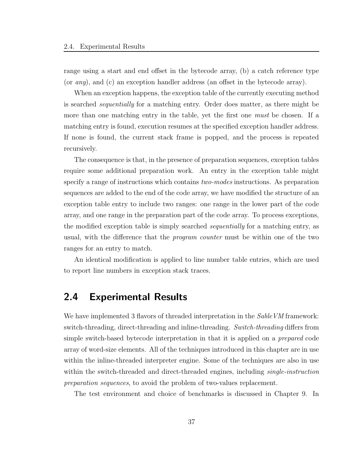range using a start and end offset in the bytecode array, (b) a catch reference type (or  $any$ ), and (c) an exception handler address (an offset in the bytecode array).

When an exception happens, the exception table of the currently executing method is searched sequentially for a matching entry. Order does matter, as there might be more than one matching entry in the table, yet the first one *must* be chosen. If a matching entry is found, execution resumes at the specified exception handler address. If none is found, the current stack frame is popped, and the process is repeated recursively.

The consequence is that, in the presence of preparation sequences, exception tables require some additional preparation work. An entry in the exception table might specify a range of instructions which contains two-modes instructions. As preparation sequences are added to the end of the code array, we have modified the structure of an exception table entry to include two ranges: one range in the lower part of the code array, and one range in the preparation part of the code array. To process exceptions, the modified exception table is simply searched *sequentially* for a matching entry, as usual, with the difference that the program counter must be within one of the two ranges for an entry to match.

An identical modification is applied to line number table entries, which are used to report line numbers in exception stack traces.

# 2.4 Experimental Results

We have implemented 3 flavors of threaded interpretation in the *Sable VM* framework: switch-threading, direct-threading and inline-threading. Switch-threading differs from simple switch-based bytecode interpretation in that it is applied on a prepared code array of word-size elements. All of the techniques introduced in this chapter are in use within the inline-threaded interpreter engine. Some of the techniques are also in use within the switch-threaded and direct-threaded engines, including *single-instruction* preparation sequences, to avoid the problem of two-values replacement.

The test environment and choice of benchmarks is discussed in Chapter 9. In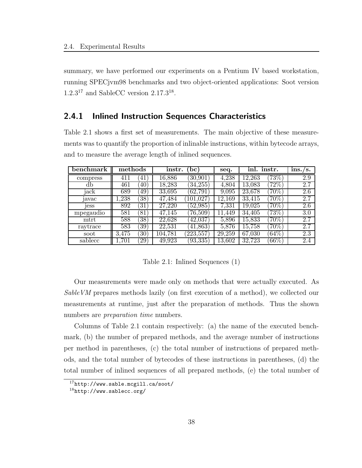summary, we have performed our experiments on a Pentium IV based workstation, running SPECjvm98 benchmarks and two object-oriented applications: Soot version  $1.2.3^{17}$  and SableCC version  $2.17.3^{18}$ .

# 2.4.1 Inlined Instruction Sequences Characteristics

Table 2.1 shows a first set of measurements. The main objective of these measurements was to quantify the proportion of inlinable instructions, within bytecode arrays, and to measure the average length of inlined sequences.

| benchmark         | $\rm{methods}$ |                 | instr.  | bc                      | seq.       | inl. instr.     |          | ins./s.          |
|-------------------|----------------|-----------------|---------|-------------------------|------------|-----------------|----------|------------------|
| compress          | 411            | 41              | 16,886  | 30,901                  | 4,238      | 12.<br>$.263\,$ | $73\%$   | 2.9              |
| db                | 461            | 40              | 18,283  | (34, 255)               | 4.804      | 13,083          | $72\%$   | 2.7              |
| jack              | 689            | 49              | 33,695  | (62, 791)               | 9,095      | 23,678          | $70\%)$  | 2.6              |
| <sub>1</sub> avac | .,238          | $\overline{38}$ | 47.484  | 101,027                 | 12,169     | 33,415          | $(70\%)$ | 2.7              |
| <sub>1</sub> ess  | 892            | 31              | 27.220  | (52, 985)               | 7,331      | $19.025\,$      | $(70\%)$ | 2.6              |
| mpegaudio         | 581            | 81              | 47,145  | $\left(76,\!509\right)$ | 11<br>.449 | 34.405          | $(73\%)$ | $\overline{3.0}$ |
| mtrt              | 588            | $\overline{38}$ | 22,628  | 42,037                  | 5,896      | 15,833          | $70\%$   | 2.7              |
| raytrace          | 583            | 39              | 22,531  | 41,863)                 | 5,876      | $15.758\,$      | $70\%$   | 2.7              |
| soot              | 3,475          | $ 30\rangle$    | 104,781 | (223, 557)              | 29,259     | 67,030          | $64\%$   | 2.3              |
| sablecc           | .701           | 29              | 49,923  | (93, 335)               | 13,602     | 32,723          | $66\%$   | 2.4              |

Table 2.1: Inlined Sequences (1)

Our measurements were made only on methods that were actually executed. As SableVM prepares methods lazily (on first execution of a method), we collected our measurements at runtime, just after the preparation of methods. Thus the shown numbers are *preparation time* numbers.

Columns of Table 2.1 contain respectively: (a) the name of the executed benchmark, (b) the number of prepared methods, and the average number of instructions per method in parentheses, (c) the total number of instructions of prepared methods, and the total number of bytecodes of these instructions in parentheses, (d) the total number of inlined sequences of all prepared methods, (e) the total number of

<sup>17</sup>http://www.sable.mcgill.ca/soot/

 $18$ http://www.sablecc.org/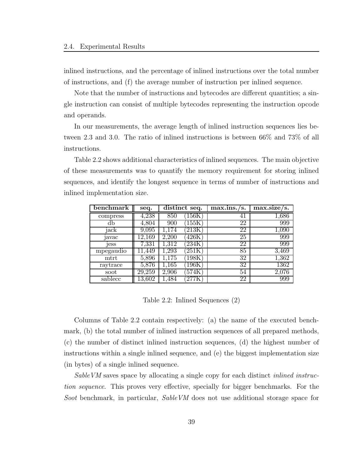inlined instructions, and the percentage of inlined instructions over the total number of instructions, and (f) the average number of instruction per inlined sequence.

Note that the number of instructions and bytecodes are different quantities; a single instruction can consist of multiple bytecodes representing the instruction opcode and operands.

In our measurements, the average length of inlined instruction sequences lies between 2.3 and 3.0. The ratio of inlined instructions is between 66% and 73% of all instructions.

Table 2.2 shows additional characteristics of inlined sequences. The main objective of these measurements was to quantify the memory requirement for storing inlined sequences, and identify the longest sequence in terms of number of instructions and inlined implementation size.

| benchmark       | seq.       | distinct seq.           | max.ins. /<br>s. | $max.size / s$ . |
|-----------------|------------|-------------------------|------------------|------------------|
| compress        | 4,238      | 850<br>156K             | 41               | 1,686            |
| db              | 4,804      | 155K<br>900             | 22               | 999              |
| jack            | 9,095      | 213K<br>174             | 22               | $1{,}090$        |
| avac            | $12{,}169$ | 2,200<br>426K           | $\overline{25}$  | 999              |
| <sub>Jess</sub> | 7,331      | $1,\!312$<br>234K       | 22               | 999              |
| mpegaudio       | .449       | ,293<br>251K            | 85               | 3,469            |
| $m$ trt         | 5,896      | ,175<br>$198\mathrm{K}$ | 32               | 1,362            |
| raytrace        | 5,876      | 165<br>$196\mathrm{K}$  | 32               | 1362             |
| soot            | 29,259     | 2,906<br>574K           | 54               | $2{,}076$        |
| sablecc         | $13,\!602$ | .484                    | 22               | 999              |

Table 2.2: Inlined Sequences (2)

Columns of Table 2.2 contain respectively: (a) the name of the executed benchmark, (b) the total number of inlined instruction sequences of all prepared methods, (c) the number of distinct inlined instruction sequences, (d) the highest number of instructions within a single inlined sequence, and (e) the biggest implementation size (in bytes) of a single inlined sequence.

SableVM saves space by allocating a single copy for each distinct inlined instruction sequence. This proves very effective, specially for bigger benchmarks. For the Soot benchmark, in particular, SableVM does not use additional storage space for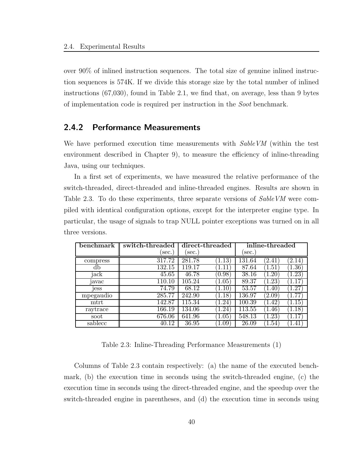over 90% of inlined instruction sequences. The total size of genuine inlined instruction sequences is 574K. If we divide this storage size by the total number of inlined instructions (67,030), found in Table 2.1, we find that, on average, less than 9 bytes of implementation code is required per instruction in the Soot benchmark.

# 2.4.2 Performance Measurements

We have performed execution time measurements with  $SableVM$  (within the test environment described in Chapter 9), to measure the efficiency of inline-threading Java, using our techniques.

In a first set of experiments, we have measured the relative performance of the switch-threaded, direct-threaded and inline-threaded engines. Results are shown in Table 2.3. To do these experiments, three separate versions of SableVM were compiled with identical configuration options, except for the interpreter engine type. In particular, the usage of signals to trap NULL pointer exceptions was turned on in all three versions.

| benchmark    | switch-threaded     | direct-threaded |                      | inline-threaded |                 |                  |
|--------------|---------------------|-----------------|----------------------|-----------------|-----------------|------------------|
|              | sec.                | sec.            |                      | sec.            |                 |                  |
| compress     | 317.72              | 281.78          | 1.13                 | 131.64          | $^{\prime}2.41$ | (2.14)           |
| db           | $\overline{132.15}$ | 119.17          | 1.11                 | 87.64           | 1.51            | 1.36)            |
| jack         | $\overline{45.65}$  | 46.78           | $\left( 0.98\right)$ | 38.16           | 20              | .23'             |
| <i>javac</i> | 110.10              | 105.24          | 1.05                 | 89.37           | 23              | .17              |
| jess         | 74.79               | 68.12           | 1.10                 | 53.57           | $.40^{\circ}$   | $\overline{.27}$ |
| mpegaudio    | 285.77              | 242.90          | [1.18]               | 136.97          | 2.09            | .77              |
| $m$ trt      | 142.87              | 115.34          | 1.24                 | 100.39          | 1.42            | $.15^{\circ}$    |
| raytrace     | 166.19              | 134.06          | .24                  | 113.55          | $1.46^\circ$    | $.18^{\circ}$    |
| soot         | 676.06              | 641.96          | 1.05                 | 548.13          | .23             | .17 <sup>7</sup> |
| sablecc      | 40.12               | 36.95           | 1.09                 | 26.09           | .54             | .41              |

Table 2.3: Inline-Threading Performance Measurements (1)

Columns of Table 2.3 contain respectively: (a) the name of the executed benchmark, (b) the execution time in seconds using the switch-threaded engine, (c) the execution time in seconds using the direct-threaded engine, and the speedup over the switch-threaded engine in parentheses, and (d) the execution time in seconds using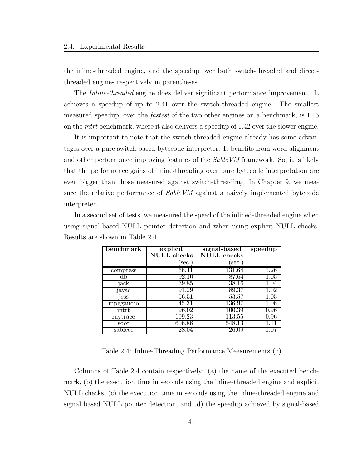the inline-threaded engine, and the speedup over both switch-threaded and directthreaded engines respectively in parentheses.

The Inline-threaded engine does deliver significant performance improvement. It achieves a speedup of up to 2.41 over the switch-threaded engine. The smallest measured speedup, over the *fastest* of the two other engines on a benchmark, is 1.15 on the *mtrt* benchmark, where it also delivers a speedup of 1.42 over the slower engine.

It is important to note that the switch-threaded engine already has some advantages over a pure switch-based bytecode interpreter. It benefits from word alignment and other performance improving features of the *SableVM* framework. So, it is likely that the performance gains of inline-threading over pure bytecode interpretation are even bigger than those measured against switch-threading. In Chapter 9, we measure the relative performance of SableVM against a naively implemented bytecode interpreter.

In a second set of tests, we measured the speed of the inlined-threaded engine when using signal-based NULL pointer detection and when using explicit NULL checks. Results are shown in Table 2.4.

| benchmark        | explicit    | signal-based | speedup  |
|------------------|-------------|--------------|----------|
|                  | NULL checks | NULL checks  |          |
|                  | sec.)       | sec.)        |          |
| compress         | 166.41      | 131.64       |          |
|                  | 92.10       | 87.64        | 1.05     |
| jack             | 39.85       | 38.16        | 1.U4     |
| 1avac            | 91.29       | 89.37        |          |
| <sub>1</sub> ess | 56.51       | 53.57        | 1.05     |
| mpegaudio        | 145.31      | 136.97       | $1.06\,$ |
| mtrt             | 96.02       | 100.39       | $0.96\,$ |
| raytrace         | 109.23      | 113.55       | 0.96     |
| soot             | 606.86      | 548.13       |          |
| sablecc          | 28.04       | 26.09        |          |

Table 2.4: Inline-Threading Performance Measurements (2)

Columns of Table 2.4 contain respectively: (a) the name of the executed benchmark, (b) the execution time in seconds using the inline-threaded engine and explicit NULL checks, (c) the execution time in seconds using the inline-threaded engine and signal based NULL pointer detection, and (d) the speedup achieved by signal-based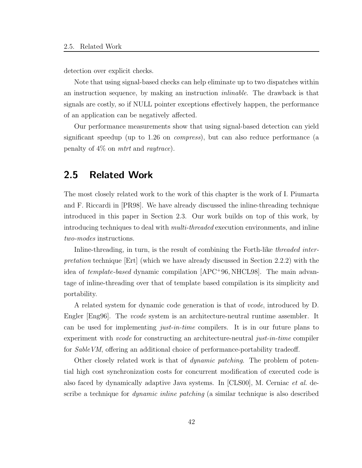detection over explicit checks.

Note that using signal-based checks can help eliminate up to two dispatches within an instruction sequence, by making an instruction inlinable. The drawback is that signals are costly, so if NULL pointer exceptions effectively happen, the performance of an application can be negatively affected.

Our performance measurements show that using signal-based detection can yield significant speedup (up to 1.26 on compress), but can also reduce performance (a penalty of  $4\%$  on *mtrt* and *raytrace*).

# 2.5 Related Work

The most closely related work to the work of this chapter is the work of I. Piumarta and F. Riccardi in [PR98]. We have already discussed the inline-threading technique introduced in this paper in Section 2.3. Our work builds on top of this work, by introducing techniques to deal with multi-threaded execution environments, and inline two-modes instructions.

Inline-threading, in turn, is the result of combining the Forth-like threaded interpretation technique [Ert] (which we have already discussed in Section 2.2.2) with the idea of *template-based* dynamic compilation [APC<sup>+</sup>96, NHCL98]. The main advantage of inline-threading over that of template based compilation is its simplicity and portability.

A related system for dynamic code generation is that of vcode, introduced by D. Engler | Eng96|. The *vcode* system is an architecture-neutral runtime assembler. It can be used for implementing just-in-time compilers. It is in our future plans to experiment with *vcode* for constructing an architecture-neutral *just-in-time* compiler for SableVM, offering an additional choice of performance-portability tradeoff.

Other closely related work is that of dynamic patching. The problem of potential high cost synchronization costs for concurrent modification of executed code is also faced by dynamically adaptive Java systems. In [CLS00], M. Cerniac et al. describe a technique for dynamic inline patching (a similar technique is also described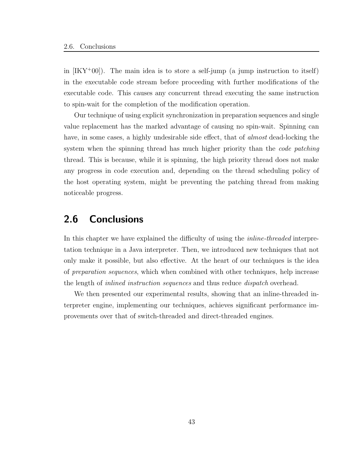in  $[IKY^+00]$ . The main idea is to store a self-jump (a jump instruction to itself) in the executable code stream before proceeding with further modifications of the executable code. This causes any concurrent thread executing the same instruction to spin-wait for the completion of the modification operation.

Our technique of using explicit synchronization in preparation sequences and single value replacement has the marked advantage of causing no spin-wait. Spinning can have, in some cases, a highly undesirable side effect, that of *almost* dead-locking the system when the spinning thread has much higher priority than the *code patching* thread. This is because, while it is spinning, the high priority thread does not make any progress in code execution and, depending on the thread scheduling policy of the host operating system, might be preventing the patching thread from making noticeable progress.

# 2.6 Conclusions

In this chapter we have explained the difficulty of using the *inline-threaded* interpretation technique in a Java interpreter. Then, we introduced new techniques that not only make it possible, but also effective. At the heart of our techniques is the idea of preparation sequences, which when combined with other techniques, help increase the length of *inlined instruction sequences* and thus reduce *dispatch* overhead.

We then presented our experimental results, showing that an inline-threaded interpreter engine, implementing our techniques, achieves significant performance improvements over that of switch-threaded and direct-threaded engines.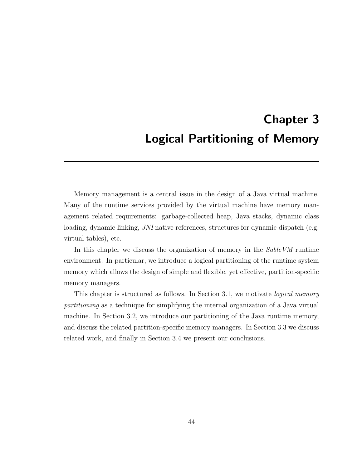# Chapter 3 Logical Partitioning of Memory

Memory management is a central issue in the design of a Java virtual machine. Many of the runtime services provided by the virtual machine have memory management related requirements: garbage-collected heap, Java stacks, dynamic class loading, dynamic linking, JNI native references, structures for dynamic dispatch (e.g. virtual tables), etc.

In this chapter we discuss the organization of memory in the SableVM runtime environment. In particular, we introduce a logical partitioning of the runtime system memory which allows the design of simple and flexible, yet effective, partition-specific memory managers.

This chapter is structured as follows. In Section 3.1, we motivate logical memory partitioning as a technique for simplifying the internal organization of a Java virtual machine. In Section 3.2, we introduce our partitioning of the Java runtime memory, and discuss the related partition-specific memory managers. In Section 3.3 we discuss related work, and finally in Section 3.4 we present our conclusions.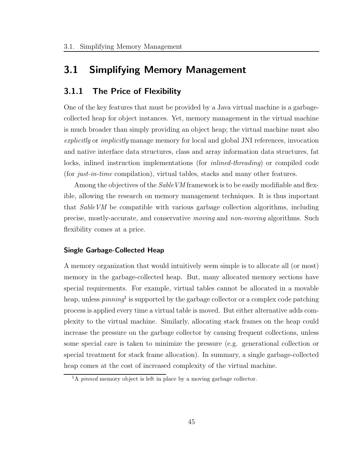# 3.1 Simplifying Memory Management

# 3.1.1 The Price of Flexibility

One of the key features that must be provided by a Java virtual machine is a garbagecollected heap for object instances. Yet, memory management in the virtual machine is much broader than simply providing an object heap; the virtual machine must also explicitly or implicitly manage memory for local and global JNI references, invocation and native interface data structures, class and array information data structures, fat locks, inlined instruction implementations (for inlined-threading) or compiled code (for just-in-time compilation), virtual tables, stacks and many other features.

Among the objectives of the *Sable VM* framework is to be easily modifiable and flexible, allowing the research on memory management techniques. It is thus important that SableVM be compatible with various garbage collection algorithms, including precise, mostly-accurate, and conservative moving and non-moving algorithms. Such flexibility comes at a price.

## Single Garbage-Collected Heap

A memory organization that would intuitively seem simple is to allocate all (or most) memory in the garbage-collected heap. But, many allocated memory sections have special requirements. For example, virtual tables cannot be allocated in a movable heap, unless  $pinning<sup>1</sup>$  is supported by the garbage collector or a complex code patching process is applied every time a virtual table is moved. But either alternative adds complexity to the virtual machine. Similarly, allocating stack frames on the heap could increase the pressure on the garbage collector by causing frequent collections, unless some special care is taken to minimize the pressure (e.g. generational collection or special treatment for stack frame allocation). In summary, a single garbage-collected heap comes at the cost of increased complexity of the virtual machine.

 $1_A$  pinned memory object is left in place by a moving garbage collector.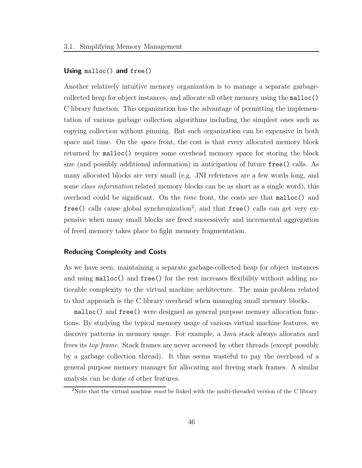## Using malloc() and free()

Another relatively intuitive memory organization is to manage a separate garbagecollected heap for object instances, and allocate all other memory using the malloc() C library function. This organization has the advantage of permitting the implementation of various garbage collection algorithms including the simplest ones such as copying collection without pinning. But such organization can be expensive in both space and time. On the space front, the cost is that every allocated memory block returned by malloc() requires some overhead memory space for storing the block size (and possibly additional information) in anticipation of future free() calls. As many allocated blocks are very small (e.g. JNI references are a few words long, and some *class information* related memory blocks can be as short as a single word), this overhead could be significant. On the *time* front, the costs are that  $\text{malloc}()$  and  ${\tt free}$  () calls cause global synchronization<sup>2</sup>, and that  ${\tt free}$  () calls can get very expensive when many small blocks are freed successively and incremental aggregation of freed memory takes place to fight memory fragmentation.

#### Reducing Complexity and Costs

As we have seen, maintaining a separate garbage-collected heap for object instances and using malloc() and free() for the rest increases flexibility without adding noticeable complexity to the virtual machine architecture. The main problem related to that approach is the C library overhead when managing small memory blocks.

malloc() and free() were designed as general purpose memory allocation functions. By studying the typical memory usage of various virtual machine features, we discover patterns in memory usage. For example, a Java stack always allocates and frees its top frame. Stack frames are never accessed by other threads (except possibly by a garbage collection thread). It thus seems wasteful to pay the overhead of a general purpose memory manager for allocating and freeing stack frames. A similar analysis can be done of other features.

<sup>&</sup>lt;sup>2</sup>Note that the virtual machine *must* be linked with the multi-threaded version of the C library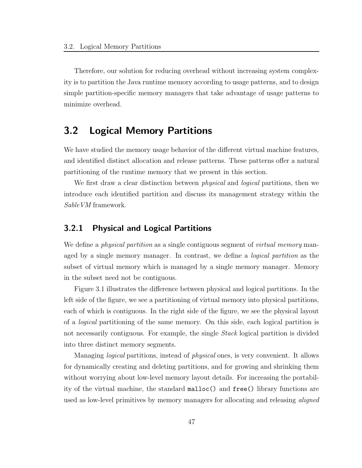Therefore, our solution for reducing overhead without increasing system complexity is to partition the Java runtime memory according to usage patterns, and to design simple partition-specific memory managers that take advantage of usage patterns to minimize overhead.

# 3.2 Logical Memory Partitions

We have studied the memory usage behavior of the different virtual machine features, and identified distinct allocation and release patterns. These patterns offer a natural partitioning of the runtime memory that we present in this section.

We first draw a clear distinction between *physical* and *logical* partitions, then we introduce each identified partition and discuss its management strategy within the SableVM framework.

# 3.2.1 Physical and Logical Partitions

We define a *physical partition* as a single contiguous segment of *virtual memory* managed by a single memory manager. In contrast, we define a logical partition as the subset of virtual memory which is managed by a single memory manager. Memory in the subset need not be contiguous.

Figure 3.1 illustrates the difference between physical and logical partitions. In the left side of the figure, we see a partitioning of virtual memory into physical partitions, each of which is contiguous. In the right side of the figure, we see the physical layout of a logical partitioning of the same memory. On this side, each logical partition is not necessarily contiguous. For example, the single Stack logical partition is divided into three distinct memory segments.

Managing logical partitions, instead of physical ones, is very convenient. It allows for dynamically creating and deleting partitions, and for growing and shrinking them without worrying about low-level memory layout details. For increasing the portability of the virtual machine, the standard malloc() and free() library functions are used as low-level primitives by memory managers for allocating and releasing *aligned*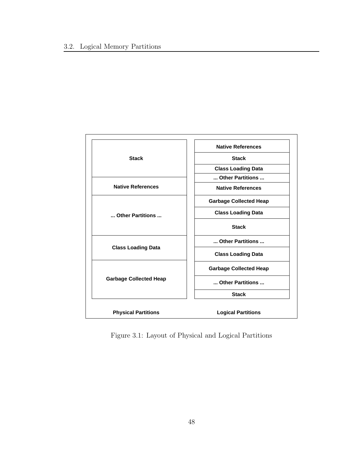

Figure 3.1: Layout of Physical and Logical Partitions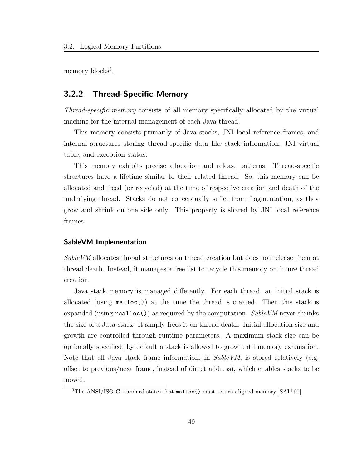memory blocks<sup>3</sup>.

# 3.2.2 Thread-Specific Memory

Thread-specific memory consists of all memory specifically allocated by the virtual machine for the internal management of each Java thread.

This memory consists primarily of Java stacks, JNI local reference frames, and internal structures storing thread-specific data like stack information, JNI virtual table, and exception status.

This memory exhibits precise allocation and release patterns. Thread-specific structures have a lifetime similar to their related thread. So, this memory can be allocated and freed (or recycled) at the time of respective creation and death of the underlying thread. Stacks do not conceptually suffer from fragmentation, as they grow and shrink on one side only. This property is shared by JNI local reference frames.

## SableVM Implementation

SableVM allocates thread structures on thread creation but does not release them at thread death. Instead, it manages a free list to recycle this memory on future thread creation.

Java stack memory is managed differently. For each thread, an initial stack is allocated (using malloc()) at the time the thread is created. Then this stack is expanded (using realloc()) as required by the computation. Sable VM never shrinks the size of a Java stack. It simply frees it on thread death. Initial allocation size and growth are controlled through runtime parameters. A maximum stack size can be optionally specified; by default a stack is allowed to grow until memory exhaustion. Note that all Java stack frame information, in  $SableVM$ , is stored relatively (e.g. offset to previous/next frame, instead of direct address), which enables stacks to be moved.

<sup>&</sup>lt;sup>3</sup>The ANSI/ISO C standard states that  $\text{malloc}()$  must return aligned memory [SAI<sup>+90]</sup>.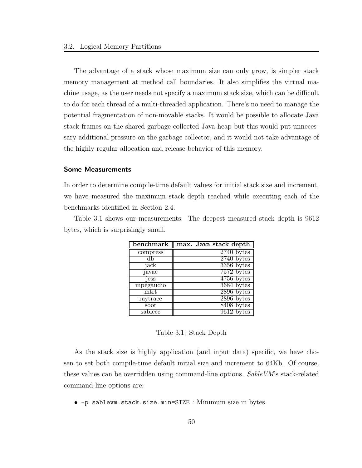The advantage of a stack whose maximum size can only grow, is simpler stack memory management at method call boundaries. It also simplifies the virtual machine usage, as the user needs not specify a maximum stack size, which can be difficult to do for each thread of a multi-threaded application. There's no need to manage the potential fragmentation of non-movable stacks. It would be possible to allocate Java stack frames on the shared garbage-collected Java heap but this would put unnecessary additional pressure on the garbage collector, and it would not take advantage of the highly regular allocation and release behavior of this memory.

## Some Measurements

In order to determine compile-time default values for initial stack size and increment, we have measured the maximum stack depth reached while executing each of the benchmarks identified in Section 2.4.

Table 3.1 shows our measurements. The deepest measured stack depth is 9612 bytes, which is surprisingly small.

| benchmark- | max. Java stack depth |
|------------|-----------------------|
| compress   | $2740$ bytes          |
|            | $2740$ bytes          |
| jack       | $3356$ bytes          |
| javac      | $7572$ bytes          |
| jess       | $4756$ bytes          |
| mpegaudio  | 3684 bytes            |
| mtrt       | $2896$ bytes          |
| raytrace   | $2896$ bytes          |
| soot       | 8408 bytes            |
| sablecc    | $9612$ bytes          |

| Table 3.1: Stack Depth |  |  |
|------------------------|--|--|
|------------------------|--|--|

As the stack size is highly application (and input data) specific, we have chosen to set both compile-time default initial size and increment to 64Kb. Of course, these values can be overridden using command-line options. Sable VM's stack-related command-line options are:

• -p sablevm.stack.size.min=SIZE : Minimum size in bytes.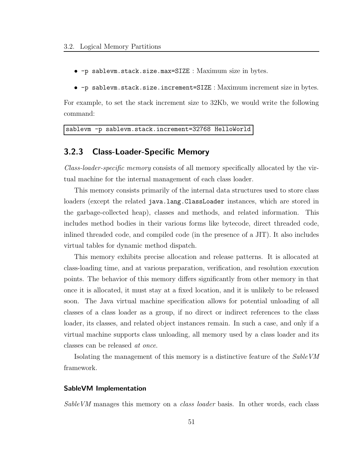- -p sablevm.stack.size.max=SIZE : Maximum size in bytes.
- -p sablevm.stack.size.increment=SIZE : Maximum increment size in bytes.

For example, to set the stack increment size to 32Kb, we would write the following command:

```
sablevm -p sablevm.stack.increment=32768 HelloWorld
```
# 3.2.3 Class-Loader-Specific Memory

Class-loader-specific memory consists of all memory specifically allocated by the virtual machine for the internal management of each class loader.

This memory consists primarily of the internal data structures used to store class loaders (except the related java.lang.ClassLoader instances, which are stored in the garbage-collected heap), classes and methods, and related information. This includes method bodies in their various forms like bytecode, direct threaded code, inlined threaded code, and compiled code (in the presence of a JIT). It also includes virtual tables for dynamic method dispatch.

This memory exhibits precise allocation and release patterns. It is allocated at class-loading time, and at various preparation, verification, and resolution execution points. The behavior of this memory differs significantly from other memory in that once it is allocated, it must stay at a fixed location, and it is unlikely to be released soon. The Java virtual machine specification allows for potential unloading of all classes of a class loader as a group, if no direct or indirect references to the class loader, its classes, and related object instances remain. In such a case, and only if a virtual machine supports class unloading, all memory used by a class loader and its classes can be released at once.

Isolating the management of this memory is a distinctive feature of the SableVM framework.

#### SableVM Implementation

SableVM manages this memory on a class loader basis. In other words, each class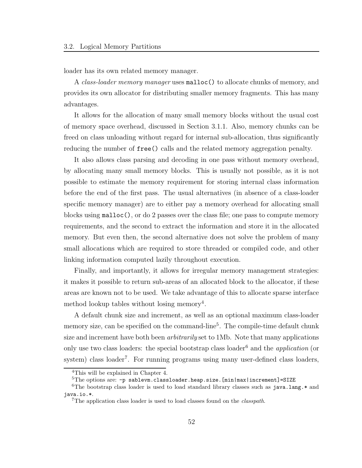loader has its own related memory manager.

A class-loader memory manager uses malloc() to allocate chunks of memory, and provides its own allocator for distributing smaller memory fragments. This has many advantages.

It allows for the allocation of many small memory blocks without the usual cost of memory space overhead, discussed in Section 3.1.1. Also, memory chunks can be freed on class unloading without regard for internal sub-allocation, thus significantly reducing the number of free() calls and the related memory aggregation penalty.

It also allows class parsing and decoding in one pass without memory overhead, by allocating many small memory blocks. This is usually not possible, as it is not possible to estimate the memory requirement for storing internal class information before the end of the first pass. The usual alternatives (in absence of a class-loader specific memory manager) are to either pay a memory overhead for allocating small blocks using malloc(), or do 2 passes over the class file; one pass to compute memory requirements, and the second to extract the information and store it in the allocated memory. But even then, the second alternative does not solve the problem of many small allocations which are required to store threaded or compiled code, and other linking information computed lazily throughout execution.

Finally, and importantly, it allows for irregular memory management strategies: it makes it possible to return sub-areas of an allocated block to the allocator, if these areas are known not to be used. We take advantage of this to allocate sparse interface method lookup tables without losing memory<sup>4</sup>.

A default chunk size and increment, as well as an optional maximum class-loader memory size, can be specified on the command-line<sup>5</sup>. The compile-time default chunk size and increment have both been *arbitrarily* set to 1Mb. Note that many applications only use two class loaders: the special bootstrap class loader<sup>6</sup> and the *application* (or system) class loader<sup>7</sup>. For running programs using many user-defined class loaders,

<sup>4</sup>This will be explained in Chapter 4.

<sup>&</sup>lt;sup>5</sup>The options are: -p sablevm.classloader.heap.size.[min|max|increment]=SIZE

<sup>&</sup>lt;sup>6</sup>The bootstrap class loader is used to load standard library classes such as java.lang.\* and java.io.\*.

<sup>&</sup>lt;sup>7</sup>The application class loader is used to load classes found on the *classpath*.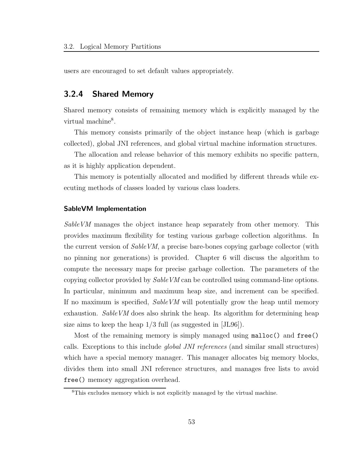users are encouraged to set default values appropriately.

# 3.2.4 Shared Memory

Shared memory consists of remaining memory which is explicitly managed by the virtual machine<sup>8</sup>.

This memory consists primarily of the object instance heap (which is garbage collected), global JNI references, and global virtual machine information structures.

The allocation and release behavior of this memory exhibits no specific pattern, as it is highly application dependent.

This memory is potentially allocated and modified by different threads while executing methods of classes loaded by various class loaders.

#### SableVM Implementation

SableVM manages the object instance heap separately from other memory. This provides maximum flexibility for testing various garbage collection algorithms. In the current version of *SableVM*, a precise bare-bones copying garbage collector (with no pinning nor generations) is provided. Chapter 6 will discuss the algorithm to compute the necessary maps for precise garbage collection. The parameters of the copying collector provided by SableVM can be controlled using command-line options. In particular, minimum and maximum heap size, and increment can be specified. If no maximum is specified, SableVM will potentially grow the heap until memory exhaustion. Sable VM does also shrink the heap. Its algorithm for determining heap size aims to keep the heap 1/3 full (as suggested in [JL96]).

Most of the remaining memory is simply managed using malloc() and free() calls. Exceptions to this include global JNI references (and similar small structures) which have a special memory manager. This manager allocates big memory blocks, divides them into small JNI reference structures, and manages free lists to avoid free() memory aggregation overhead.

<sup>8</sup>This excludes memory which is not explicitly managed by the virtual machine.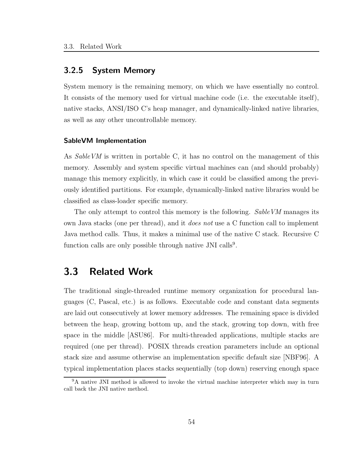# 3.2.5 System Memory

System memory is the remaining memory, on which we have essentially no control. It consists of the memory used for virtual machine code (i.e. the executable itself), native stacks, ANSI/ISO C's heap manager, and dynamically-linked native libraries, as well as any other uncontrollable memory.

#### SableVM Implementation

As SableVM is written in portable C, it has no control on the management of this memory. Assembly and system specific virtual machines can (and should probably) manage this memory explicitly, in which case it could be classified among the previously identified partitions. For example, dynamically-linked native libraries would be classified as class-loader specific memory.

The only attempt to control this memory is the following. Sable VM manages its own Java stacks (one per thread), and it does not use a C function call to implement Java method calls. Thus, it makes a minimal use of the native C stack. Recursive C function calls are only possible through native JNI calls<sup>9</sup>.

# 3.3 Related Work

The traditional single-threaded runtime memory organization for procedural languages (C, Pascal, etc.) is as follows. Executable code and constant data segments are laid out consecutively at lower memory addresses. The remaining space is divided between the heap, growing bottom up, and the stack, growing top down, with free space in the middle [ASU86]. For multi-threaded applications, multiple stacks are required (one per thread). POSIX threads creation parameters include an optional stack size and assume otherwise an implementation specific default size [NBF96]. A typical implementation places stacks sequentially (top down) reserving enough space

<sup>9</sup>A native JNI method is allowed to invoke the virtual machine interpreter which may in turn call back the JNI native method.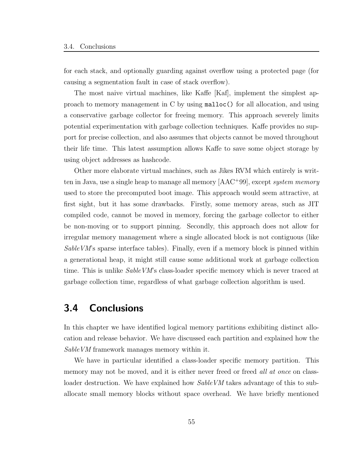for each stack, and optionally guarding against overflow using a protected page (for causing a segmentation fault in case of stack overflow).

The most naive virtual machines, like Kaffe [Kaf], implement the simplest approach to memory management in C by using malloc() for all allocation, and using a conservative garbage collector for freeing memory. This approach severely limits potential experimentation with garbage collection techniques. Kaffe provides no support for precise collection, and also assumes that objects cannot be moved throughout their life time. This latest assumption allows Kaffe to save some object storage by using object addresses as hashcode.

Other more elaborate virtual machines, such as Jikes RVM which entirely is written in Java, use a single heap to manage all memory [AAC<sup>+</sup>99], except *system memory* used to store the precomputed boot image. This approach would seem attractive, at first sight, but it has some drawbacks. Firstly, some memory areas, such as JIT compiled code, cannot be moved in memory, forcing the garbage collector to either be non-moving or to support pinning. Secondly, this approach does not allow for irregular memory management where a single allocated block is not contiguous (like  $SableVM$ 's sparse interface tables). Finally, even if a memory block is pinned within a generational heap, it might still cause some additional work at garbage collection time. This is unlike *SableVM*'s class-loader specific memory which is never traced at garbage collection time, regardless of what garbage collection algorithm is used.

# 3.4 Conclusions

In this chapter we have identified logical memory partitions exhibiting distinct allocation and release behavior. We have discussed each partition and explained how the SableVM framework manages memory within it.

We have in particular identified a class-loader specific memory partition. This memory may not be moved, and it is either never freed or freed all at once on classloader destruction. We have explained how *SableVM* takes advantage of this to suballocate small memory blocks without space overhead. We have briefly mentioned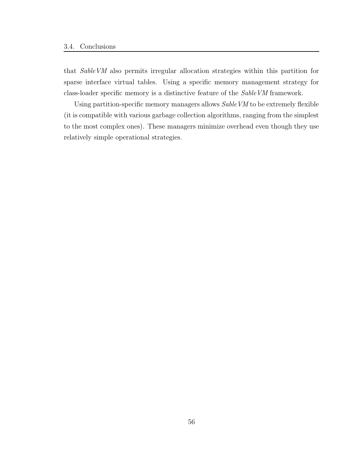that SableVM also permits irregular allocation strategies within this partition for sparse interface virtual tables. Using a specific memory management strategy for class-loader specific memory is a distinctive feature of the SableVM framework.

Using partition-specific memory managers allows SableVM to be extremely flexible (it is compatible with various garbage collection algorithms, ranging from the simplest to the most complex ones). These managers minimize overhead even though they use relatively simple operational strategies.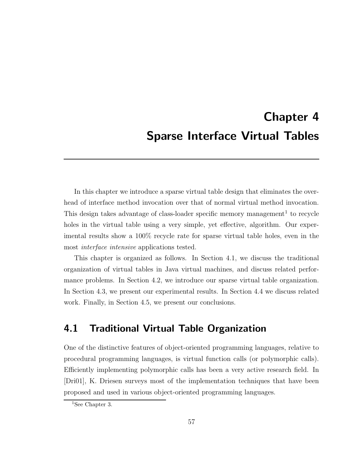# Chapter 4 Sparse Interface Virtual Tables

In this chapter we introduce a sparse virtual table design that eliminates the overhead of interface method invocation over that of normal virtual method invocation. This design takes advantage of class-loader specific memory management<sup>1</sup> to recycle holes in the virtual table using a very simple, yet effective, algorithm. Our experimental results show a 100% recycle rate for sparse virtual table holes, even in the most interface intensive applications tested.

This chapter is organized as follows. In Section 4.1, we discuss the traditional organization of virtual tables in Java virtual machines, and discuss related performance problems. In Section 4.2, we introduce our sparse virtual table organization. In Section 4.3, we present our experimental results. In Section 4.4 we discuss related work. Finally, in Section 4.5, we present our conclusions.

# 4.1 Traditional Virtual Table Organization

One of the distinctive features of object-oriented programming languages, relative to procedural programming languages, is virtual function calls (or polymorphic calls). Efficiently implementing polymorphic calls has been a very active research field. In [Dri01], K. Driesen surveys most of the implementation techniques that have been proposed and used in various object-oriented programming languages.

<sup>&</sup>lt;sup>1</sup>See Chapter 3.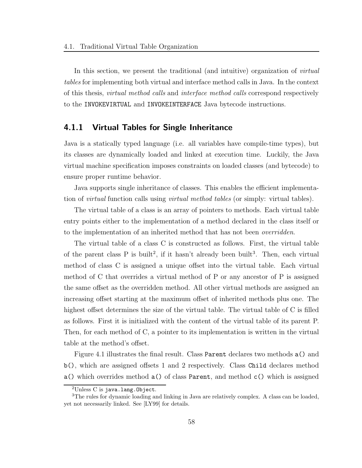In this section, we present the traditional (and intuitive) organization of *virtual* tables for implementing both virtual and interface method calls in Java. In the context of this thesis, *virtual method calls* and *interface method calls* correspond respectively to the INVOKEVIRTUAL and INVOKEINTERFACE Java bytecode instructions.

## 4.1.1 Virtual Tables for Single Inheritance

Java is a statically typed language (i.e. all variables have compile-time types), but its classes are dynamically loaded and linked at execution time. Luckily, the Java virtual machine specification imposes constraints on loaded classes (and bytecode) to ensure proper runtime behavior.

Java supports single inheritance of classes. This enables the efficient implementation of *virtual* function calls using *virtual method tables* (or simply: virtual tables).

The virtual table of a class is an array of pointers to methods. Each virtual table entry points either to the implementation of a method declared in the class itself or to the implementation of an inherited method that has not been *overridden*.

The virtual table of a class C is constructed as follows. First, the virtual table of the parent class P is built<sup>2</sup>, if it hasn't already been built<sup>3</sup>. Then, each virtual method of class C is assigned a unique offset into the virtual table. Each virtual method of C that overrides a virtual method of P or any ancestor of P is assigned the same offset as the overridden method. All other virtual methods are assigned an increasing offset starting at the maximum offset of inherited methods plus one. The highest offset determines the size of the virtual table. The virtual table of C is filled as follows. First it is initialized with the content of the virtual table of its parent P. Then, for each method of C, a pointer to its implementation is written in the virtual table at the method's offset.

Figure 4.1 illustrates the final result. Class Parent declares two methods a() and b(), which are assigned offsets 1 and 2 respectively. Class Child declares method a() which overrides method  $a()$  of class Parent, and method  $c()$  which is assigned

 $2$ Unless C is java.lang.Object.

<sup>&</sup>lt;sup>3</sup>The rules for dynamic loading and linking in Java are relatively complex. A class can be loaded, yet not necessarily linked. See [LY99] for details.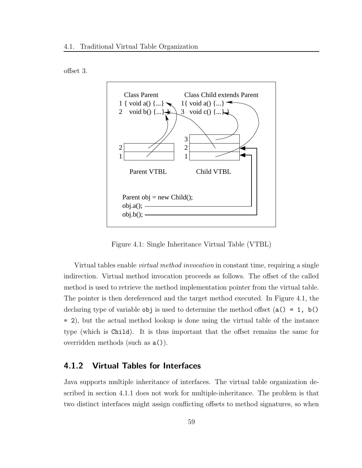



Figure 4.1: Single Inheritance Virtual Table (VTBL)

Virtual tables enable virtual method invocation in constant time, requiring a single indirection. Virtual method invocation proceeds as follows. The offset of the called method is used to retrieve the method implementation pointer from the virtual table. The pointer is then dereferenced and the target method executed. In Figure 4.1, the declaring type of variable obj is used to determine the method offset  $(a() = 1, b()$ = 2), but the actual method lookup is done using the virtual table of the instance type (which is Child). It is thus important that the offset remains the same for overridden methods (such as a()).

### 4.1.2 Virtual Tables for Interfaces

Java supports multiple inheritance of interfaces. The virtual table organization described in section 4.1.1 does not work for multiple-inheritance. The problem is that two distinct interfaces might assign conflicting offsets to method signatures, so when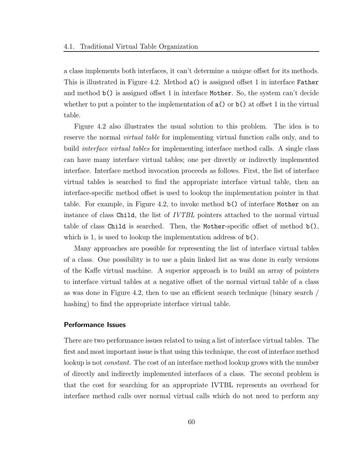a class implements both interfaces, it can't determine a unique offset for its methods. This is illustrated in Figure 4.2. Method a() is assigned offset 1 in interface Father and method b() is assigned offset 1 in interface Mother. So, the system can't decide whether to put a pointer to the implementation of  $a()$  or  $b()$  at offset 1 in the virtual table.

Figure 4.2 also illustrates the usual solution to this problem. The idea is to reserve the normal *virtual table* for implementing virtual function calls only, and to build *interface virtual tables* for implementing interface method calls. A single class can have many interface virtual tables; one per directly or indirectly implemented interface. Interface method invocation proceeds as follows. First, the list of interface virtual tables is searched to find the appropriate interface virtual table, then an interface-specific method offset is used to lookup the implementation pointer in that table. For example, in Figure 4.2, to invoke method b() of interface Mother on an instance of class Child, the list of IVTBL pointers attached to the normal virtual table of class Child is searched. Then, the Mother-specific offset of method b(), which is 1, is used to lookup the implementation address of  $b()$ .

Many approaches are possible for representing the list of interface virtual tables of a class. One possibility is to use a plain linked list as was done in early versions of the Kaffe virtual machine. A superior approach is to build an array of pointers to interface virtual tables at a negative offset of the normal virtual table of a class as was done in Figure 4.2, then to use an efficient search technique (binary search / hashing) to find the appropriate interface virtual table.

#### Performance Issues

There are two performance issues related to using a list of interface virtual tables. The first and most important issue is that using this technique, the cost of interface method lookup is not *constant*. The cost of an interface method lookup grows with the number of directly and indirectly implemented interfaces of a class. The second problem is that the cost for searching for an appropriate IVTBL represents an overhead for interface method calls over normal virtual calls which do not need to perform any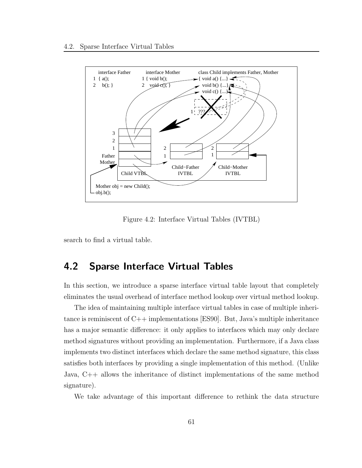

Figure 4.2: Interface Virtual Tables (IVTBL)

search to find a virtual table.

# 4.2 Sparse Interface Virtual Tables

In this section, we introduce a sparse interface virtual table layout that completely eliminates the usual overhead of interface method lookup over virtual method lookup.

The idea of maintaining multiple interface virtual tables in case of multiple inheritance is reminiscent of C++ implementations [ES90]. But, Java's multiple inheritance has a major semantic difference: it only applies to interfaces which may only declare method signatures without providing an implementation. Furthermore, if a Java class implements two distinct interfaces which declare the same method signature, this class satisfies both interfaces by providing a single implementation of this method. (Unlike Java, C++ allows the inheritance of distinct implementations of the same method signature).

We take advantage of this important difference to rethink the data structure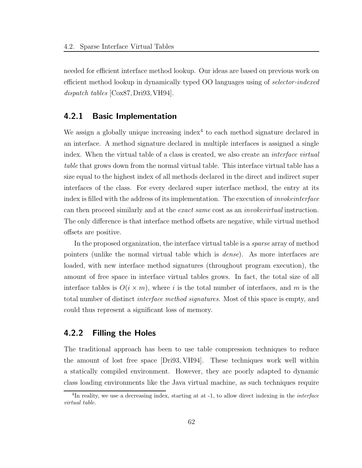needed for efficient interface method lookup. Our ideas are based on previous work on efficient method lookup in dynamically typed OO languages using of selector-indexed dispatch tables [Cox87, Dri93, VH94].

### 4.2.1 Basic Implementation

We assign a globally unique increasing index<sup>4</sup> to each method signature declared in an interface. A method signature declared in multiple interfaces is assigned a single index. When the virtual table of a class is created, we also create an *interface virtual* table that grows down from the normal virtual table. This interface virtual table has a size equal to the highest index of all methods declared in the direct and indirect super interfaces of the class. For every declared super interface method, the entry at its index is filled with the address of its implementation. The execution of invokeinterface can then proceed similarly and at the exact same cost as an invokevirtual instruction. The only difference is that interface method offsets are negative, while virtual method offsets are positive.

In the proposed organization, the interface virtual table is a sparse array of method pointers (unlike the normal virtual table which is dense). As more interfaces are loaded, with new interface method signatures (throughout program execution), the amount of free space in interface virtual tables grows. In fact, the total size of all interface tables is  $O(i \times m)$ , where i is the total number of interfaces, and m is the total number of distinct *interface method signatures*. Most of this space is empty, and could thus represent a significant loss of memory.

### 4.2.2 Filling the Holes

The traditional approach has been to use table compression techniques to reduce the amount of lost free space [Dri93, VH94]. These techniques work well within a statically compiled environment. However, they are poorly adapted to dynamic class loading environments like the Java virtual machine, as such techniques require

<sup>&</sup>lt;sup>4</sup>In reality, we use a decreasing index, starting at at -1, to allow direct indexing in the *interface* virtual table.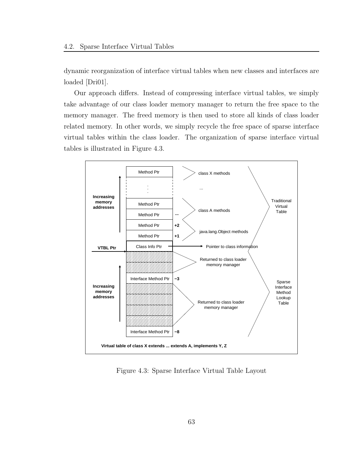dynamic reorganization of interface virtual tables when new classes and interfaces are loaded [Dri01].

Our approach differs. Instead of compressing interface virtual tables, we simply take advantage of our class loader memory manager to return the free space to the memory manager. The freed memory is then used to store all kinds of class loader related memory. In other words, we simply recycle the free space of sparse interface virtual tables within the class loader. The organization of sparse interface virtual tables is illustrated in Figure 4.3.



Figure 4.3: Sparse Interface Virtual Table Layout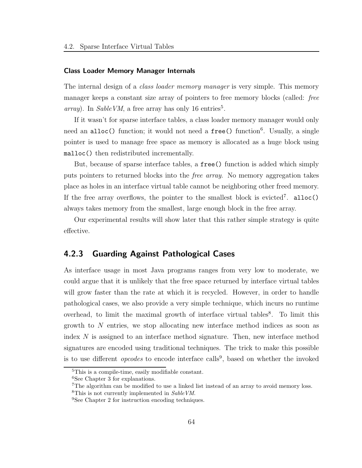#### Class Loader Memory Manager Internals

The internal design of a *class loader memory manager* is very simple. This memory manager keeps a constant size array of pointers to free memory blocks (called: free array). In Sable VM, a free array has only 16 entries<sup>5</sup>.

If it wasn't for sparse interface tables, a class loader memory manager would only need an alloc() function; it would not need a free() function<sup>6</sup>. Usually, a single pointer is used to manage free space as memory is allocated as a huge block using malloc() then redistributed incrementally.

But, because of sparse interface tables, a free() function is added which simply puts pointers to returned blocks into the free array. No memory aggregation takes place as holes in an interface virtual table cannot be neighboring other freed memory. If the free array overflows, the pointer to the smallest block is evicted<sup>7</sup>. alloc() always takes memory from the smallest, large enough block in the free array.

Our experimental results will show later that this rather simple strategy is quite effective.

### 4.2.3 Guarding Against Pathological Cases

As interface usage in most Java programs ranges from very low to moderate, we could argue that it is unlikely that the free space returned by interface virtual tables will grow faster than the rate at which it is recycled. However, in order to handle pathological cases, we also provide a very simple technique, which incurs no runtime overhead, to limit the maximal growth of interface virtual tables<sup>8</sup>. To limit this growth to N entries, we stop allocating new interface method indices as soon as index N is assigned to an interface method signature. Then, new interface method signatures are encoded using traditional techniques. The trick to make this possible is to use different *opcodes* to encode interface calls<sup>9</sup>, based on whether the invoked

<sup>5</sup>This is a compile-time, easily modifiable constant.

<sup>&</sup>lt;sup>6</sup>See Chapter 3 for explanations.

<sup>&</sup>lt;sup>7</sup>The algorithm can be modified to use a linked list instead of an array to avoid memory loss. <sup>8</sup>This is not currently implemented in Sable VM.

<sup>&</sup>lt;sup>9</sup>See Chapter 2 for instruction encoding techniques.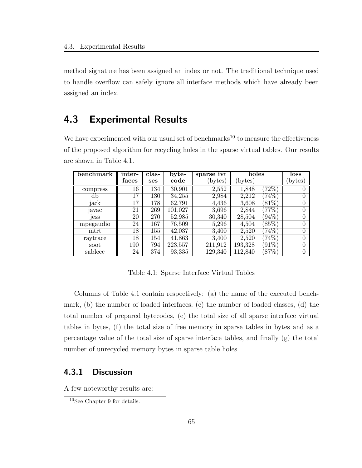method signature has been assigned an index or not. The traditional technique used to handle overflow can safely ignore all interface methods which have already been assigned an index.

# 4.3 Experimental Results

We have experimented with our usual set of benchmarks<sup>10</sup> to measure the effectiveness of the proposed algorithm for recycling holes in the sparse virtual tables. Our results are shown in Table 4.1.

| benchmark | inter-          | clas-      | $byte-$ | sparse ivt | holes   |          | loss     |
|-----------|-----------------|------------|---------|------------|---------|----------|----------|
|           | faces           | <b>ses</b> | code    | (bytes)    | bytes)  |          | bytes)   |
| compress  | 16              | 134        | 30,901  | 2,552      | 1,848   | $72\%$   |          |
| db        | 17              | 130        | 34,255  | 2,984      | 2,212   | $74\%$   | $^{(1)}$ |
| jack      | 17              | 178        | 62,791  | 4,436      | 3,608   | $[81\%]$ | 0        |
| avac      | 21              | 269        | 101.027 | 3,696      | 2,844   | $77\%$   | 0        |
| jess      | 20              | 270        | 52,985  | 30,340     | 28,504  | $94\%$   | 0        |
| mpegaudio | 24              | 167        | 76,509  | 5,296      | 4,504   | $85\%$   | $\Omega$ |
| $m$ trt   | $\overline{18}$ | 155        | 42,037  | 3,400      | 2,520   | $74\%$   | 0        |
| raytrace  | 18              | 154        | 41,863  | 3,400      | 2,520   | $74\%$   | $\theta$ |
| soot      | 190             | 794        | 223,557 | 211.912    | 193,328 | $[91\%]$ | 0        |
| sablecc   | 24              | 374        | 93,335  | 129,340    | 112.840 | $87\%$   | 0        |

Table 4.1: Sparse Interface Virtual Tables

Columns of Table 4.1 contain respectively: (a) the name of the executed benchmark, (b) the number of loaded interfaces, (c) the number of loaded classes, (d) the total number of prepared bytecodes, (e) the total size of all sparse interface virtual tables in bytes, (f) the total size of free memory in sparse tables in bytes and as a percentage value of the total size of sparse interface tables, and finally (g) the total number of unrecycled memory bytes in sparse table holes.

### 4.3.1 Discussion

A few noteworthy results are:

<sup>10</sup>See Chapter 9 for details.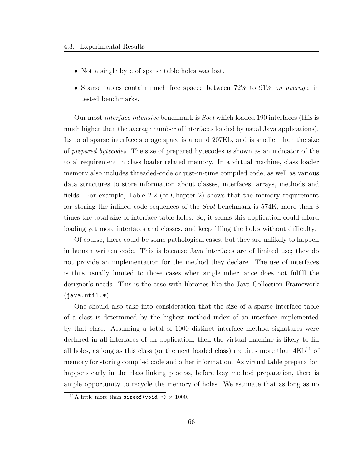- Not a single byte of sparse table holes was lost.
- Sparse tables contain much free space: between 72% to 91% on average, in tested benchmarks.

Our most interface intensive benchmark is Soot which loaded 190 interfaces (this is much higher than the average number of interfaces loaded by usual Java applications). Its total sparse interface storage space is around 207Kb, and is smaller than the size of prepared bytecodes. The size of prepared bytecodes is shown as an indicator of the total requirement in class loader related memory. In a virtual machine, class loader memory also includes threaded-code or just-in-time compiled code, as well as various data structures to store information about classes, interfaces, arrays, methods and fields. For example, Table 2.2 (of Chapter 2) shows that the memory requirement for storing the inlined code sequences of the *Soot* benchmark is 574K, more than 3 times the total size of interface table holes. So, it seems this application could afford loading yet more interfaces and classes, and keep filling the holes without difficulty.

Of course, there could be some pathological cases, but they are unlikely to happen in human written code. This is because Java interfaces are of limited use; they do not provide an implementation for the method they declare. The use of interfaces is thus usually limited to those cases when single inheritance does not fulfill the designer's needs. This is the case with libraries like the Java Collection Framework  $(java.util.*).$ 

One should also take into consideration that the size of a sparse interface table of a class is determined by the highest method index of an interface implemented by that class. Assuming a total of 1000 distinct interface method signatures were declared in all interfaces of an application, then the virtual machine is likely to fill all holes, as long as this class (or the next loaded class) requires more than  $4Kb^{11}$  of memory for storing compiled code and other information. As virtual table preparation happens early in the class linking process, before lazy method preparation, there is ample opportunity to recycle the memory of holes. We estimate that as long as no

<sup>&</sup>lt;sup>11</sup>A little more than size of (void  $\ast$ )  $\times$  1000.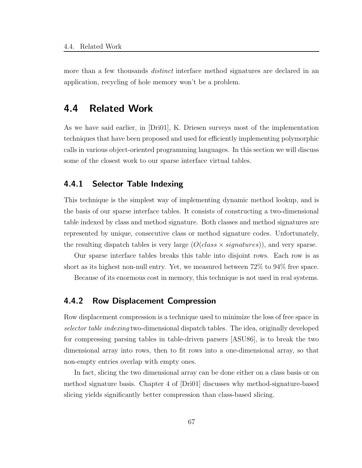more than a few thousands *distinct* interface method signatures are declared in an application, recycling of hole memory won't be a problem.

# 4.4 Related Work

As we have said earlier, in [Dri01], K. Driesen surveys most of the implementation techniques that have been proposed and used for efficiently implementing polymorphic calls in various object-oriented programming languages. In this section we will discuss some of the closest work to our sparse interface virtual tables.

# 4.4.1 Selector Table Indexing

This technique is the simplest way of implementing dynamic method lookup, and is the basis of our sparse interface tables. It consists of constructing a two-dimensional table indexed by class and method signature. Both classes and method signatures are represented by unique, consecutive class or method signature codes. Unfortunately, the resulting dispatch tables is very large  $(O(\text{class} \times \text{signatures}))$ , and very sparse.

Our sparse interface tables breaks this table into disjoint rows. Each row is as short as its highest non-null entry. Yet, we measured between 72% to 94% free space.

Because of its enormous cost in memory, this technique is not used in real systems.

### 4.4.2 Row Displacement Compression

Row displacement compression is a technique used to minimize the loss of free space in selector table indexing two-dimensional dispatch tables. The idea, originally developed for compressing parsing tables in table-driven parsers [ASU86], is to break the two dimensional array into rows, then to fit rows into a one-dimensional array, so that non-empty entries overlap with empty ones.

In fact, slicing the two dimensional array can be done either on a class basis or on method signature basis. Chapter 4 of [Dri01] discusses why method-signature-based slicing yields significantly better compression than class-based slicing.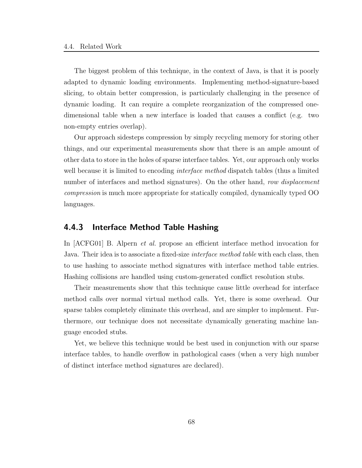The biggest problem of this technique, in the context of Java, is that it is poorly adapted to dynamic loading environments. Implementing method-signature-based slicing, to obtain better compression, is particularly challenging in the presence of dynamic loading. It can require a complete reorganization of the compressed onedimensional table when a new interface is loaded that causes a conflict (e.g. two non-empty entries overlap).

Our approach sidesteps compression by simply recycling memory for storing other things, and our experimental measurements show that there is an ample amount of other data to store in the holes of sparse interface tables. Yet, our approach only works well because it is limited to encoding *interface method* dispatch tables (thus a limited number of interfaces and method signatures). On the other hand, row displacement compression is much more appropriate for statically compiled, dynamically typed OO languages.

### 4.4.3 Interface Method Table Hashing

In [ACFG01] B. Alpern et al. propose an efficient interface method invocation for Java. Their idea is to associate a fixed-size *interface method table* with each class, then to use hashing to associate method signatures with interface method table entries. Hashing collisions are handled using custom-generated conflict resolution stubs.

Their measurements show that this technique cause little overhead for interface method calls over normal virtual method calls. Yet, there is some overhead. Our sparse tables completely eliminate this overhead, and are simpler to implement. Furthermore, our technique does not necessitate dynamically generating machine language encoded stubs.

Yet, we believe this technique would be best used in conjunction with our sparse interface tables, to handle overflow in pathological cases (when a very high number of distinct interface method signatures are declared).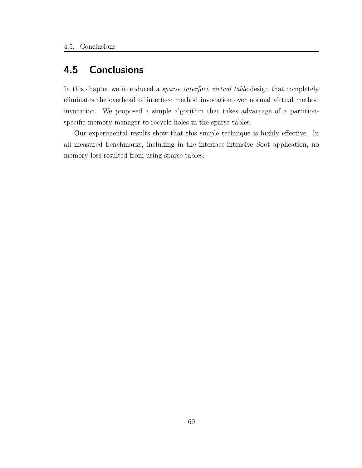# 4.5 Conclusions

In this chapter we introduced a sparse interface virtual table design that completely eliminates the overhead of interface method invocation over normal virtual method invocation. We proposed a simple algorithm that takes advantage of a partitionspecific memory manager to recycle holes in the sparse tables.

Our experimental results show that this simple technique is highly effective. In all measured benchmarks, including in the interface-intensive Soot application, no memory loss resulted from using sparse tables.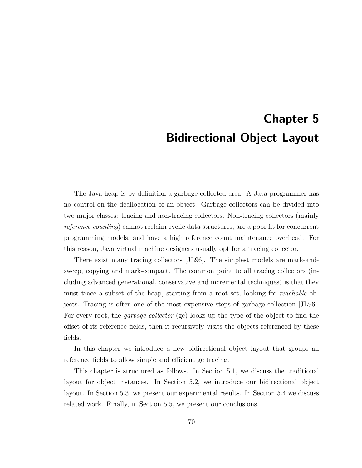# Chapter 5 Bidirectional Object Layout

The Java heap is by definition a garbage-collected area. A Java programmer has no control on the deallocation of an object. Garbage collectors can be divided into two major classes: tracing and non-tracing collectors. Non-tracing collectors (mainly reference counting) cannot reclaim cyclic data structures, are a poor fit for concurrent programming models, and have a high reference count maintenance overhead. For this reason, Java virtual machine designers usually opt for a tracing collector.

There exist many tracing collectors [JL96]. The simplest models are mark-andsweep, copying and mark-compact. The common point to all tracing collectors (including advanced generational, conservative and incremental techniques) is that they must trace a subset of the heap, starting from a root set, looking for reachable objects. Tracing is often one of the most expensive steps of garbage collection [JL96]. For every root, the *garbage collector* (gc) looks up the type of the object to find the offset of its reference fields, then it recursively visits the objects referenced by these fields.

In this chapter we introduce a new bidirectional object layout that groups all reference fields to allow simple and efficient gc tracing.

This chapter is structured as follows. In Section 5.1, we discuss the traditional layout for object instances. In Section 5.2, we introduce our bidirectional object layout. In Section 5.3, we present our experimental results. In Section 5.4 we discuss related work. Finally, in Section 5.5, we present our conclusions.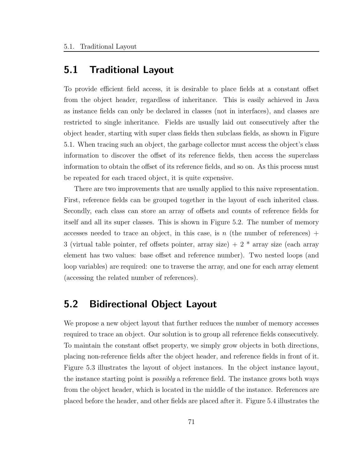# 5.1 Traditional Layout

To provide efficient field access, it is desirable to place fields at a constant offset from the object header, regardless of inheritance. This is easily achieved in Java as instance fields can only be declared in classes (not in interfaces), and classes are restricted to single inheritance. Fields are usually laid out consecutively after the object header, starting with super class fields then subclass fields, as shown in Figure 5.1. When tracing such an object, the garbage collector must access the object's class information to discover the offset of its reference fields, then access the superclass information to obtain the offset of its reference fields, and so on. As this process must be repeated for each traced object, it is quite expensive.

There are two improvements that are usually applied to this naive representation. First, reference fields can be grouped together in the layout of each inherited class. Secondly, each class can store an array of offsets and counts of reference fields for itself and all its super classes. This is shown in Figure 5.2. The number of memory accesses needed to trace an object, in this case, is n (the number of references) + 3 (virtual table pointer, ref offsets pointer, array size)  $+ 2 *$  array size (each array element has two values: base offset and reference number). Two nested loops (and loop variables) are required: one to traverse the array, and one for each array element (accessing the related number of references).

# 5.2 Bidirectional Object Layout

We propose a new object layout that further reduces the number of memory accesses required to trace an object. Our solution is to group all reference fields consecutively. To maintain the constant offset property, we simply grow objects in both directions, placing non-reference fields after the object header, and reference fields in front of it. Figure 5.3 illustrates the layout of object instances. In the object instance layout, the instance starting point is *possibly* a reference field. The instance grows both ways from the object header, which is located in the middle of the instance. References are placed before the header, and other fields are placed after it. Figure 5.4 illustrates the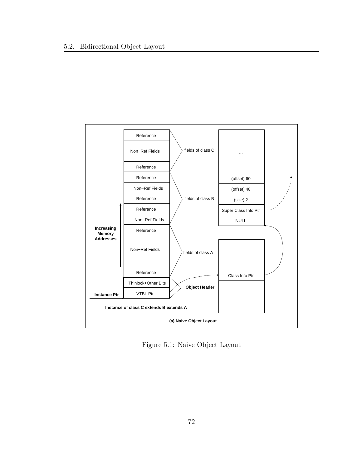

Figure 5.1: Naive Object Layout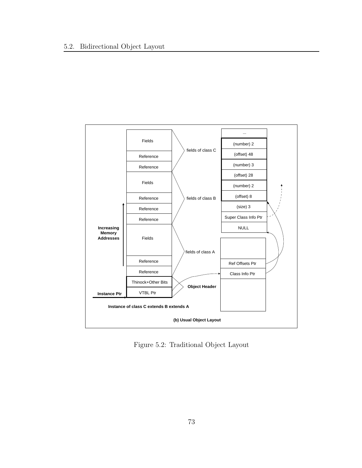

Figure 5.2: Traditional Object Layout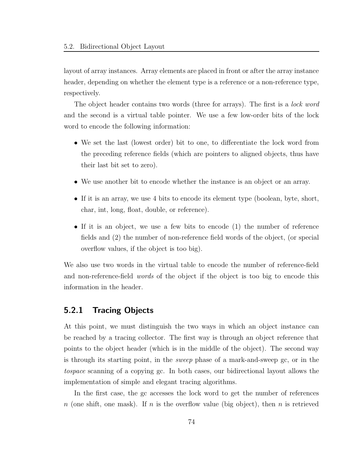layout of array instances. Array elements are placed in front or after the array instance header, depending on whether the element type is a reference or a non-reference type, respectively.

The object header contains two words (three for arrays). The first is a *lock word* and the second is a virtual table pointer. We use a few low-order bits of the lock word to encode the following information:

- We set the last (lowest order) bit to one, to differentiate the lock word from the preceding reference fields (which are pointers to aligned objects, thus have their last bit set to zero).
- We use another bit to encode whether the instance is an object or an array.
- If it is an array, we use 4 bits to encode its element type (boolean, byte, short, char, int, long, float, double, or reference).
- If it is an object, we use a few bits to encode (1) the number of reference fields and (2) the number of non-reference field words of the object, (or special overflow values, if the object is too big).

We also use two words in the virtual table to encode the number of reference-field and non-reference-field words of the object if the object is too big to encode this information in the header.

## 5.2.1 Tracing Objects

At this point, we must distinguish the two ways in which an object instance can be reached by a tracing collector. The first way is through an object reference that points to the object header (which is in the middle of the object). The second way is through its starting point, in the sweep phase of a mark-and-sweep gc, or in the tospace scanning of a copying gc. In both cases, our bidirectional layout allows the implementation of simple and elegant tracing algorithms.

In the first case, the gc accesses the lock word to get the number of references n (one shift, one mask). If n is the overflow value (big object), then n is retrieved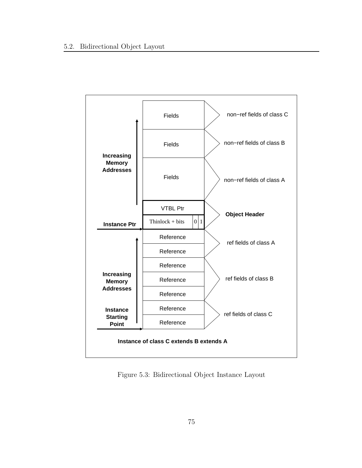

Figure 5.3: Bidirectional Object Instance Layout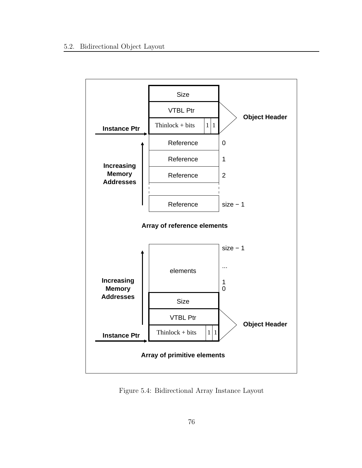

Figure 5.4: Bidirectional Array Instance Layout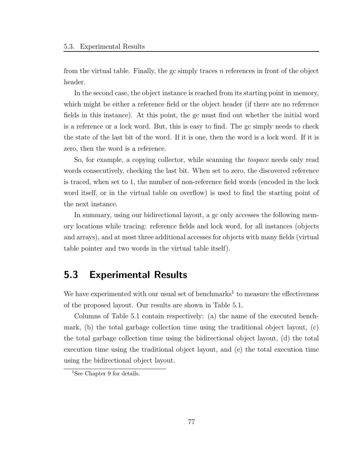from the virtual table. Finally, the gc simply traces  $n$  references in front of the object header.

In the second case, the object instance is reached from its starting point in memory, which might be either a reference field or the object header (if there are no reference fields in this instance). At this point, the gc must find out whether the initial word is a reference or a lock word. But, this is easy to find. The gc simply needs to check the state of the last bit of the word. If it is one, then the word is a lock word. If it is zero, then the word is a reference.

So, for example, a copying collector, while scanning the tospace needs only read words consecutively, checking the last bit. When set to zero, the discovered reference is traced, when set to 1, the number of non-reference field words (encoded in the lock word itself, or in the virtual table on overflow) is used to find the starting point of the next instance.

In summary, using our bidirectional layout, a gc only accesses the following memory locations while tracing: reference fields and lock word, for all instances (objects and arrays), and at most three additional accesses for objects with many fields (virtual table pointer and two words in the virtual table itself).

# 5.3 Experimental Results

We have experimented with our usual set of benchmarks<sup>1</sup> to measure the effectiveness of the proposed layout. Our results are shown in Table 5.1.

Columns of Table 5.1 contain respectively: (a) the name of the executed benchmark, (b) the total garbage collection time using the traditional object layout, (c) the total garbage collection time using the bidirectional object layout, (d) the total execution time using the traditional object layout, and (e) the total execution time using the bidirectional object layout.

<sup>&</sup>lt;sup>1</sup>See Chapter 9 for details.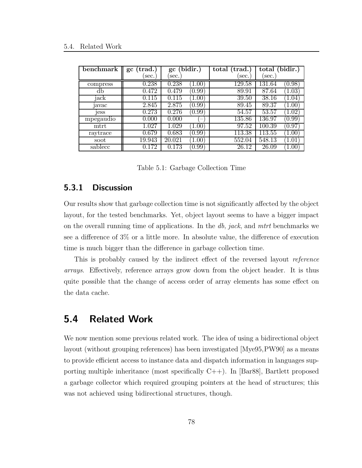| benchmark | $(\text{trad.})$<br>$\boldsymbol{\mathsf{gc}}$ | (bidir.)<br>$\boldsymbol{\mathsf{gc}}$ | total (trad.)      | total (bidir.)                            |
|-----------|------------------------------------------------|----------------------------------------|--------------------|-------------------------------------------|
|           | sec.                                           | sec.                                   | sec.               | sec.                                      |
| compress  | 0.238                                          | 0.238<br>1.00                          | 129.58             | (0.98)<br>131.64                          |
| db        | 0.472                                          | $\overline{0.99}$<br>0.479             | 89.91              | 87.64<br>$\left(1.03\right)$              |
| jack      | 0.115                                          | 0.115<br>1.00)                         | $\overline{39.50}$ | 38.16<br>(1.04)                           |
| javac     | 2.845                                          | 2.875<br>(0.99)                        | 89.45              | 89.37<br>1.00                             |
| jess      | 0.273                                          | 0.276<br>(0.99)                        | 54.57              | $\overline{53.57}$<br>$\left(1.02\right)$ |
| mpegaudio | 0.000                                          | 0.000                                  | 135.86             | 136.97<br>[0.99]                          |
| mtrt      | 1.027                                          | 1.029<br>(1.00)                        | 97.52              | 100.39<br>0.97                            |
| raytrace  | 0.679                                          | 0.683<br>(0.99)                        | 113.38             | 113.55<br>$\left[1.00\right]$             |
| soot      | 19.943                                         | 20.021<br>$1.00^{\circ}$               | 552.04             | 548.13<br>1.01                            |
| sablecc   | 0.172                                          | $\rm 0.173$<br>(0.99)                  | 26.12              | 26.09<br>1.00                             |

Table 5.1: Garbage Collection Time

### 5.3.1 Discussion

Our results show that garbage collection time is not significantly affected by the object layout, for the tested benchmarks. Yet, object layout seems to have a bigger impact on the overall running time of applications. In the  $db$ , jack, and mtrt benchmarks we see a difference of 3% or a little more. In absolute value, the difference of execution time is much bigger than the difference in garbage collection time.

This is probably caused by the indirect effect of the reversed layout reference arrays. Effectively, reference arrays grow down from the object header. It is thus quite possible that the change of access order of array elements has some effect on the data cache.

# 5.4 Related Work

We now mention some previous related work. The idea of using a bidirectional object layout (without grouping references) has been investigated [Mye95,PW90] as a means to provide efficient access to instance data and dispatch information in languages supporting multiple inheritance (most specifically C++). In [Bar88], Bartlett proposed a garbage collector which required grouping pointers at the head of structures; this was not achieved using bidirectional structures, though.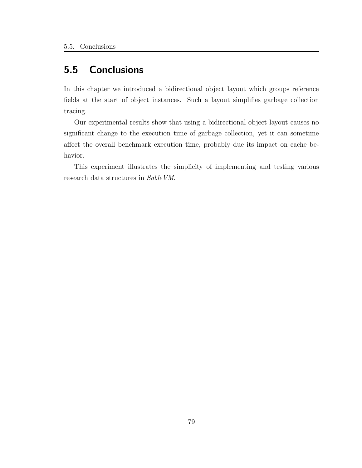# 5.5 Conclusions

In this chapter we introduced a bidirectional object layout which groups reference fields at the start of object instances. Such a layout simplifies garbage collection tracing.

Our experimental results show that using a bidirectional object layout causes no significant change to the execution time of garbage collection, yet it can sometime affect the overall benchmark execution time, probably due its impact on cache behavior.

This experiment illustrates the simplicity of implementing and testing various research data structures in SableVM.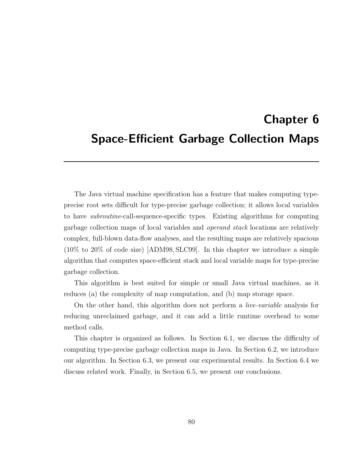# Chapter 6 Space-Efficient Garbage Collection Maps

The Java virtual machine specification has a feature that makes computing typeprecise root sets difficult for type-precise garbage collection; it allows local variables to have subroutine-call-sequence-specific types. Existing algorithms for computing garbage collection maps of local variables and operand stack locations are relatively complex, full-blown data-flow analyses, and the resulting maps are relatively spacious (10% to 20% of code size) [ADM98, SLC99]. In this chapter we introduce a simple algorithm that computes space-efficient stack and local variable maps for type-precise garbage collection.

This algorithm is best suited for simple or small Java virtual machines, as it reduces (a) the complexity of map computation, and (b) map storage space.

On the other hand, this algorithm does not perform a live-variable analysis for reducing unreclaimed garbage, and it can add a little runtime overhead to some method calls.

This chapter is organized as follows. In Section 6.1, we discuss the difficulty of computing type-precise garbage collection maps in Java. In Section 6.2, we introduce our algorithm. In Section 6.3, we present our experimental results. In Section 6.4 we discuss related work. Finally, in Section 6.5, we present our conclusions.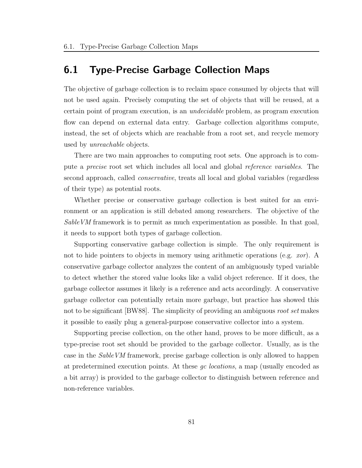# 6.1 Type-Precise Garbage Collection Maps

The objective of garbage collection is to reclaim space consumed by objects that will not be used again. Precisely computing the set of objects that will be reused, at a certain point of program execution, is an undecidable problem, as program execution flow can depend on external data entry. Garbage collection algorithms compute, instead, the set of objects which are reachable from a root set, and recycle memory used by *unreachable* objects.

There are two main approaches to computing root sets. One approach is to compute a precise root set which includes all local and global reference variables. The second approach, called conservative, treats all local and global variables (regardless of their type) as potential roots.

Whether precise or conservative garbage collection is best suited for an environment or an application is still debated among researchers. The objective of the Sable VM framework is to permit as much experimentation as possible. In that goal, it needs to support both types of garbage collection.

Supporting conservative garbage collection is simple. The only requirement is not to hide pointers to objects in memory using arithmetic operations (e.g. *xor*). A conservative garbage collector analyzes the content of an ambiguously typed variable to detect whether the stored value looks like a valid object reference. If it does, the garbage collector assumes it likely is a reference and acts accordingly. A conservative garbage collector can potentially retain more garbage, but practice has showed this not to be significant [BW88]. The simplicity of providing an ambiguous root set makes it possible to easily plug a general-purpose conservative collector into a system.

Supporting precise collection, on the other hand, proves to be more difficult, as a type-precise root set should be provided to the garbage collector. Usually, as is the case in the SableVM framework, precise garbage collection is only allowed to happen at predetermined execution points. At these gc locations, a map (usually encoded as a bit array) is provided to the garbage collector to distinguish between reference and non-reference variables.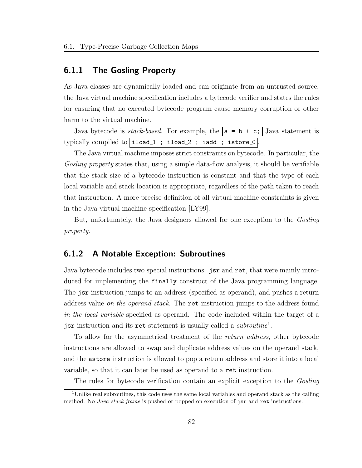### 6.1.1 The Gosling Property

As Java classes are dynamically loaded and can originate from an untrusted source, the Java virtual machine specification includes a bytecode verifier and states the rules for ensuring that no executed bytecode program cause memory corruption or other harm to the virtual machine.

Java bytecode is *stack-based*. For example, the  $a = b + c$ ; Java statement is typically compiled to iload\_1 ; iload\_2 ; iadd ; istore\_0

The Java virtual machine imposes strict constraints on bytecode. In particular, the Gosling property states that, using a simple data-flow analysis, it should be verifiable that the stack size of a bytecode instruction is constant and that the type of each local variable and stack location is appropriate, regardless of the path taken to reach that instruction. A more precise definition of all virtual machine constraints is given in the Java virtual machine specification [LY99].

But, unfortunately, the Java designers allowed for one exception to the Gosling property.

### 6.1.2 A Notable Exception: Subroutines

Java bytecode includes two special instructions: jsr and ret, that were mainly introduced for implementing the finally construct of the Java programming language. The jsr instruction jumps to an address (specified as operand), and pushes a return address value *on the operand stack*. The ret instruction jumps to the address found in the local variable specified as operand. The code included within the target of a jsr instruction and its ret statement is usually called a *subroutine*<sup>1</sup>.

To allow for the asymmetrical treatment of the return address, other bytecode instructions are allowed to swap and duplicate address values on the operand stack, and the astore instruction is allowed to pop a return address and store it into a local variable, so that it can later be used as operand to a ret instruction.

The rules for bytecode verification contain an explicit exception to the Gosling

<sup>1</sup>Unlike real subroutines, this code uses the same local variables and operand stack as the calling method. No Java stack frame is pushed or popped on execution of jsr and ret instructions.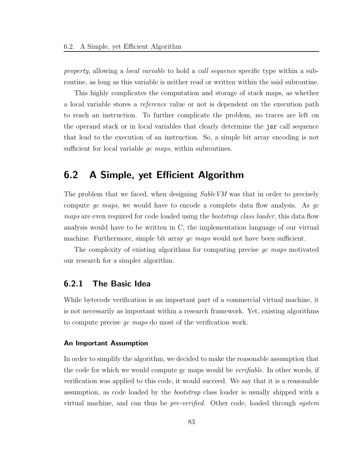property, allowing a *local variable* to hold a *call sequence* specific type within a subroutine, as long as this variable is neither read or written within the said subroutine.

This highly complicates the computation and storage of stack maps, as whether a local variable stores a reference value or not is dependent on the execution path to reach an instruction. To further complicate the problem, no traces are left on the operand stack or in local variables that clearly determine the jsr call sequence that lead to the execution of an instruction. So, a simple bit array encoding is not sufficient for local variable *qc maps*, within subroutines.

# 6.2 A Simple, yet Efficient Algorithm

The problem that we faced, when designing SableVM was that in order to precisely compute gc maps, we would have to encode a complete data flow analysis. As  $qc$ maps are even required for code loaded using the *bootstrap class loader*, this data flow analysis would have to be written in C, the implementation language of our virtual machine. Furthermore, simple bit array  $qc$  maps would not have been sufficient.

The complexity of existing algorithms for computing precise  $qc$  maps motivated our research for a simpler algorithm.

### 6.2.1 The Basic Idea

While bytecode verification is an important part of a commercial virtual machine, it is not necessarily as important within a research framework. Yet, existing algorithms to compute precise gc maps do most of the verification work.

#### An Important Assumption

In order to simplify the algorithm, we decided to make the reasonable assumption that the code for which we would compute gc maps would be *verifiable*. In other words, if verification was applied to this code, it would succeed. We say that it is a reasonable assumption, as code loaded by the bootstrap class loader is usually shipped with a virtual machine, and can thus be pre-verified. Other code, loaded through system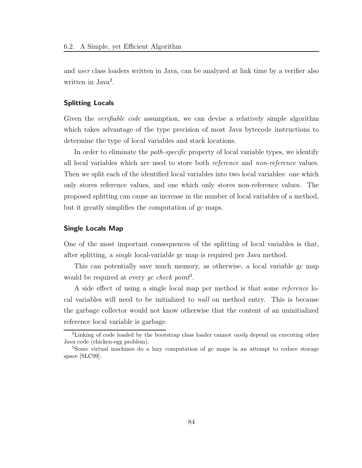and user class loaders written in Java, can be analyzed at link time by a verifier also written in Java<sup>2</sup>.

#### Splitting Locals

Given the *verifiable code* assumption, we can devise a relatively simple algorithm which takes advantage of the type precision of most Java bytecode instructions to determine the type of local variables and stack locations.

In order to eliminate the *path-specific* property of local variable types, we identify all local variables which are used to store both reference and non-reference values. Then we split each of the identified local variables into two local variables: one which only stores reference values, and one which only stores non-reference values. The proposed splitting can cause an increase in the number of local variables of a method, but it greatly simplifies the computation of gc maps.

#### Single Locals Map

One of the most important consequences of the splitting of local variables is that, after splitting, a single local-variable gc map is required per Java method.

This can potentially save much memory, as otherwise, a local variable gc map would be required at every gc check point<sup>3</sup>.

A side effect of using a single local map per method is that some reference local variables will need to be initialized to null on method entry. This is because the garbage collector would not know otherwise that the content of an uninitialized reference local variable is garbage.

<sup>&</sup>lt;sup>2</sup>Linking of code loaded by the bootstrap class loader cannot easily depend on executing other Java code (chicken-egg problem).

<sup>3</sup>Some virtual machines do a lazy computation of gc maps in an attempt to reduce storage space [SLC99].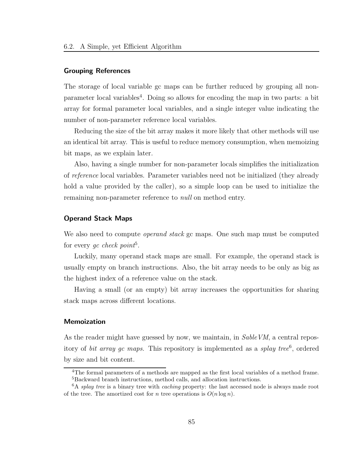#### Grouping References

The storage of local variable gc maps can be further reduced by grouping all nonparameter local variables<sup>4</sup>. Doing so allows for encoding the map in two parts: a bit array for formal parameter local variables, and a single integer value indicating the number of non-parameter reference local variables.

Reducing the size of the bit array makes it more likely that other methods will use an identical bit array. This is useful to reduce memory consumption, when memoizing bit maps, as we explain later.

Also, having a single number for non-parameter locals simplifies the initialization of reference local variables. Parameter variables need not be initialized (they already hold a value provided by the caller), so a simple loop can be used to initialize the remaining non-parameter reference to *null* on method entry.

#### Operand Stack Maps

We also need to compute *operand stack* gc maps. One such map must be computed for every  $gc \ check \ point^5$ .

Luckily, many operand stack maps are small. For example, the operand stack is usually empty on branch instructions. Also, the bit array needs to be only as big as the highest index of a reference value on the stack.

Having a small (or an empty) bit array increases the opportunities for sharing stack maps across different locations.

#### Memoization

As the reader might have guessed by now, we maintain, in SableVM, a central repository of *bit array gc maps*. This repository is implemented as a *splay tree*<sup>6</sup>, ordered by size and bit content.

<sup>4</sup>The formal parameters of a methods are mapped as the first local variables of a method frame. <sup>5</sup>Backward branch instructions, method calls, and allocation instructions.

 ${}^{6}$ A *splay tree* is a binary tree with *caching* property: the last accessed node is always made root of the tree. The amortized cost for *n* tree operations is  $O(n \log n)$ .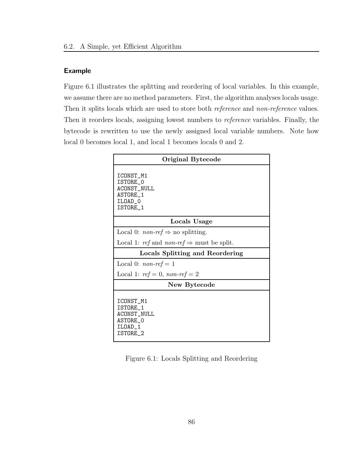#### Example

Figure 6.1 illustrates the splitting and reordering of local variables. In this example, we assume there are no method parameters. First, the algorithm analyses locals usage. Then it splits locals which are used to store both *reference* and *non-reference* values. Then it reorders locals, assigning lowest numbers to reference variables. Finally, the bytecode is rewritten to use the newly assigned local variable numbers. Note how local 0 becomes local 1, and local 1 becomes locals 0 and 2.

| Original Bytecode                                                              |  |  |  |  |  |
|--------------------------------------------------------------------------------|--|--|--|--|--|
| ICONST_M1<br>ISTORE 0<br>ACONST_NULL<br><b>ASTORE 1</b><br>ILOAD 0<br>ISTORE_1 |  |  |  |  |  |
| Locals Usage                                                                   |  |  |  |  |  |
| Local 0: <i>non-ref</i> $\Rightarrow$ no splitting.                            |  |  |  |  |  |
| Local 1: ref and non-ref $\Rightarrow$ must be split.                          |  |  |  |  |  |
| Locals Splitting and Reordering                                                |  |  |  |  |  |
| Local 0: $non-ref = 1$                                                         |  |  |  |  |  |
| Local 1: $ref = 0$ , non-ref = 2                                               |  |  |  |  |  |
| New Bytecode                                                                   |  |  |  |  |  |
| ICONST M1<br>ISTORE 1<br>ACONST_NULL<br>ASTORE O<br>ILOAD 1<br>ISTORE 2        |  |  |  |  |  |

Figure 6.1: Locals Splitting and Reordering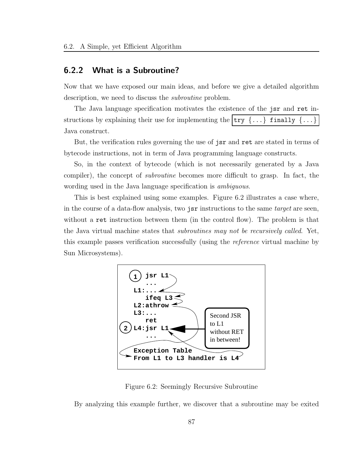### 6.2.2 What is a Subroutine?

Now that we have exposed our main ideas, and before we give a detailed algorithm description, we need to discuss the subroutine problem.

The Java language specification motivates the existence of the jsr and ret instructions by explaining their use for implementing the  $\text{try } \{ \ldots \}$  finally  $\{ \ldots \}$ Java construct.

But, the verification rules governing the use of jsr and ret are stated in terms of bytecode instructions, not in term of Java programming language constructs.

So, in the context of bytecode (which is not necessarily generated by a Java compiler), the concept of subroutine becomes more difficult to grasp. In fact, the wording used in the Java language specification is *ambiguous*.

This is best explained using some examples. Figure 6.2 illustrates a case where, in the course of a data-flow analysis, two jsr instructions to the same *target* are seen, without a ret instruction between them (in the control flow). The problem is that the Java virtual machine states that *subroutines may not be recursively called*. Yet, this example passes verification successfully (using the reference virtual machine by Sun Microsystems).



Figure 6.2: Seemingly Recursive Subroutine

By analyzing this example further, we discover that a subroutine may be exited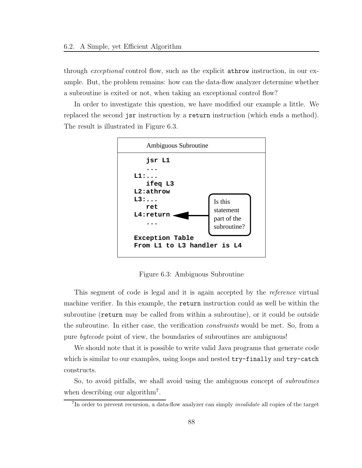through *exceptional* control flow, such as the explicit **athrow** instruction, in our example. But, the problem remains: how can the data-flow analyzer determine whether a subroutine is exited or not, when taking an exceptional control flow?

In order to investigate this question, we have modified our example a little. We replaced the second jsr instruction by a return instruction (which ends a method). The result is illustrated in Figure 6.3.



Figure 6.3: Ambiguous Subroutine

This segment of code is legal and it is again accepted by the reference virtual machine verifier. In this example, the return instruction could as well be within the subroutine (return may be called from within a subroutine), or it could be outside the subroutine. In either case, the verification constraints would be met. So, from a pure bytecode point of view, the boundaries of subroutines are ambiguous!

We should note that it is possible to write valid Java programs that generate code which is similar to our examples, using loops and nested  $try-finally$  and  $try-catch$ constructs.

So, to avoid pitfalls, we shall avoid using the ambiguous concept of subroutines when describing our algorithm<sup>7</sup>.

<sup>&</sup>lt;sup>7</sup>In order to prevent recursion, a data-flow analyzer can simply *invalidate* all copies of the target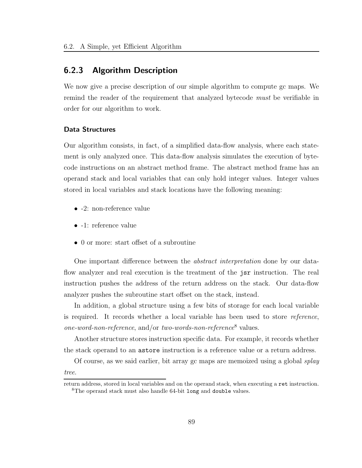## 6.2.3 Algorithm Description

We now give a precise description of our simple algorithm to compute gc maps. We remind the reader of the requirement that analyzed bytecode must be verifiable in order for our algorithm to work.

#### Data Structures

Our algorithm consists, in fact, of a simplified data-flow analysis, where each statement is only analyzed once. This data-flow analysis simulates the execution of bytecode instructions on an abstract method frame. The abstract method frame has an operand stack and local variables that can only hold integer values. Integer values stored in local variables and stack locations have the following meaning:

- -2: non-reference value
- -1: reference value
- 0 or more: start offset of a subroutine

One important difference between the abstract interpretation done by our dataflow analyzer and real execution is the treatment of the jsr instruction. The real instruction pushes the address of the return address on the stack. Our data-flow analyzer pushes the subroutine start offset on the stack, instead.

In addition, a global structure using a few bits of storage for each local variable is required. It records whether a local variable has been used to store reference, one-word-non-reference, and/or two-words-non-reference<sup>8</sup> values.

Another structure stores instruction specific data. For example, it records whether the stack operand to an astore instruction is a reference value or a return address.

Of course, as we said earlier, bit array gc maps are memoized using a global  $\text{gl}ay$ 

tree.

return address, stored in local variables and on the operand stack, when executing a ret instruction. <sup>8</sup>The operand stack must also handle 64-bit long and double values.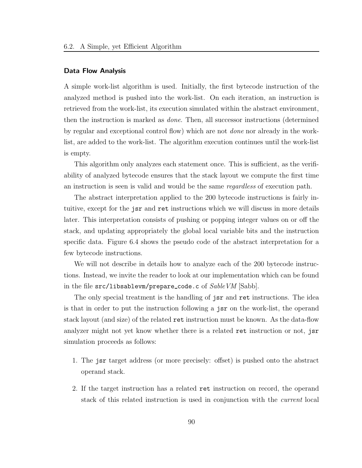#### Data Flow Analysis

A simple work-list algorithm is used. Initially, the first bytecode instruction of the analyzed method is pushed into the work-list. On each iteration, an instruction is retrieved from the work-list, its execution simulated within the abstract environment, then the instruction is marked as done. Then, all successor instructions (determined by regular and exceptional control flow) which are not done nor already in the worklist, are added to the work-list. The algorithm execution continues until the work-list is empty.

This algorithm only analyzes each statement once. This is sufficient, as the verifiability of analyzed bytecode ensures that the stack layout we compute the first time an instruction is seen is valid and would be the same regardless of execution path.

The abstract interpretation applied to the 200 bytecode instructions is fairly intuitive, except for the jsr and ret instructions which we will discuss in more details later. This interpretation consists of pushing or popping integer values on or off the stack, and updating appropriately the global local variable bits and the instruction specific data. Figure 6.4 shows the pseudo code of the abstract interpretation for a few bytecode instructions.

We will not describe in details how to analyze each of the 200 bytecode instructions. Instead, we invite the reader to look at our implementation which can be found in the file  $src/libsablevm/prepare\_code.c$  of  $SableVM$  [Sabb].

The only special treatment is the handling of jsr and ret instructions. The idea is that in order to put the instruction following a jsr on the work-list, the operand stack layout (and size) of the related ret instruction must be known. As the data-flow analyzer might not yet know whether there is a related ret instruction or not, jsr simulation proceeds as follows:

- 1. The jsr target address (or more precisely: offset) is pushed onto the abstract operand stack.
- 2. If the target instruction has a related ret instruction on record, the operand stack of this related instruction is used in conjunction with the current local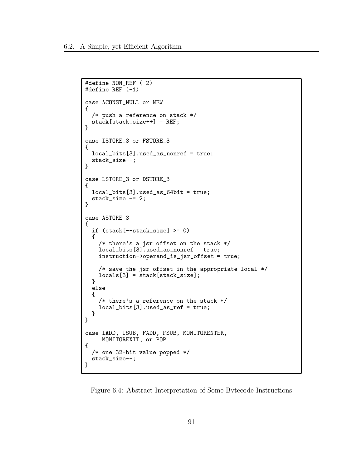```
#define NON_REF (-2)
#define REF (-1)
case ACONST_NULL or NEW
{
  /* push a reference on stack */
  stack[stack_size++] = REF;
}
case ISTORE_3 or FSTORE_3
\mathfrak{t}local_bits[3].used_as_nonref = true;
  stack_size--;
}
case LSTORE_3 or DSTORE_3
{
  local_bits[3].used_as_64bit = true;
  stack_size -= 2;
}
case ASTORE_3
{
  if (stack[--stack_size] >= 0)
  {
    /* there's a jsr offset on the stack */
    local_bits[3].used_as_nonref = true;
    instruction->operand_is_jsr_offset = true;
    /* save the jsr offset in the appropriate local */
    \text{locals}[3] = \text{stack}[\text{stack\_size}];}
 else
  {
    /* there's a reference on the stack */
    local_bits[3].used_as_ref = true;
  }
}
case IADD, ISUB, FADD, FSUB, MONITORENTER,
     MONITOREXIT, or POP
{
  /* one 32-bit value popped */
  stack_size--;
}
```
Figure 6.4: Abstract Interpretation of Some Bytecode Instructions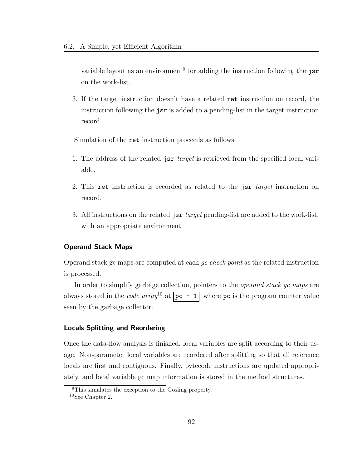variable layout as an environment<sup>9</sup> for adding the instruction following the jsr on the work-list.

3. If the target instruction doesn't have a related ret instruction on record, the instruction following the jsr is added to a pending-list in the target instruction record.

Simulation of the ret instruction proceeds as follows:

- 1. The address of the related jsr *target* is retrieved from the specified local variable.
- 2. This ret instruction is recorded as related to the jsr *target* instruction on record.
- 3. All instructions on the related jsr target pending-list are added to the work-list, with an appropriate environment.

#### Operand Stack Maps

Operand stack gc maps are computed at each gc check point as the related instruction is processed.

In order to simplify garbage collection, pointers to the *operand stack gc maps* are always stored in the *code array*<sup>10</sup> at  $pc - 1$ , where pc is the program counter value seen by the garbage collector.

#### Locals Splitting and Reordering

Once the data-flow analysis is finished, local variables are split according to their usage. Non-parameter local variables are reordered after splitting so that all reference locals are first and contiguous. Finally, bytecode instructions are updated appropriately, and local variable gc map information is stored in the method structures.

<sup>9</sup>This simulates the exception to the Gosling property.

<sup>10</sup>See Chapter 2.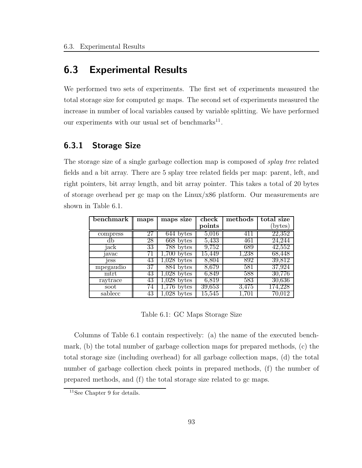# 6.3 Experimental Results

We performed two sets of experiments. The first set of experiments measured the total storage size for computed gc maps. The second set of experiments measured the increase in number of local variables caused by variable splitting. We have performed our experiments with our usual set of benchmarks<sup>11</sup>.

# 6.3.1 Storage Size

The storage size of a single garbage collection map is composed of *splay tree* related fields and a bit array. There are 5 splay tree related fields per map: parent, left, and right pointers, bit array length, and bit array pointer. This takes a total of 20 bytes of storage overhead per gc map on the Linux/x86 platform. Our measurements are shown in Table 6.1.

| benchmark | maps | maps size     | check      | methods | total size |
|-----------|------|---------------|------------|---------|------------|
|           |      |               | points     |         | (bytes)    |
| compress  | 27   | 644 bytes     | 5,016      | 411     | 22,352     |
|           | 28   | 668 bytes     | 5,433      | 461     | 24.244     |
| jack      | 33   | 788 bytes     | 9,752      | 689     | 42,552     |
| javac     | 71   | $1,700$ bytes | 15,449     | 1,238   | 68,448     |
| jess      | 43   | $1,028$ bytes | 8,804      | 892     | 39,812     |
| mpegaudio | 37   | 884 bytes     | 8,679      | 581     | 37,924     |
| mtrt      | 43   | $1,028$ bytes | 6,849      | 588     | 30,776     |
| raytrace  | 43   | $1,028$ bytes | 6,819      | 583     | 30,636     |
| soot      | 74   | 776<br>bytes  | 39,653     | 3.475   | 174.228    |
| sablecc   | 43   | bytes         | $15{,}545$ | 1.701   |            |

Table 6.1: GC Maps Storage Size

Columns of Table 6.1 contain respectively: (a) the name of the executed benchmark, (b) the total number of garbage collection maps for prepared methods, (c) the total storage size (including overhead) for all garbage collection maps, (d) the total number of garbage collection check points in prepared methods, (f) the number of prepared methods, and (f) the total storage size related to gc maps.

<sup>11</sup>See Chapter 9 for details.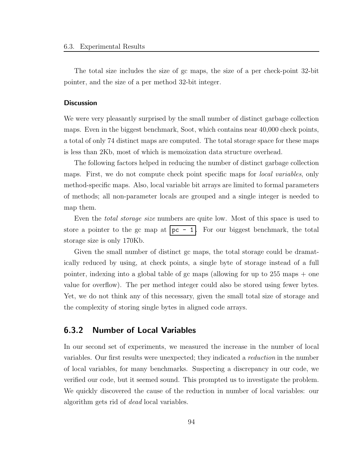The total size includes the size of gc maps, the size of a per check-point 32-bit pointer, and the size of a per method 32-bit integer.

#### **Discussion**

We were very pleasantly surprised by the small number of distinct garbage collection maps. Even in the biggest benchmark, Soot, which contains near 40,000 check points, a total of only 74 distinct maps are computed. The total storage space for these maps is less than 2Kb, most of which is memoization data structure overhead.

The following factors helped in reducing the number of distinct garbage collection maps. First, we do not compute check point specific maps for *local variables*, only method-specific maps. Also, local variable bit arrays are limited to formal parameters of methods; all non-parameter locals are grouped and a single integer is needed to map them.

Even the *total storage size* numbers are quite low. Most of this space is used to store a pointer to the gc map at  $|pc - 1|$ . For our biggest benchmark, the total storage size is only 170Kb.

Given the small number of distinct gc maps, the total storage could be dramatically reduced by using, at check points, a single byte of storage instead of a full pointer, indexing into a global table of gc maps (allowing for up to 255 maps + one value for overflow). The per method integer could also be stored using fewer bytes. Yet, we do not think any of this necessary, given the small total size of storage and the complexity of storing single bytes in aligned code arrays.

## 6.3.2 Number of Local Variables

In our second set of experiments, we measured the increase in the number of local variables. Our first results were unexpected; they indicated a reduction in the number of local variables, for many benchmarks. Suspecting a discrepancy in our code, we verified our code, but it seemed sound. This prompted us to investigate the problem. We quickly discovered the cause of the reduction in number of local variables: our algorithm gets rid of dead local variables.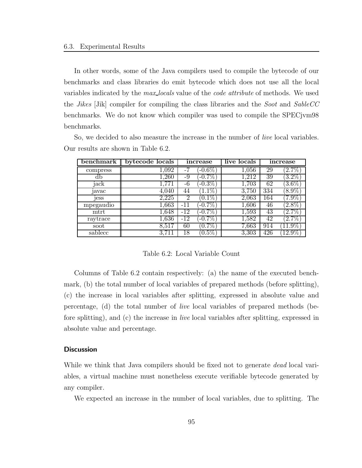In other words, some of the Java compilers used to compile the bytecode of our benchmarks and class libraries do emit bytecode which does not use all the local variables indicated by the *max-locals* value of the *code attribute* of methods. We used the *Jikes* [Jik] compiler for compiling the class libraries and the *Soot* and *SableCC* benchmarks. We do not know which compiler was used to compile the SPECjvm98 benchmarks.

So, we decided to also measure the increase in the number of live local variables. Our results are shown in Table 6.2.

| benchmark | bytecode locals | increase        | live locals | increase                   |
|-----------|-----------------|-----------------|-------------|----------------------------|
| compress  | 1,092           | $-0.6\%$        | 1,056       | $2.7\%$<br>29              |
| db        | 1,260           | $-0.7\%$<br>-9  | 1,212       | $\left(3.2\%\right)$<br>39 |
| jack      | 1.771           | $-0.3\%$<br>-6  | 1,703       | $[3.6\%]$<br>62            |
| avac      | 4,040           | $1.1\%$<br>44   | 3,750       | 334<br>$8.9\%$             |
| jess      | 2,225           | $0.1\%$<br>2    | 2,063       | $7.9\%$<br>164             |
| mpegaudio | 1,663           | $-0.7\%$<br>-11 | 1,606       | $2.8\%$<br>46              |
| mtrt      | $1{,}648$       | $-0.7\%$<br>-12 | $1,\!593$   | $[2.7\%]$<br>43            |
| raytrace  | 1,636           | $-0.7\%$<br>-12 | 1,582       | $2.7\%$<br>42              |
| soot      | $8{,}517$       | $(0.7\%)$<br>60 | 7,663       | $11.9\%$<br>914            |
| sablecc   | 3,711           | $0.5\%$<br>18   | 3,303       | 426<br>$12.9\%$            |

Table 6.2: Local Variable Count

Columns of Table 6.2 contain respectively: (a) the name of the executed benchmark, (b) the total number of local variables of prepared methods (before splitting), (c) the increase in local variables after splitting, expressed in absolute value and percentage, (d) the total number of live local variables of prepared methods (before splitting), and (c) the increase in live local variables after splitting, expressed in absolute value and percentage.

#### **Discussion**

While we think that Java compilers should be fixed not to generate *dead* local variables, a virtual machine must nonetheless execute verifiable bytecode generated by any compiler.

We expected an increase in the number of local variables, due to splitting. The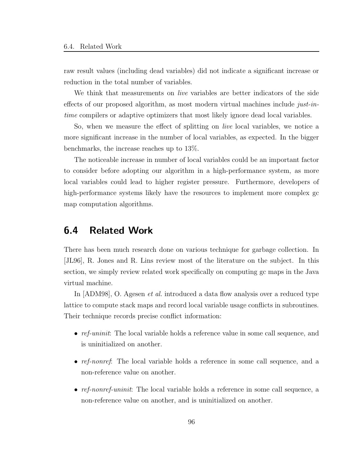raw result values (including dead variables) did not indicate a significant increase or reduction in the total number of variables.

We think that measurements on *live* variables are better indicators of the side effects of our proposed algorithm, as most modern virtual machines include just-intime compilers or adaptive optimizers that most likely ignore dead local variables.

So, when we measure the effect of splitting on live local variables, we notice a more significant increase in the number of local variables, as expected. In the bigger benchmarks, the increase reaches up to 13%.

The noticeable increase in number of local variables could be an important factor to consider before adopting our algorithm in a high-performance system, as more local variables could lead to higher register pressure. Furthermore, developers of high-performance systems likely have the resources to implement more complex gc map computation algorithms.

# 6.4 Related Work

There has been much research done on various technique for garbage collection. In [JL96], R. Jones and R. Lins review most of the literature on the subject. In this section, we simply review related work specifically on computing gc maps in the Java virtual machine.

In [ADM98], O. Agesen et al. introduced a data flow analysis over a reduced type lattice to compute stack maps and record local variable usage conflicts in subroutines. Their technique records precise conflict information:

- ref-uninit: The local variable holds a reference value in some call sequence, and is uninitialized on another.
- ref-nonref: The local variable holds a reference in some call sequence, and a non-reference value on another.
- ref-nonref-uninit: The local variable holds a reference in some call sequence, a non-reference value on another, and is uninitialized on another.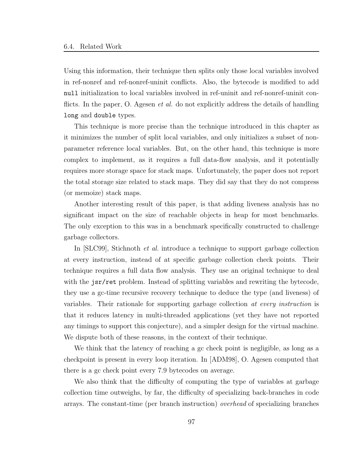Using this information, their technique then splits only those local variables involved in ref-nonref and ref-nonref-uninit conflicts. Also, the bytecode is modified to add null initialization to local variables involved in ref-uninit and ref-nonref-uninit conflicts. In the paper, O. Agesen *et al.* do not explicitly address the details of handling long and double types.

This technique is more precise than the technique introduced in this chapter as it minimizes the number of split local variables, and only initializes a subset of nonparameter reference local variables. But, on the other hand, this technique is more complex to implement, as it requires a full data-flow analysis, and it potentially requires more storage space for stack maps. Unfortunately, the paper does not report the total storage size related to stack maps. They did say that they do not compress (or memoize) stack maps.

Another interesting result of this paper, is that adding liveness analysis has no significant impact on the size of reachable objects in heap for most benchmarks. The only exception to this was in a benchmark specifically constructed to challenge garbage collectors.

In [SLC99], Stichnoth et al. introduce a technique to support garbage collection at every instruction, instead of at specific garbage collection check points. Their technique requires a full data flow analysis. They use an original technique to deal with the jsr/ret problem. Instead of splitting variables and rewriting the bytecode, they use a gc-time recursive recovery technique to deduce the type (and liveness) of variables. Their rationale for supporting garbage collection at every instruction is that it reduces latency in multi-threaded applications (yet they have not reported any timings to support this conjecture), and a simpler design for the virtual machine. We dispute both of these reasons, in the context of their technique.

We think that the latency of reaching a gc check point is negligible, as long as a checkpoint is present in every loop iteration. In [ADM98], O. Agesen computed that there is a gc check point every 7.9 bytecodes on average.

We also think that the difficulty of computing the type of variables at garbage collection time outweighs, by far, the difficulty of specializing back-branches in code arrays. The constant-time (per branch instruction) overhead of specializing branches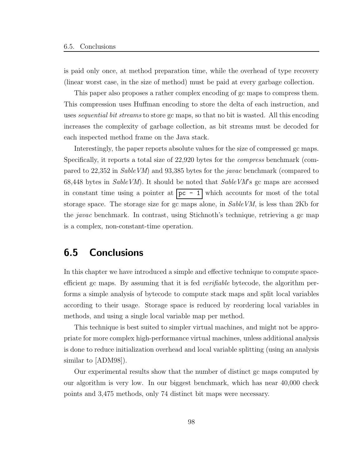is paid only once, at method preparation time, while the overhead of type recovery (linear worst case, in the size of method) must be paid at every garbage collection.

This paper also proposes a rather complex encoding of gc maps to compress them. This compression uses Huffman encoding to store the delta of each instruction, and uses *sequential bit streams* to store gc maps, so that no bit is wasted. All this encoding increases the complexity of garbage collection, as bit streams must be decoded for each inspected method frame on the Java stack.

Interestingly, the paper reports absolute values for the size of compressed gc maps. Specifically, it reports a total size of 22,920 bytes for the compress benchmark (compared to 22,352 in SableVM) and 93,385 bytes for the javac benchmark (compared to 68,448 bytes in *SableVM*). It should be noted that  $SableVM$ 's gc maps are accessed in constant time using a pointer at  $pc - 1$  which accounts for most of the total storage space. The storage size for gc maps alone, in SableVM, is less than 2Kb for the javac benchmark. In contrast, using Stichnoth's technique, retrieving a gc map is a complex, non-constant-time operation.

# 6.5 Conclusions

In this chapter we have introduced a simple and effective technique to compute spaceefficient gc maps. By assuming that it is fed *verifiable* bytecode, the algorithm performs a simple analysis of bytecode to compute stack maps and split local variables according to their usage. Storage space is reduced by reordering local variables in methods, and using a single local variable map per method.

This technique is best suited to simpler virtual machines, and might not be appropriate for more complex high-performance virtual machines, unless additional analysis is done to reduce initialization overhead and local variable splitting (using an analysis similar to [ADM98]).

Our experimental results show that the number of distinct gc maps computed by our algorithm is very low. In our biggest benchmark, which has near 40,000 check points and 3,475 methods, only 74 distinct bit maps were necessary.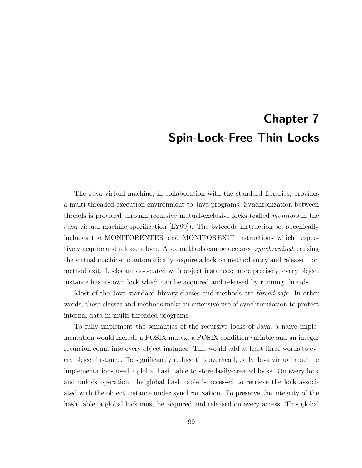# Chapter 7 Spin-Lock-Free Thin Locks

The Java virtual machine, in collaboration with the standard libraries, provides a multi-threaded execution environment to Java programs. Synchronization between threads is provided through recursive mutual-exclusive locks (called monitors in the Java virtual machine specification [LY99]). The bytecode instruction set specifically includes the MONITORENTER and MONITOREXIT instructions which respectively acquire and release a lock. Also, methods can be declared synchronized, causing the virtual machine to automatically acquire a lock on method entry and release it on method exit. Locks are associated with object instances; more precisely, every object instance has its own lock which can be acquired and released by running threads.

Most of the Java standard library classes and methods are thread-safe. In other words, these classes and methods make an extensive use of synchronization to protect internal data in multi-threaded programs.

To fully implement the semantics of the recursive locks of Java, a naive implementation would include a POSIX mutex, a POSIX condition variable and an integer recursion count into every object instance. This would add at least three words to every object instance. To significantly reduce this overhead, early Java virtual machine implementations used a global hash table to store lazily-created locks. On every lock and unlock operation, the global hash table is accessed to retrieve the lock associated with the object instance under synchronization. To preserve the integrity of the hash table, a global lock must be acquired and released on every access. This global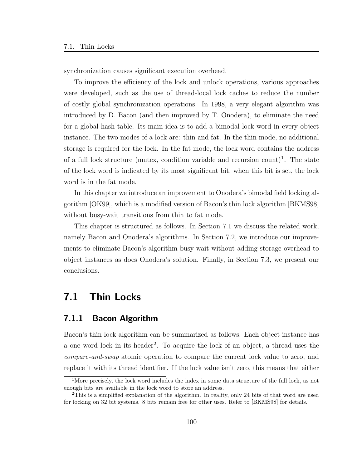synchronization causes significant execution overhead.

To improve the efficiency of the lock and unlock operations, various approaches were developed, such as the use of thread-local lock caches to reduce the number of costly global synchronization operations. In 1998, a very elegant algorithm was introduced by D. Bacon (and then improved by T. Onodera), to eliminate the need for a global hash table. Its main idea is to add a bimodal lock word in every object instance. The two modes of a lock are: thin and fat. In the thin mode, no additional storage is required for the lock. In the fat mode, the lock word contains the address of a full lock structure (mutex, condition variable and recursion count)<sup>1</sup>. The state of the lock word is indicated by its most significant bit; when this bit is set, the lock word is in the fat mode.

In this chapter we introduce an improvement to Onodera's bimodal field locking algorithm [OK99], which is a modified version of Bacon's thin lock algorithm [BKMS98] without busy-wait transitions from thin to fat mode.

This chapter is structured as follows. In Section 7.1 we discuss the related work, namely Bacon and Onodera's algorithms. In Section 7.2, we introduce our improvements to eliminate Bacon's algorithm busy-wait without adding storage overhead to object instances as does Onodera's solution. Finally, in Section 7.3, we present our conclusions.

# 7.1 Thin Locks

## 7.1.1 Bacon Algorithm

Bacon's thin lock algorithm can be summarized as follows. Each object instance has a one word lock in its header<sup>2</sup>. To acquire the lock of an object, a thread uses the compare-and-swap atomic operation to compare the current lock value to zero, and replace it with its thread identifier. If the lock value isn't zero, this means that either

<sup>&</sup>lt;sup>1</sup>More precisely, the lock word includes the index in some data structure of the full lock, as not enough bits are available in the lock word to store an address.

<sup>2</sup>This is a simplified explanation of the algorithm. In reality, only 24 bits of that word are used for locking on 32 bit systems. 8 bits remain free for other uses. Refer to [BKMS98] for details.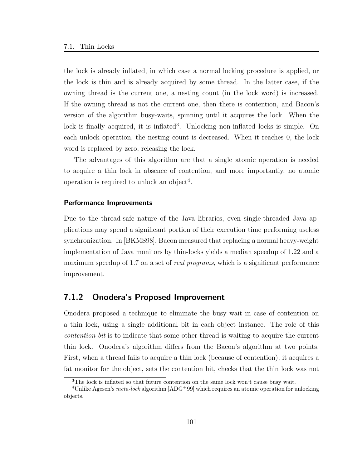the lock is already inflated, in which case a normal locking procedure is applied, or the lock is thin and is already acquired by some thread. In the latter case, if the owning thread is the current one, a nesting count (in the lock word) is increased. If the owning thread is not the current one, then there is contention, and Bacon's version of the algorithm busy-waits, spinning until it acquires the lock. When the lock is finally acquired, it is inflated<sup>3</sup>. Unlocking non-inflated locks is simple. On each unlock operation, the nesting count is decreased. When it reaches 0, the lock word is replaced by zero, releasing the lock.

The advantages of this algorithm are that a single atomic operation is needed to acquire a thin lock in absence of contention, and more importantly, no atomic operation is required to unlock an object<sup>4</sup>.

#### Performance Improvements

Due to the thread-safe nature of the Java libraries, even single-threaded Java applications may spend a significant portion of their execution time performing useless synchronization. In [BKMS98], Bacon measured that replacing a normal heavy-weight implementation of Java monitors by thin-locks yields a median speedup of 1.22 and a maximum speedup of 1.7 on a set of *real programs*, which is a significant performance improvement.

### 7.1.2 Onodera's Proposed Improvement

Onodera proposed a technique to eliminate the busy wait in case of contention on a thin lock, using a single additional bit in each object instance. The role of this contention bit is to indicate that some other thread is waiting to acquire the current thin lock. Onodera's algorithm differs from the Bacon's algorithm at two points. First, when a thread fails to acquire a thin lock (because of contention), it acquires a fat monitor for the object, sets the contention bit, checks that the thin lock was not

<sup>&</sup>lt;sup>3</sup>The lock is inflated so that future contention on the same lock won't cause busy wait.

<sup>&</sup>lt;sup>4</sup>Unlike Agesen's *meta-lock* algorithm [ADG<sup>+99]</sup> which requires an atomic operation for unlocking objects.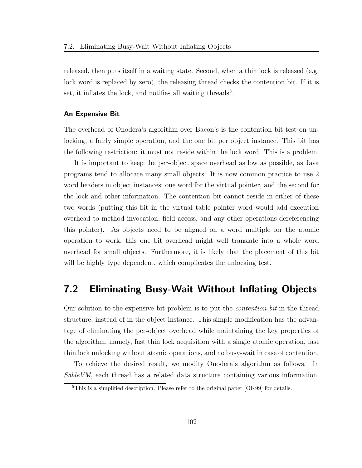released, then puts itself in a waiting state. Second, when a thin lock is released (e.g. lock word is replaced by zero), the releasing thread checks the contention bit. If it is set, it inflates the lock, and notifies all waiting threads<sup>5</sup>.

#### An Expensive Bit

The overhead of Onodera's algorithm over Bacon's is the contention bit test on unlocking, a fairly simple operation, and the one bit per object instance. This bit has the following restriction: it must not reside within the lock word. This is a problem.

It is important to keep the per-object space overhead as low as possible, as Java programs tend to allocate many small objects. It is now common practice to use 2 word headers in object instances; one word for the virtual pointer, and the second for the lock and other information. The contention bit cannot reside in either of these two words (putting this bit in the virtual table pointer word would add execution overhead to method invocation, field access, and any other operations dereferencing this pointer). As objects need to be aligned on a word multiple for the atomic operation to work, this one bit overhead might well translate into a whole word overhead for small objects. Furthermore, it is likely that the placement of this bit will be highly type dependent, which complicates the unlocking test.

# 7.2 Eliminating Busy-Wait Without Inflating Objects

Our solution to the expensive bit problem is to put the contention bit in the thread structure, instead of in the object instance. This simple modification has the advantage of eliminating the per-object overhead while maintaining the key properties of the algorithm, namely, fast thin lock acquisition with a single atomic operation, fast thin lock unlocking without atomic operations, and no busy-wait in case of contention.

To achieve the desired result, we modify Onodera's algorithm as follows. In SableVM, each thread has a related data structure containing various information,

<sup>5</sup>This is a simplified description. Please refer to the original paper [OK99] for details.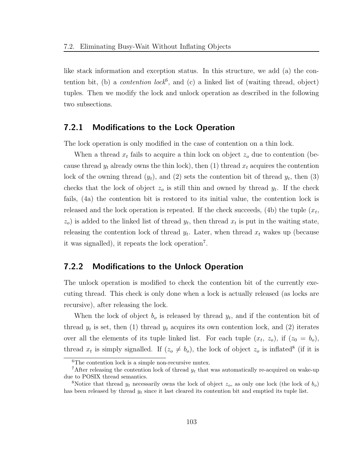like stack information and exception status. In this structure, we add (a) the contention bit, (b) a *contention lock*<sup>6</sup>, and (c) a linked list of (waiting thread, object) tuples. Then we modify the lock and unlock operation as described in the following two subsections.

### 7.2.1 Modifications to the Lock Operation

The lock operation is only modified in the case of contention on a thin lock.

When a thread  $x_t$  fails to acquire a thin lock on object  $z_o$  due to contention (because thread  $y_t$  already owns the thin lock), then (1) thread  $x_t$  acquires the contention lock of the owning thread  $(y_t)$ , and  $(2)$  sets the contention bit of thread  $y_t$ , then  $(3)$ checks that the lock of object  $z_o$  is still thin and owned by thread  $y_t$ . If the check fails, (4a) the contention bit is restored to its initial value, the contention lock is released and the lock operation is repeated. If the check succeeds, (4b) the tuple  $(x_t,$  $(z_0)$  is added to the linked list of thread  $y_t$ , then thread  $x_t$  is put in the waiting state, releasing the contention lock of thread  $y_t$ . Later, when thread  $x_t$  wakes up (because it was signalled), it repeats the lock operation<sup>7</sup> .

## 7.2.2 Modifications to the Unlock Operation

The unlock operation is modified to check the contention bit of the currently executing thread. This check is only done when a lock is actually released (as locks are recursive), after releasing the lock.

When the lock of object  $b<sub>o</sub>$  is released by thread  $y<sub>t</sub>$ , and if the contention bit of thread  $y_t$  is set, then (1) thread  $y_t$  acquires its own contention lock, and (2) iterates over all the elements of its tuple linked list. For each tuple  $(x_t, z_o)$ , if  $(z_0 = b_o)$ , thread  $x_t$  is simply signalled. If  $(z_0 \neq b_0)$ , the lock of object  $z_0$  is inflated<sup>8</sup> (if it is

<sup>&</sup>lt;sup>6</sup>The contention lock is a simple non-recursive mutex.

<sup>&</sup>lt;sup>7</sup>After releasing the contention lock of thread  $y_t$  that was automatically re-acquired on wake-up due to POSIX thread semantics.

<sup>&</sup>lt;sup>8</sup>Notice that thread  $y_t$  necessarily owns the lock of object  $z_o$ , as only one lock (the lock of  $b_o$ ) has been released by thread  $y_t$  since it last cleared its contention bit and emptied its tuple list.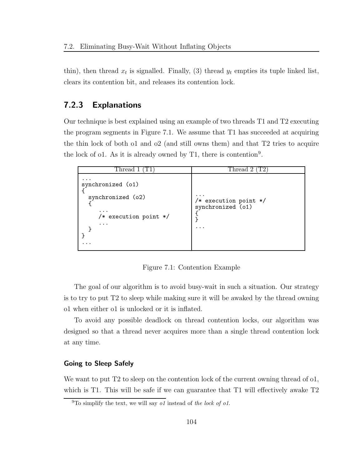thin), then thread  $x_t$  is signalled. Finally, (3) thread  $y_t$  empties its tuple linked list, clears its contention bit, and releases its contention lock.

## 7.2.3 Explanations

Our technique is best explained using an example of two threads T1 and T2 executing the program segments in Figure 7.1. We assume that T1 has succeeded at acquiring the thin lock of both o1 and o2 (and still owns them) and that T2 tries to acquire the lock of o1. As it is already owned by  $T1$ , there is contention<sup>9</sup>.

| Thread 1                                                                                    | Thread 2                                               |
|---------------------------------------------------------------------------------------------|--------------------------------------------------------|
| synchronized (o1)<br>synchronized (o2)<br>$\cdots$<br>$/*$ execution point $*/$<br>$\cdots$ | $\cdots$<br>/* execution point */<br>synchronized (o1) |

Figure 7.1: Contention Example

The goal of our algorithm is to avoid busy-wait in such a situation. Our strategy is to try to put T2 to sleep while making sure it will be awaked by the thread owning o1 when either o1 is unlocked or it is inflated.

To avoid any possible deadlock on thread contention locks, our algorithm was designed so that a thread never acquires more than a single thread contention lock at any time.

#### Going to Sleep Safely

We want to put T2 to sleep on the contention lock of the current owning thread of o1, which is T1. This will be safe if we can guarantee that T1 will effectively awake T2

 $9$ To simplify the text, we will say o1 instead of the lock of o1.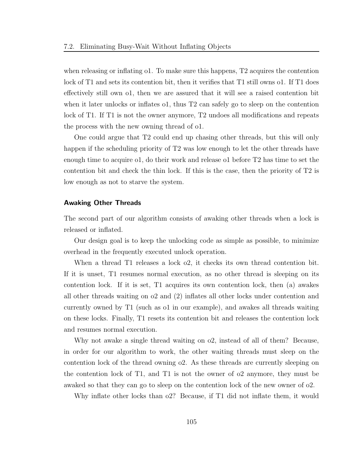when releasing or inflating o1. To make sure this happens, T2 acquires the contention lock of T1 and sets its contention bit, then it verifies that T1 still owns o1. If T1 does effectively still own o1, then we are assured that it will see a raised contention bit when it later unlocks or inflates o1, thus T2 can safely go to sleep on the contention lock of T1. If T1 is not the owner anymore, T2 undoes all modifications and repeats the process with the new owning thread of o1.

One could argue that T2 could end up chasing other threads, but this will only happen if the scheduling priority of T2 was low enough to let the other threads have enough time to acquire o1, do their work and release o1 before T2 has time to set the contention bit and check the thin lock. If this is the case, then the priority of T2 is low enough as not to starve the system.

#### Awaking Other Threads

The second part of our algorithm consists of awaking other threads when a lock is released or inflated.

Our design goal is to keep the unlocking code as simple as possible, to minimize overhead in the frequently executed unlock operation.

When a thread T1 releases a lock o2, it checks its own thread contention bit. If it is unset, T1 resumes normal execution, as no other thread is sleeping on its contention lock. If it is set, T1 acquires its own contention lock, then (a) awakes all other threads waiting on o2 and (2) inflates all other locks under contention and currently owned by T1 (such as o1 in our example), and awakes all threads waiting on these locks. Finally, T1 resets its contention bit and releases the contention lock and resumes normal execution.

Why not awake a single thread waiting on o2, instead of all of them? Because, in order for our algorithm to work, the other waiting threads must sleep on the contention lock of the thread owning o2. As these threads are currently sleeping on the contention lock of T1, and T1 is not the owner of o2 anymore, they must be awaked so that they can go to sleep on the contention lock of the new owner of o2.

Why inflate other locks than o2? Because, if T1 did not inflate them, it would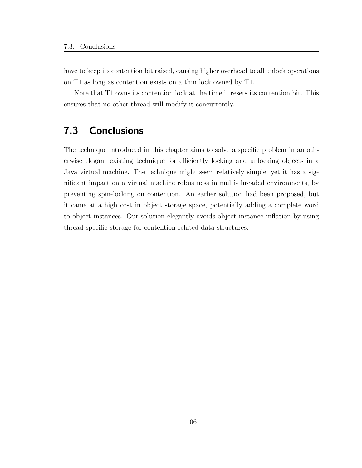have to keep its contention bit raised, causing higher overhead to all unlock operations on T1 as long as contention exists on a thin lock owned by T1.

Note that T1 owns its contention lock at the time it resets its contention bit. This ensures that no other thread will modify it concurrently.

# 7.3 Conclusions

The technique introduced in this chapter aims to solve a specific problem in an otherwise elegant existing technique for efficiently locking and unlocking objects in a Java virtual machine. The technique might seem relatively simple, yet it has a significant impact on a virtual machine robustness in multi-threaded environments, by preventing spin-locking on contention. An earlier solution had been proposed, but it came at a high cost in object storage space, potentially adding a complete word to object instances. Our solution elegantly avoids object instance inflation by using thread-specific storage for contention-related data structures.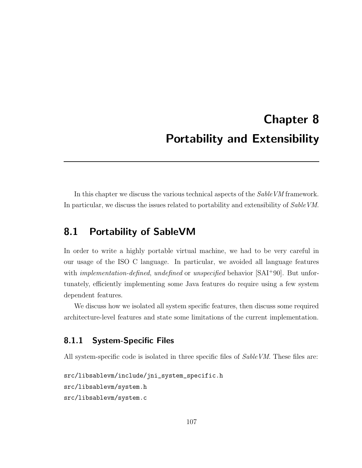# Chapter 8 Portability and Extensibility

In this chapter we discuss the various technical aspects of the *SableVM* framework. In particular, we discuss the issues related to portability and extensibility of *SableVM*.

# 8.1 Portability of SableVM

In order to write a highly portable virtual machine, we had to be very careful in our usage of the ISO C language. In particular, we avoided all language features with *implementation-defined*, *undefined* or *unspecified* behavior  $[SAI+90]$ . But unfortunately, efficiently implementing some Java features do require using a few system dependent features.

We discuss how we isolated all system specific features, then discuss some required architecture-level features and state some limitations of the current implementation.

## 8.1.1 System-Specific Files

All system-specific code is isolated in three specific files of *SableVM*. These files are:

```
src/libsablevm/include/jni_system_specific.h
src/libsablevm/system.h
src/libsablevm/system.c
```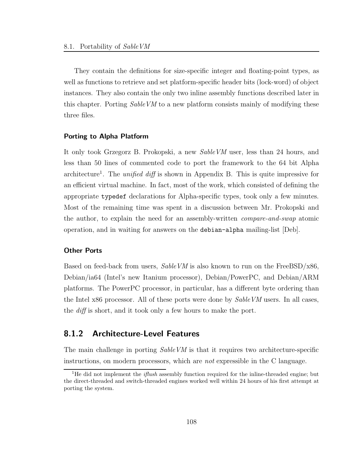They contain the definitions for size-specific integer and floating-point types, as well as functions to retrieve and set platform-specific header bits (lock-word) of object instances. They also contain the only two inline assembly functions described later in this chapter. Porting *SableVM* to a new platform consists mainly of modifying these three files.

#### Porting to Alpha Platform

It only took Grzegorz B. Prokopski, a new SableVM user, less than 24 hours, and less than 50 lines of commented code to port the framework to the 64 bit Alpha architecture<sup>1</sup>. The *unified diff* is shown in Appendix B. This is quite impressive for an efficient virtual machine. In fact, most of the work, which consisted of defining the appropriate typedef declarations for Alpha-specific types, took only a few minutes. Most of the remaining time was spent in a discussion between Mr. Prokopski and the author, to explain the need for an assembly-written compare-and-swap atomic operation, and in waiting for answers on the debian-alpha mailing-list [Deb].

#### Other Ports

Based on feed-back from users,  $SableVM$  is also known to run on the FreeBSD/ $x86$ , Debian/ia64 (Intel's new Itanium processor), Debian/PowerPC, and Debian/ARM platforms. The PowerPC processor, in particular, has a different byte ordering than the Intel x86 processor. All of these ports were done by *SableVM* users. In all cases, the diff is short, and it took only a few hours to make the port.

## 8.1.2 Architecture-Level Features

The main challenge in porting *SableVM* is that it requires two architecture-specific instructions, on modern processors, which are not expressible in the C language.

<sup>&</sup>lt;sup>1</sup>He did not implement the *iflush* assembly function required for the inline-threaded engine; but the direct-threaded and switch-threaded engines worked well within 24 hours of his first attempt at porting the system.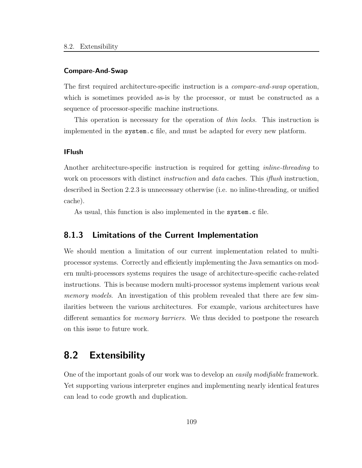#### Compare-And-Swap

The first required architecture-specific instruction is a *compare-and-swap* operation, which is sometimes provided as-is by the processor, or must be constructed as a sequence of processor-specific machine instructions.

This operation is necessary for the operation of thin locks. This instruction is implemented in the system.c file, and must be adapted for every new platform.

#### IFlush

Another architecture-specific instruction is required for getting *inline-threading* to work on processors with distinct *instruction* and *data* caches. This *iflush* instruction, described in Section 2.2.3 is unnecessary otherwise (i.e. no inline-threading, or unified cache).

As usual, this function is also implemented in the system.c file.

## 8.1.3 Limitations of the Current Implementation

We should mention a limitation of our current implementation related to multiprocessor systems. Correctly and efficiently implementing the Java semantics on modern multi-processors systems requires the usage of architecture-specific cache-related instructions. This is because modern multi-processor systems implement various weak memory models. An investigation of this problem revealed that there are few similarities between the various architectures. For example, various architectures have different semantics for *memory barriers*. We thus decided to postpone the research on this issue to future work.

# 8.2 Extensibility

One of the important goals of our work was to develop an easily modifiable framework. Yet supporting various interpreter engines and implementing nearly identical features can lead to code growth and duplication.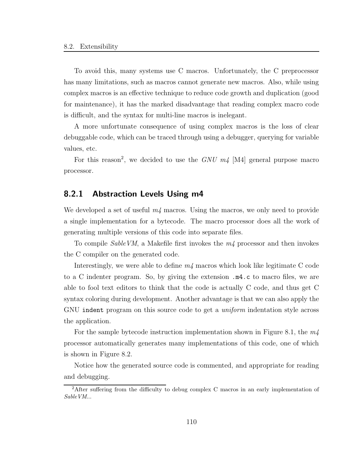To avoid this, many systems use C macros. Unfortunately, the C preprocessor has many limitations, such as macros cannot generate new macros. Also, while using complex macros is an effective technique to reduce code growth and duplication (good for maintenance), it has the marked disadvantage that reading complex macro code is difficult, and the syntax for multi-line macros is inelegant.

A more unfortunate consequence of using complex macros is the loss of clear debuggable code, which can be traced through using a debugger, querying for variable values, etc.

For this reason<sup>2</sup>, we decided to use the  $GNU$   $m4$  [M4] general purpose macro processor.

### 8.2.1 Abstraction Levels Using m4

We developed a set of useful  $m/4$  macros. Using the macros, we only need to provide a single implementation for a bytecode. The macro processor does all the work of generating multiple versions of this code into separate files.

To compile  $SableVM$ , a Makefile first invokes the  $m<sub>4</sub>$  processor and then invokes the C compiler on the generated code.

Interestingly, we were able to define  $m<sub>4</sub>$  macros which look like legitimate C code to a C indenter program. So, by giving the extension .m4.c to macro files, we are able to fool text editors to think that the code is actually C code, and thus get C syntax coloring during development. Another advantage is that we can also apply the GNU indent program on this source code to get a *uniform* indentation style across the application.

For the sample bytecode instruction implementation shown in Figure 8.1, the  $m<sub>4</sub>$ processor automatically generates many implementations of this code, one of which is shown in Figure 8.2.

Notice how the generated source code is commented, and appropriate for reading and debugging.

<sup>&</sup>lt;sup>2</sup>After suffering from the difficulty to debug complex C macros in an early implementation of SableVM...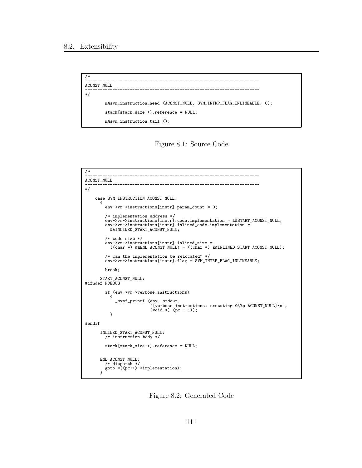```
/*
----------------------------------------------------------------------
ACONST_NULL
----------------------------------------------------------------------
*/
        m4svm_instruction_head (ACONST_NULL, SVM_INTRP_FLAG_INLINEABLE, 0);
        stack[stack_size++].reference = NULL;
        m4svm_instruction_tail ();
```


```
/*
----------------------------------------------------------------------
ACONST_NULL
----------------------------------------------------------------------
*/
     case SVM_INSTRUCTION_ACONST_NULL:
        {
           env->vm->instructions[instr].param_count = 0;
           /* implementation address */
env->vm->instructions[instr].code.implementation = &&START_ACONST_NULL;
env->vm->instructions[instr].inlined_code.implementation =
&&INLINED_START_ACONST_NULL;
           /* code size */
           env->vm->instructions[instr].inlined_size =
((char *) &&END_ACONST_NULL) - ((char *) &&INLINED_START_ACONST_NULL);
           /* can the implementation be relocated? */
env->vm->instructions[instr].flag = SVM_INTRP_FLAG_INLINEABLE;
           break;
        START_ACONST_NULL:
#ifndef NDEBUG
           if (env->vm->verbose_instructions)
              \mathfrak{t}_svmf_printf (env, stdout,
                                    "[verbose instructions: executing @\%p ACONST_NULL]\n",
(void *) (pc - 1));
             }
#endif
        INLINED_START_ACONST_NULL:
           /* instruction body */
           stack[stack_size++].reference = NULL;
         END_ACONST_NULL:
/* dispatch */
goto *((pc++)->implementation);
}
```
Figure 8.2: Generated Code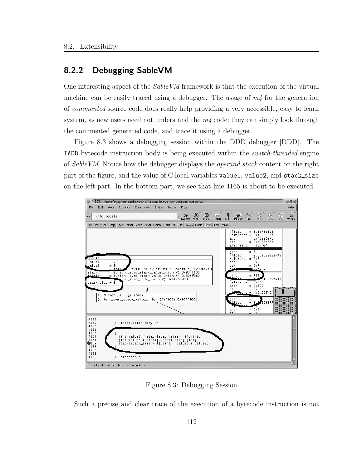## 8.2.2 Debugging SableVM

One interesting aspect of the SableVM framework is that the execution of the virtual machine can be easily traced using a debugger. The usage of  $m/4$  for the generation of commented source code does really help providing a very accessible, easy to learn system, as new users need not understand the  $m/4$  code; they can simply look through the commented generated code, and trace it using a debugger.

Figure 8.3 shows a debugging session within the DDD debugger [DDD]. The IADD bytecode instruction body is being executed within the switch-threaded engine of SableVM. Notice how the debugger displays the operand stack content on the right part of the figure, and the value of C local variables value1, value2, and stack\_size on the left part. In the bottom part, we see that line 4165 is about to be executed.



Figure 8.3: Debugging Session

Such a precise and clear trace of the execution of a bytecode instruction is not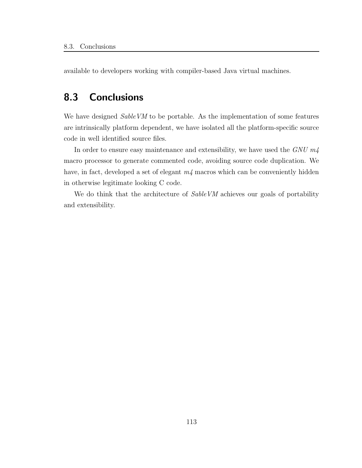available to developers working with compiler-based Java virtual machines.

# 8.3 Conclusions

We have designed *SableVM* to be portable. As the implementation of some features are intrinsically platform dependent, we have isolated all the platform-specific source code in well identified source files.

In order to ensure easy maintenance and extensibility, we have used the  $GNU$   $m4$ macro processor to generate commented code, avoiding source code duplication. We have, in fact, developed a set of elegant  $m/$  macros which can be conveniently hidden in otherwise legitimate looking C code.

We do think that the architecture of  $SableVM$  achieves our goals of portability and extensibility.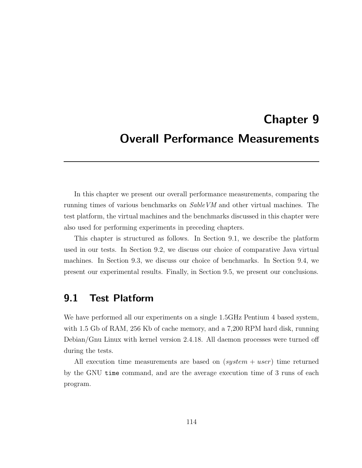# Chapter 9 Overall Performance Measurements

In this chapter we present our overall performance measurements, comparing the running times of various benchmarks on SableVM and other virtual machines. The test platform, the virtual machines and the benchmarks discussed in this chapter were also used for performing experiments in preceding chapters.

This chapter is structured as follows. In Section 9.1, we describe the platform used in our tests. In Section 9.2, we discuss our choice of comparative Java virtual machines. In Section 9.3, we discuss our choice of benchmarks. In Section 9.4, we present our experimental results. Finally, in Section 9.5, we present our conclusions.

## 9.1 Test Platform

We have performed all our experiments on a single 1.5GHz Pentium 4 based system, with 1.5 Gb of RAM, 256 Kb of cache memory, and a 7,200 RPM hard disk, running Debian/Gnu Linux with kernel version 2.4.18. All daemon processes were turned off during the tests.

All execution time measurements are based on  $(system + user)$  time returned by the GNU time command, and are the average execution time of 3 runs of each program.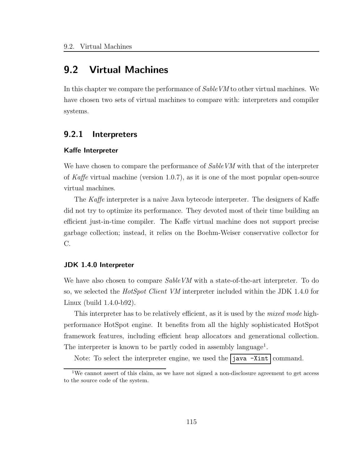# 9.2 Virtual Machines

In this chapter we compare the performance of SableVM to other virtual machines. We have chosen two sets of virtual machines to compare with: interpreters and compiler systems.

## 9.2.1 Interpreters

#### Kaffe Interpreter

We have chosen to compare the performance of SableVM with that of the interpreter of Kaffe virtual machine (version 1.0.7), as it is one of the most popular open-source virtual machines.

The Kaffe interpreter is a naive Java bytecode interpreter. The designers of Kaffe did not try to optimize its performance. They devoted most of their time building an efficient just-in-time compiler. The Kaffe virtual machine does not support precise garbage collection; instead, it relies on the Boehm-Weiser conservative collector for C.

#### JDK 1.4.0 Interpreter

We have also chosen to compare SableVM with a state-of-the-art interpreter. To do so, we selected the HotSpot Client VM interpreter included within the JDK 1.4.0 for Linux (build 1.4.0-b92).

This interpreter has to be relatively efficient, as it is used by the *mixed mode* highperformance HotSpot engine. It benefits from all the highly sophisticated HotSpot framework features, including efficient heap allocators and generational collection. The interpreter is known to be partly coded in assembly language<sup>1</sup>.

Note: To select the interpreter engine, we used the  $j$ ava  $\overline{-X}$ int  $\overline{z}$  command.

<sup>&</sup>lt;sup>1</sup>We cannot assert of this claim, as we have not signed a non-disclosure agreement to get access to the source code of the system.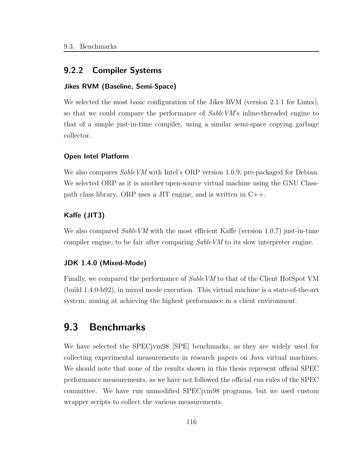### 9.2.2 Compiler Systems

#### Jikes RVM (Baseline, Semi-Space)

We selected the most basic configuration of the Jikes RVM (version 2.1.1 for Linux), so that we could compare the performance of SableVM's inline-threaded engine to that of a simple just-in-time compiler, using a similar semi-space copying garbage collector.

#### Open Intel Platform

We also compares *SableVM* with Intel's ORP version 1.0.9, pre-packaged for Debian. We selected ORP as it is another open-source virtual machine using the GNU Classpath class library. ORP uses a JIT engine, and is written in C++.

#### Kaffe (JIT3)

We also compared  $SableVM$  with the most efficient Kaffe (version 1.0.7) just-in-time compiler engine, to be fair after comparing *SableVM* to its slow interpreter engine.

#### JDK 1.4.0 (Mixed-Mode)

Finally, we compared the performance of SableVM to that of the Client HotSpot VM (build 1.4.0-b92), in mixed mode execution. This virtual machine is a state-of-the-art system, aiming at achieving the highest performance in a client environment.

## 9.3 Benchmarks

We have selected the SPECjvm98 [SPE] benchmarks, as they are widely used for collecting experimental measurements in research papers on Java virtual machines. We should note that none of the results shown in this thesis represent official SPEC performance measurements, as we have not followed the official run rules of the SPEC committee. We have run unmodified SPECjvm98 programs, but we used custom wrapper scripts to collect the various measurements.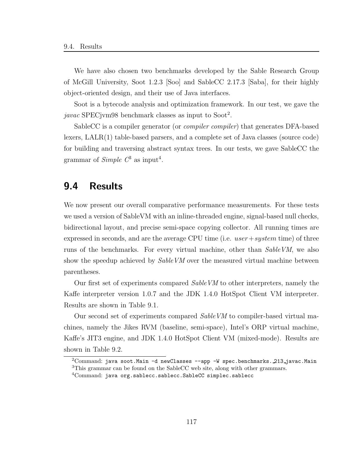We have also chosen two benchmarks developed by the Sable Research Group of McGill University, Soot 1.2.3 [Soo] and SableCC 2.17.3 [Saba], for their highly object-oriented design, and their use of Java interfaces.

Soot is a bytecode analysis and optimization framework. In our test, we gave the javac SPECjvm98 benchmark classes as input to  $Soot<sup>2</sup>$ .

SableCC is a compiler generator (or compiler compiler) that generates DFA-based lexers, LALR(1) table-based parsers, and a complete set of Java classes (source code) for building and traversing abstract syntax trees. In our tests, we gave SableCC the grammar of  $Simple C<sup>3</sup>$  as input<sup>4</sup>.

## 9.4 Results

We now present our overall comparative performance measurements. For these tests we used a version of SableVM with an inline-threaded engine, signal-based null checks, bidirectional layout, and precise semi-space copying collector. All running times are expressed in seconds, and are the average CPU time (i.e.  $user+system$  time) of three runs of the benchmarks. For every virtual machine, other than SableVM, we also show the speedup achieved by  $SableVM$  over the measured virtual machine between parentheses.

Our first set of experiments compared SableVM to other interpreters, namely the Kaffe interpreter version 1.0.7 and the JDK 1.4.0 HotSpot Client VM interpreter. Results are shown in Table 9.1.

Our second set of experiments compared SableVM to compiler-based virtual machines, namely the Jikes RVM (baseline, semi-space), Intel's ORP virtual machine, Kaffe's JIT3 engine, and JDK 1.4.0 HotSpot Client VM (mixed-mode). Results are shown in Table 9.2.

 $2$ Command: java soot.Main -d newClasses --app -W spec.benchmarks.  $213$ -javac.Main <sup>3</sup>This grammar can be found on the SableCC web site, along with other grammars.

<sup>&</sup>lt;sup>4</sup>Command: java org.sablecc.sablecc.SableCC simplec.sablecc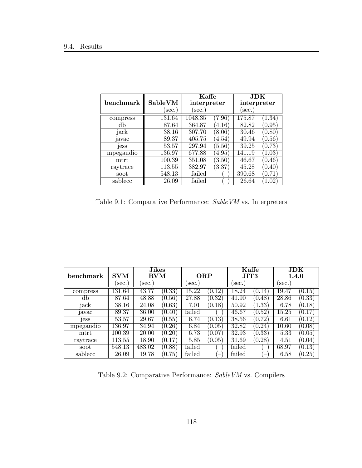|           |         | $\operatorname{Kaffe}$<br>interpreter |        | JDK         |        |
|-----------|---------|---------------------------------------|--------|-------------|--------|
| benchmark | SableVM |                                       |        | interpreter |        |
|           | sec.)   | sec.                                  |        | sec.        |        |
| compress  | 131.64  | 1048.35                               | 7.96)  | 175.87      | 1.34   |
| db        | 87.64   | 364.87                                | (4.16) | 82.82       | (0.95) |
| jack      | 38.16   | 307.70                                | (8.06) | 30.46       | (0.80) |
| javac     | 89.37   | 405.75                                | 4.54)  | 49.94       | (0.56) |
| jess      | 53.57   | 297.94                                | (5.56) | 39.25       | (0.73) |
| mpegaudio | 136.97  | 677.88                                | (4.95) | 141.19      | 1.03   |
| mtrt      | 100.39  | 351.08                                | (3.50) | 46.67       | 0.46   |
| raytrace  | 113.55  | 382.97                                | 3.37   | 45.28       | 0.40   |
| soot      | 548.13  | failed                                |        | 390.68      | 0.71   |
| sablecc   | 26.09   | failed                                |        | 26.64       |        |

Table 9.1: Comparative Performance: SableVM vs. Interpreters

| benchmark         | <b>SVM</b> | <b>Jikes</b><br>RVM |                     | <b>ORP</b> |                      | Kaffe<br>JIT3      |                          | JDK<br>1.4.0 |                      |
|-------------------|------------|---------------------|---------------------|------------|----------------------|--------------------|--------------------------|--------------|----------------------|
|                   | sec.       | sec.                |                     | sec.       |                      | sec.               |                          | sec.         |                      |
| compress          | 131.64     | 43.77               | [0.33]              | 15.22      | [0.12]               | 18.24              | $^{\prime}0.14^{\prime}$ | 19.47        | (0.15)               |
| db                | 87.64      | 48.88               | (0.56)              | 27.88      | (0.32)               | 41.90              | (0.48)                   | 28.86        | (0.33)               |
| jack              | 38.16      | 24.08               | (0.63)              | 7.01       | (0.18)               | 50.92              | 1.33                     | 6.78         | (0.18)               |
| <sub>1</sub> avac | 89.37      | 36.00               | $0.40^\circ$        | failed     |                      | 46.67              | (0.52)                   | 15.25        | (0.17)               |
| <sub>1</sub> ess  | 53.57      | 29.67               | (0.55)              | 6.74       | $\left( 0.13\right)$ | 38.56              | (0.72)                   | 6.61         | (0.12)               |
| mpegaudio         | 136.97     | 34.94               | (0.26)              | 6.84       | (0.05)               | $\overline{32.82}$ | (0.24)                   | 10.60        | (0.08)               |
| mtrt              | 100.39     | 20.00               | (0.20)              | 6.73       | $\left(0.07\right)$  | 32.93              | (0.33)                   | 5.33         | (0.05)               |
| raytrace          | 113.55     | 18.90               | (0.17)              | 5.85       | (0.05)               | 31.69              | (0.28)                   | 4.51         | (0.04)               |
| soot              | 548.13     | 483.02              | (0.88)              | failed     |                      | failed             |                          | 68.97        | (0.13)               |
| sablecc           | 26.09      | 19.78               | $\left(0.75\right)$ | failed     |                      | failed             |                          | 6.58         | $\left( 0.25\right)$ |

Table 9.2: Comparative Performance: SableVM vs. Compilers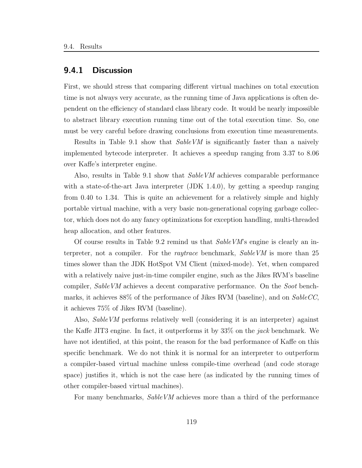#### 9.4.1 Discussion

First, we should stress that comparing different virtual machines on total execution time is not always very accurate, as the running time of Java applications is often dependent on the efficiency of standard class library code. It would be nearly impossible to abstract library execution running time out of the total execution time. So, one must be very careful before drawing conclusions from execution time measurements.

Results in Table 9.1 show that SableVM is significantly faster than a naively implemented bytecode interpreter. It achieves a speedup ranging from 3.37 to 8.06 over Kaffe's interpreter engine.

Also, results in Table 9.1 show that SableVM achieves comparable performance with a state-of-the-art Java interpreter (JDK 1.4.0), by getting a speedup ranging from 0.40 to 1.34. This is quite an achievement for a relatively simple and highly portable virtual machine, with a very basic non-generational copying garbage collector, which does not do any fancy optimizations for exception handling, multi-threaded heap allocation, and other features.

Of course results in Table 9.2 remind us that  $SableVM$ 's engine is clearly an interpreter, not a compiler. For the *raytrace* benchmark, SableVM is more than 25 times slower than the JDK HotSpot VM Client (mixed-mode). Yet, when compared with a relatively naive just-in-time compiler engine, such as the Jikes RVM's baseline compiler, SableVM achieves a decent comparative performance. On the Soot benchmarks, it achieves 88% of the performance of Jikes RVM (baseline), and on SableCC, it achieves 75% of Jikes RVM (baseline).

Also, SableVM performs relatively well (considering it is an interpreter) against the Kaffe JIT3 engine. In fact, it outperforms it by 33% on the jack benchmark. We have not identified, at this point, the reason for the bad performance of Kaffe on this specific benchmark. We do not think it is normal for an interpreter to outperform a compiler-based virtual machine unless compile-time overhead (and code storage space) justifies it, which is not the case here (as indicated by the running times of other compiler-based virtual machines).

For many benchmarks, SableVM achieves more than a third of the performance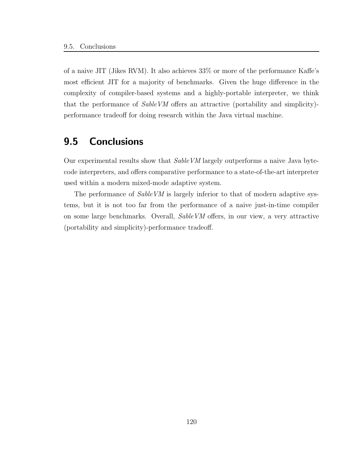of a naive JIT (Jikes RVM). It also achieves 33% or more of the performance Kaffe's most efficient JIT for a majority of benchmarks. Given the huge difference in the complexity of compiler-based systems and a highly-portable interpreter, we think that the performance of SableVM offers an attractive (portability and simplicity) performance tradeoff for doing research within the Java virtual machine.

# 9.5 Conclusions

Our experimental results show that SableVM largely outperforms a naive Java bytecode interpreters, and offers comparative performance to a state-of-the-art interpreter used within a modern mixed-mode adaptive system.

The performance of SableVM is largely inferior to that of modern adaptive systems, but it is not too far from the performance of a naive just-in-time compiler on some large benchmarks. Overall, SableVM offers, in our view, a very attractive (portability and simplicity)-performance tradeoff.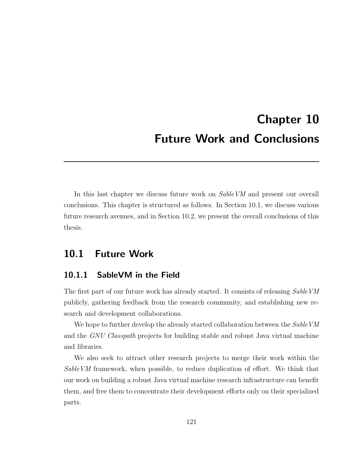# Chapter 10 Future Work and Conclusions

In this last chapter we discuss future work on  $SableVM$  and present our overall conclusions. This chapter is structured as follows. In Section 10.1, we discuss various future research avenues, and in Section 10.2, we present the overall conclusions of this thesis.

## 10.1 Future Work

## 10.1.1 SableVM in the Field

The first part of our future work has already started. It consists of releasing SableVM publicly, gathering feedback from the research community, and establishing new research and development collaborations.

We hope to further develop the already started collaboration between the SableVM and the GNU Classpath projects for building stable and robust Java virtual machine and libraries.

We also seek to attract other research projects to merge their work within the SableVM framework, when possible, to reduce duplication of effort. We think that our work on building a robust Java virtual machine research infrastructure can benefit them, and free them to concentrate their development efforts only on their specialized parts.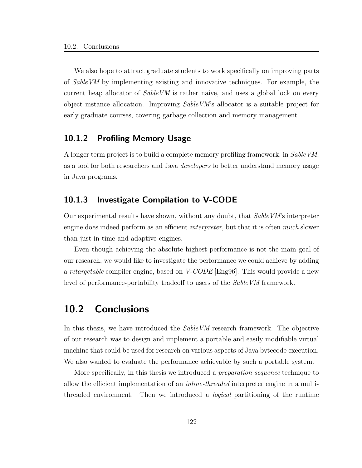We also hope to attract graduate students to work specifically on improving parts of SableVM by implementing existing and innovative techniques. For example, the current heap allocator of SableVM is rather naive, and uses a global lock on every object instance allocation. Improving SableVM's allocator is a suitable project for early graduate courses, covering garbage collection and memory management.

### 10.1.2 Profiling Memory Usage

A longer term project is to build a complete memory profiling framework, in SableVM, as a tool for both researchers and Java developers to better understand memory usage in Java programs.

## 10.1.3 Investigate Compilation to V-CODE

Our experimental results have shown, without any doubt, that SableVM's interpreter engine does indeed perform as an efficient *interpreter*, but that it is often *much* slower than just-in-time and adaptive engines.

Even though achieving the absolute highest performance is not the main goal of our research, we would like to investigate the performance we could achieve by adding a *retargetable* compiler engine, based on  $V\text{-}CODE$  [Eng96]. This would provide a new level of performance-portability tradeoff to users of the SableVM framework.

# 10.2 Conclusions

In this thesis, we have introduced the *SableVM* research framework. The objective of our research was to design and implement a portable and easily modifiable virtual machine that could be used for research on various aspects of Java bytecode execution. We also wanted to evaluate the performance achievable by such a portable system.

More specifically, in this thesis we introduced a *preparation sequence* technique to allow the efficient implementation of an inline-threaded interpreter engine in a multithreaded environment. Then we introduced a logical partitioning of the runtime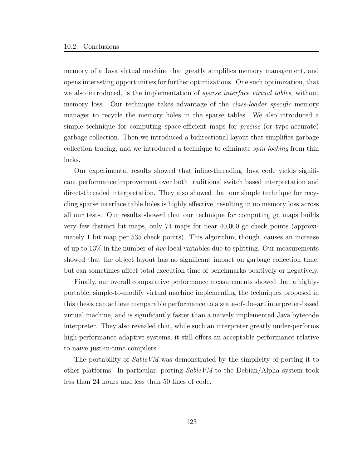memory of a Java virtual machine that greatly simplifies memory management, and opens interesting opportunities for further optimizations. One such optimization, that we also introduced, is the implementation of *sparse interface virtual tables*, without memory loss. Our technique takes advantage of the *class-loader specific* memory manager to recycle the memory holes in the sparse tables. We also introduced a simple technique for computing space-efficient maps for precise (or type-accurate) garbage collection. Then we introduced a bidirectional layout that simplifies garbage collection tracing, and we introduced a technique to eliminate spin locking from thin locks.

Our experimental results showed that inline-threading Java code yields significant performance improvement over both traditional switch based interpretation and direct-threaded interpretation. They also showed that our simple technique for recycling sparse interface table holes is highly effective, resulting in no memory loss across all our tests. Our results showed that our technique for computing gc maps builds very few distinct bit maps, only 74 maps for near 40,000 gc check points (approximately 1 bit map per 535 check points). This algorithm, though, causes an increase of up to  $13\%$  in the number of *live* local variables due to splitting. Our measurements showed that the object layout has no significant impact on garbage collection time, but can sometimes affect total execution time of benchmarks positively or negatively.

Finally, our overall comparative performance measurements showed that a highlyportable, simple-to-modify virtual machine implementing the techniques proposed in this thesis can achieve comparable performance to a state-of-the-art interpreter-based virtual machine, and is significantly faster than a naively implemented Java bytecode interpreter. They also revealed that, while such an interpreter greatly under-performs high-performance adaptive systems, it still offers an acceptable performance relative to naive just-in-time compilers.

The portability of *SableVM* was demonstrated by the simplicity of porting it to other platforms. In particular, porting SableVM to the Debian/Alpha system took less than 24 hours and less than 50 lines of code.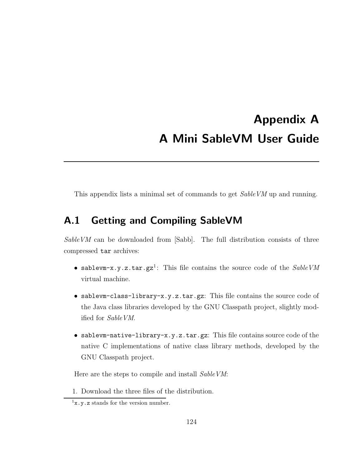# Appendix A A Mini SableVM User Guide

This appendix lists a minimal set of commands to get Sable VM up and running.

# A.1 Getting and Compiling SableVM

SableVM can be downloaded from [Sabb]. The full distribution consists of three compressed tar archives:

- sablevm-x.y.z.tar.gz<sup>1</sup>: This file contains the source code of the  $SableVM$ virtual machine.
- sablevm-class-library-x.y.z.tar.gz: This file contains the source code of the Java class libraries developed by the GNU Classpath project, slightly modified for SableVM.
- sablevm-native-library-x.y.z.tar.gz: This file contains source code of the native C implementations of native class library methods, developed by the GNU Classpath project.

Here are the steps to compile and install SableVM:

1. Download the three files of the distribution.

 $1x.y.z$  stands for the version number.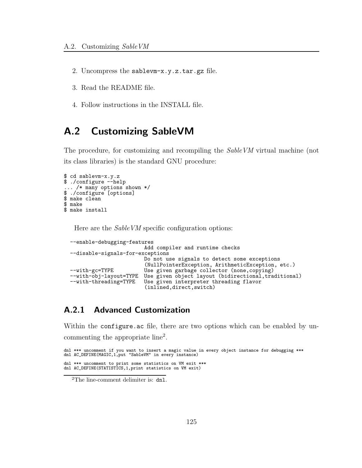- 2. Uncompress the sablevm-x.y.z.tar.gz file.
- 3. Read the README file.
- 4. Follow instructions in the INSTALL file.

# A.2 Customizing SableVM

The procedure, for customizing and recompiling the SableVM virtual machine (not its class libraries) is the standard GNU procedure:

```
$ cd sablevm-x.y.z
$ ./configure --help
... /* many options shown */
$ ./configure [options]
$ make clean
$ make
$ make install
```
Here are the SableVM specific configuration options:

```
--enable-debugging-features
                           Add compiler and runtime checks
--disable-signals-for-exceptions
                           Do not use signals to detect some exceptions
                            (NullPointerException, ArithmeticException, etc.)
--with-gc=TYPE Use given garbage collector (none,copying)
--with-obj-layout=TYPE Use given object layout (bidirectional, traditional)<br>--with-threading=TYPE Use given interpreter threading flavor
                           Use given interpreter threading flavor
                           (inlined,direct,switch)
```
## A.2.1 Advanced Customization

Within the configure.ac file, there are two options which can be enabled by uncommenting the appropriate line<sup>2</sup>.

```
dnl *** uncomment if you want to insert a magic value in every object instance for debugging ***
dnl AC_DEFINE(MAGIC,1,put "SableVM" in every instance)
dnl *** uncomment to print some statistics on VM exit ***
dnl AC_DEFINE(STATISTICS,1,print statistics on VM exit)
```
<sup>2</sup>The line-comment delimiter is: dnl.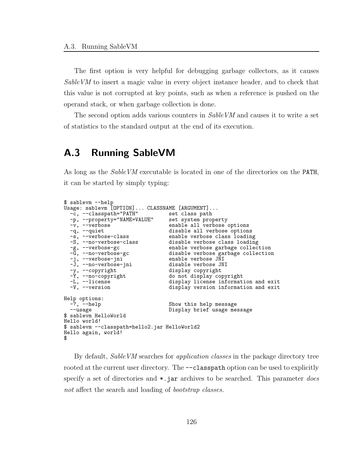The first option is very helpful for debugging garbage collectors, as it causes SableVM to insert a magic value in every object instance header, and to check that this value is not corrupted at key points, such as when a reference is pushed on the operand stack, or when garbage collection is done.

The second option adds various counters in SableVM and causes it to write a set of statistics to the standard output at the end of its execution.

# A.3 Running SableVM

As long as the SableVM executable is located in one of the directories on the PATH, it can be started by simply typing:

```
$ sablevm --help
Usage: sablevm [OPTION]... CLASSNAME [ARGUMENT]...<br>-c, --classpath="PATH" set class path
   -c, --classpath="PATH"
  -p, --property="NAME=VALUE" set system property<br>-v, --verbose enable all verbose
  -v, --verbose enable all verbose options<br>
-q, --quiet disable all verbose option<br>
-s, --verbose-class enable verbose class loadi
                                             disable all verbose options
  -s, --verbose-class enable verbose class loading<br>-S, --no-verbose-class disable verbose class loadin
  -S, --no-verbose-class disable verbose class loading<br>-g, --verbose-gc enable verbose garbage collec
  -g, --verbose-gc enable verbose garbage collection
                                             disable verbose garbage collection<br>enable verbose JNI
   -j, --verbose-jni i enable verbose JNI
   -J, --no-verbose-jni disable verbose JNI
  -y, --copyright display copyright<br>-Y, --no-copyright do not display copyright
  -Y, --no-copyright do not display copyright<br>-L, --license display license informat<br>-V, --version display version informat
                                              display license information and exit
                                             display version information and exit
Help options:<br>-?, -\text{help}Show this help message
  --usage Display brief usage message
$ sablevm HelloWorld
Hello world!
$ sablevm --classpath=hello2.jar HelloWorld2
Hello again, world!
$
```
By default, SableVM searches for application classes in the package directory tree rooted at the current user directory. The  $--$ classpath option can be used to explicitly specify a set of directories and  $\ast$ , jar archives to be searched. This parameter *does* not affect the search and loading of *bootstrap classes*.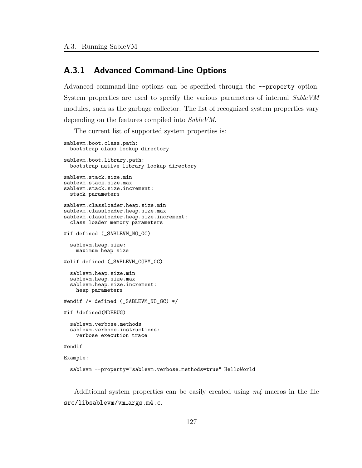## A.3.1 Advanced Command-Line Options

Advanced command-line options can be specified through the --property option. System properties are used to specify the various parameters of internal SableVM modules, such as the garbage collector. The list of recognized system properties vary depending on the features compiled into SableVM.

The current list of supported system properties is:

```
sablevm.boot.class.path:
  bootstrap class lookup directory
sablevm.boot.library.path:
  bootstrap native library lookup directory
sablevm.stack.size.min
sablevm.stack.size.max
sablevm.stack.size.increment:
  stack parameters
sablevm.classloader.heap.size.min
sablevm.classloader.heap.size.max
sablevm.classloader.heap.size.increment:
  class loader memory parameters
#if defined (_SABLEVM_NO_GC)
  sablevm.heap.size:
   maximum heap size
#elif defined (_SABLEVM_COPY_GC)
  sablevm.heap.size.min
  sablevm.heap.size.max
  sablevm.heap.size.increment:
    heap parameters
#endif /* defined (_SABLEVM_NO_GC) */
#if !defined(NDEBUG)
  sablevm.verbose.methods
  sablevm.verbose.instructions:
    verbose execution trace
#endif
Example:
  sablevm --property="sablevm.verbose.methods=true" HelloWorld
```
Additional system properties can be easily created using  $m<sub>4</sub>$  macros in the file src/libsablevm/vm args.m4.c.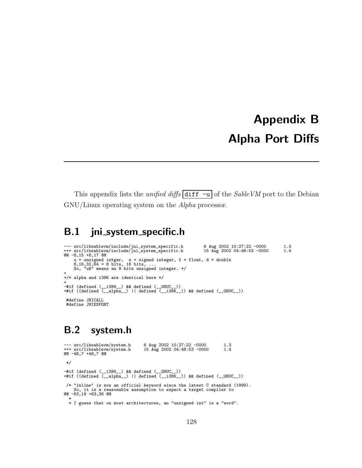# Appendix B Alpha Port Diffs

This appendix lists the unified diffs diff  $-u$  of the SableVM port to the Debian GNU/Linux operating system on the Alpha processor.

## B.1 jni\_system\_specific.h

```
--- src/libsablevm/include/jni_system_specific.h 6 Aug 2002 10:27:22 -0000 1.3
+++ src/libsablevm/include/jni_system_specific.h 15 Aug 2002 04:48:53 -0000 1.4
@@ -8,15 +8,17 @@
       u = unsigned intger, s = signed integer, f = float, d = double
8,16,32,64 = 8 bits, 16 bits, ...
So, "u8" means an 8 bits unsigned integer. */
+
+/* alpha and i386 are identical here */
+
-#if (defined (__i386__) && defined (__GNUC__))
+#if ((defined (__alpha__) || defined (__i386__)) && defined (__GNUC__))
 #define JNICALL
 #define JNIEXPORT
```
# B.2 system.h

```
--- src/libsablevm/system.h 6 Aug 2002 10:27:22 -0000 1.3<br>+-+ src/libsablevm/system.h 15 Aug 2002 04:48:53 -0000 1.4
+++ src/libsablevm/system.h
@@ -48,7 +48,7 @@
 */
-#if (defined (__i386__) && defined (__GNUC__))
+#if ((defined (__alpha__) || defined (__i386__)) && defined (__GNUC__))
 /* "inline" is now an official keyword since the latest C standard (1999).
So, it is a reasonable assumption to expect a target compiler to
@@ -63,19 +63,36 @@
   *
* I guess that on most architectures, an "unsigned int" is a "word".
```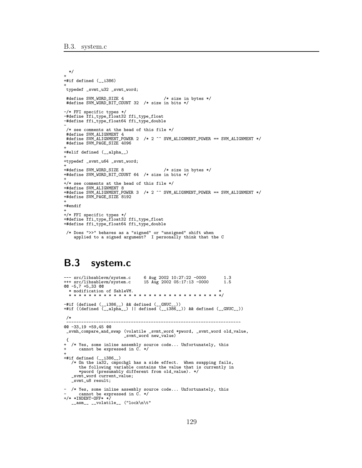```
*/
+
+#if defined (__i386)
+
typedef _svmt_u32 _svmt_word;
#define SVM_WORD_SIZE 4 /* size in bytes */
#define SVM_WORD_BIT_COUNT 32 /* size in bits */
-/* FFI specific types */
-#define ffi_type_float32 ffi_type_float
-#define ffi_type_float64 ffi_type_double
-
 /* see comments at the head of this file */
 #define SVM_ALIGNMENT 4
 #define SVM_ALIGNMENT_POWER 2 /* 2 ^^ SVM_ALIGNMENT_POWER == SVM_ALIGNMENT */
 #define SVM_PAGE_SIZE 4096
+
+#elif defined (__alpha__)
+
+typedef _svmt_u64 _svmt_word;
+
+#define SVM_WORD_SIZE 8 /* size in bytes */
+#define SVM_WORD_BIT_COUNT 64 /* size in bits */
+
+/* see comments at the head of this file */
+#define SVM_ALIGNMENT 8
+#define SVM_ALIGNMENT_POWER 3 /* 2 ^^ SVM_ALIGNMENT_POWER == SVM_ALIGNMENT */
+#define SVM_PAGE_SIZE 8192
+
+#endif
+
+/* FFI specific types */
+#define ffi_type_float32 ffi_type_float
+#define ffi_type_float64 ffi_type_double
 /* Does ">>" behaves as a "signed" or "unsigned" shift when
    applied to a signed argument? I personally think that the C
```
## B.3 system.c

```
--- src/libsablevm/system.c 6 Aug 2002 10:27:22 -0000 1.3
                                          15 Aug 2002 05:17:13 -0000
@@ -5,7 +5,33 @@
  * modification of SableVM. *
  * * * * * * * * * * * * * * * * * * * * * * * * * * * * * * */
-#if (defined (__i386__) && defined (__GNUC__))
+#if ((defined (__alpha__) || defined (__i386__)) && defined (__GNUC__))
 /*
 ----------------------------------------------------------------------
@@ -33,19 +59,45 @@
 _svmh_compare_and_swap (volatile _svmt_word *pword, _svmt_word old_value,
_svmt_word new_value)
 {
+ /* Yes, some inline assembly source code... Unfortunately, this
+ cannot be expressed in C. */
+
+#if defined (__i386__)
    /* On the ia32, cmpxchgl has a side effect. When swapping fails,
the following variable contains the value that is currently in
*pword (presumably different from old_value). */
_svmt_word current_value;
    _svmt_u8 result;
- /* Yes, some inline assembly source code... Unfortunately, this
- cannot be expressed in C. */
+/* *INDENT-OFF* */
    \frac{1}{2}_asm__ __volatile__ ("lock\n\t"
```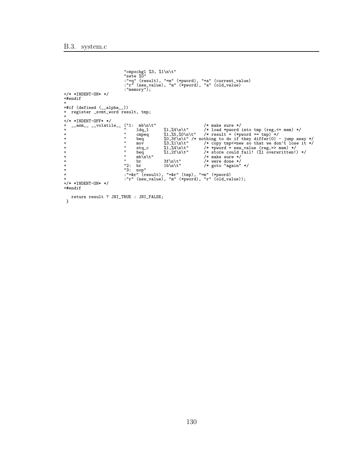```
"cmpxchgl %3, %1\n\t"
"sete %0"
:"=q" (result), "=m" (*pword), "=a" (current_value)
:"r" (new_value), "m" (*pword), "a" (old_value)
:"memory");
+/* *INDENT-ON* */
+#endif
 +
+#if (defined (__alpha__))
+ register _svmt_word result, tmp;
 +
+/* *INDENT-OFF* */
+ \frac{1}{r} \frac{1}{r} \frac{1}{r} \frac{1}{r} \frac{1}{r} \frac{1}{r} \frac{1}{r} \frac{1}{r} \frac{1}{r} \frac{1}{r} \frac{1}{r} \frac{1}{r} \frac{1}{r} \frac{1}{r} \frac{1}{r} \frac{1}{r} \frac{1}{r} \frac{1}{r} \frac{1}{r} \frac{1}{r} \frac{1}{r} \frac{1}{r}* 1dq_1 %1,%4\n\t" /* load *pword into tmp (reg, <= mem) */<br>
* mpeq %1,%5,%0\n\t" /* result = (*pword == tmp) */<br>
* mpeq %0,3f\n\t" /* nothing to do if they differ (0) - jump away */<br>
* mov %3,%1\n\t" /* copy tmps =new so 
+ " beq %0,3f\n\t" /* nothing to do if they differ(0) - jump away */<br>
" mov %3,%1\n\t" /* copy tmps<=new so that we don't lose it */<br>
" stq_c %1,%4\n\t" /* *pword = new_value (reg,=> mem) */<br>
" beq %1,%4\n\t" /* store coul
 +<br>
+ "2: br 1b\n\t" /* were done */<br>
+ "3: nop"<br>
: "=&r" (result), "=&r" (tmp), "=m" (*pword)<br>
+ : "r" (new_value), "m" (*pword), "r" (old_value));
+/* *INDENT-ON* */
+#endif
   return result ? JNI_TRUE : JNI_FALSE;
}
```

```
130
```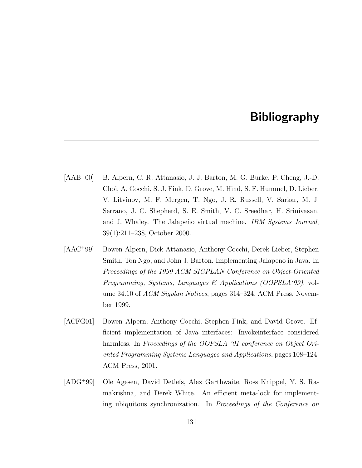## Bibliography

- [AAB<sup>+</sup>00] B. Alpern, C. R. Attanasio, J. J. Barton, M. G. Burke, P. Cheng, J.-D. Choi, A. Cocchi, S. J. Fink, D. Grove, M. Hind, S. F. Hummel, D. Lieber, V. Litvinov, M. F. Mergen, T. Ngo, J. R. Russell, V. Sarkar, M. J. Serrano, J. C. Shepherd, S. E. Smith, V. C. Sreedhar, H. Srinivasan, and J. Whaley. The Jalapeno virtual machine. IBM Systems Journal, 39(1):211–238, October 2000.
- $[AAC+99]$ <sup>+</sup>99] Bowen Alpern, Dick Attanasio, Anthony Cocchi, Derek Lieber, Stephen Smith, Ton Ngo, and John J. Barton. Implementing Jalapeno in Java. In Proceedings of the 1999 ACM SIGPLAN Conference on Object-Oriented Programming, Systems, Languages & Applications (OOPSLA'99), volume 34.10 of *ACM Sigplan Notices*, pages 314–324. ACM Press, November 1999.
- [ACFG01] Bowen Alpern, Anthony Cocchi, Stephen Fink, and David Grove. Efficient implementation of Java interfaces: Invokeinterface considered harmless. In Proceedings of the OOPSLA '01 conference on Object Oriented Programming Systems Languages and Applications, pages 108–124. ACM Press, 2001.
- [ADG<sup>+</sup>99] Ole Agesen, David Detlefs, Alex Garthwaite, Ross Knippel, Y. S. Ramakrishna, and Derek White. An efficient meta-lock for implementing ubiquitous synchronization. In Proceedings of the Conference on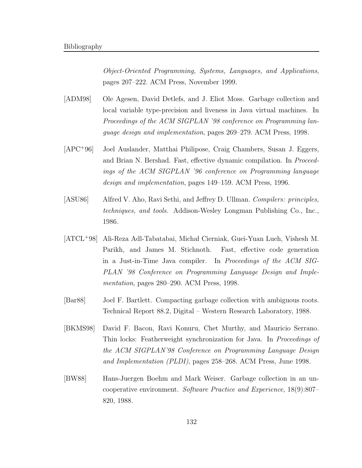Object-Oriented Programming, Systems, Languages, and Applications, pages 207–222. ACM Press, November 1999.

- [ADM98] Ole Agesen, David Detlefs, and J. Eliot Moss. Garbage collection and local variable type-precision and liveness in Java virtual machines. In Proceedings of the ACM SIGPLAN '98 conference on Programming language design and implementation, pages 269–279. ACM Press, 1998.
- [APC<sup>+</sup>96] Joel Auslander, Matthai Philipose, Craig Chambers, Susan J. Eggers, and Brian N. Bershad. Fast, effective dynamic compilation. In Proceedings of the ACM SIGPLAN '96 conference on Programming language design and implementation, pages 149–159. ACM Press, 1996.
- [ASU86] Alfred V. Aho, Ravi Sethi, and Jeffrey D. Ullman. Compilers: principles, techniques, and tools. Addison-Wesley Longman Publishing Co., Inc., 1986.
- [ATCL<sup>+</sup>98] Ali-Reza Adl-Tabatabai, Micha l Cierniak, Guei-Yuan Lueh, Vishesh M. Parikh, and James M. Stichnoth. Fast, effective code generation in a Just-in-Time Java compiler. In Proceedings of the ACM SIG-PLAN '98 Conference on Programming Language Design and Implementation, pages 280–290. ACM Press, 1998.
- [Bar88] Joel F. Bartlett. Compacting garbage collection with ambiguous roots. Technical Report 88.2, Digital – Western Research Laboratory, 1988.
- [BKMS98] David F. Bacon, Ravi Konuru, Chet Murthy, and Mauricio Serrano. Thin locks: Featherweight synchronization for Java. In Proceedings of the ACM SIGPLAN'98 Conference on Programming Language Design and Implementation (PLDI), pages 258–268. ACM Press, June 1998.
- [BW88] Hans-Juergen Boehm and Mark Weiser. Garbage collection in an uncooperative environment. Software Practice and Experience, 18(9):807– 820, 1988.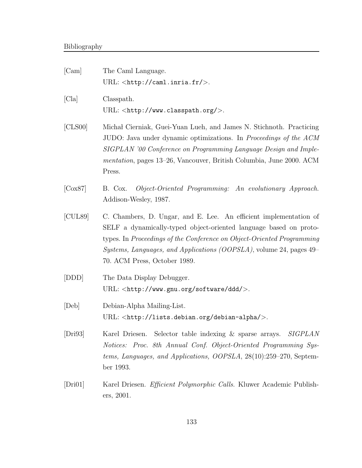| [Cam]                 | The Caml Language.<br>URL: $\langle$ http://caml.inria.fr/>.                                                                                                                                                                                                                                                                    |
|-----------------------|---------------------------------------------------------------------------------------------------------------------------------------------------------------------------------------------------------------------------------------------------------------------------------------------------------------------------------|
| [Cla]                 | Classpath.<br>URL: $\langle$ http://www.classpath.org/ $>$ .                                                                                                                                                                                                                                                                    |
| [CLS00]               | Michał Cierniak, Guei-Yuan Lueh, and James N. Stichnoth. Practicing<br>JUDO: Java under dynamic optimizations. In <i>Proceedings of the ACM</i><br>SIGPLAN '00 Conference on Programming Language Design and Imple-<br>mentation, pages 13–26, Vancouver, British Columbia, June 2000. ACM<br>Press.                            |
| $[Cox87]$             | Object-Oriented Programming: An evolutionary Approach.<br>B. Cox.<br>Addison-Wesley, 1987.                                                                                                                                                                                                                                      |
| [CUL89]               | C. Chambers, D. Ungar, and E. Lee. An efficient implementation of<br>SELF a dynamically-typed object-oriented language based on proto-<br>types. In Proceedings of the Conference on Object-Oriented Programming<br><i>Systems, Languages, and Applications (OOPSLA)</i> , volume 24, pages 49–<br>70. ACM Press, October 1989. |
| [DDD]                 | The Data Display Debugger.<br>URL: <http: ddd="" software="" www.gnu.org=""></http:> .                                                                                                                                                                                                                                          |
| [Deb]                 | Debian-Alpha Mailing-List.<br>URL: <http: debian-alpha="" lists.debian.org=""></http:> .                                                                                                                                                                                                                                        |
| [ $Dri93$ ]           | Selector table indexing $\&$ sparse arrays.<br><b>SIGPLAN</b><br>Karel Driesen.<br>Notices: Proc. 8th Annual Conf. Object-Oriented Programming Sys-<br>tems, Languages, and Applications, OOPSLA, 28(10):259–270, Septem-<br>ber 1993.                                                                                          |
| $\vert$ Dri01 $\vert$ | Karel Driesen. Efficient Polymorphic Calls. Kluwer Academic Publish-                                                                                                                                                                                                                                                            |

ers, 2001.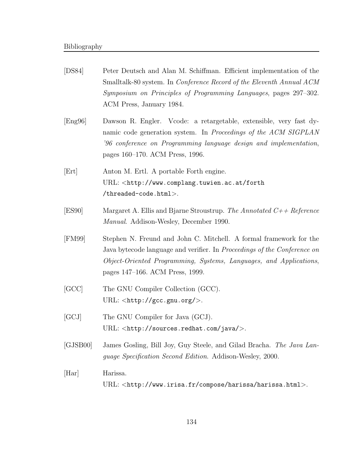| [DS84]   | Peter Deutsch and Alan M. Schiffman. Efficient implementation of the<br>Smalltalk-80 system. In <i>Conference Record of the Eleventh Annual ACM</i><br>Symposium on Principles of Programming Languages, pages 297–302.<br>ACM Press, January 1984.            |
|----------|----------------------------------------------------------------------------------------------------------------------------------------------------------------------------------------------------------------------------------------------------------------|
| [Eng 96] | Dawson R. Engler. Vcode: a retargetable, extensible, very fast dy-<br>namic code generation system. In Proceedings of the ACM SIGPLAN<br>'96 conference on Programming language design and implementation,<br>pages 160–170. ACM Press, 1996.                  |
| [Ert]    | Anton M. Ertl. A portable Forth engine.<br>URL: <http: forth<br="" www.complang.tuwien.ac.at=""><math>\mathsf{/threaded-code.html&gt;}</math>.</http:>                                                                                                         |
| [ES90]   | Margaret A. Ellis and Bjarne Stroustrup. The Annotated $C_{+}+$ Reference<br><i>Manual.</i> Addison-Wesley, December 1990.                                                                                                                                     |
| [FM99]   | Stephen N. Freund and John C. Mitchell. A formal framework for the<br>Java bytecode language and verifier. In <i>Proceedings of the Conference on</i><br>Object-Oriented Programming, Systems, Languages, and Applications,<br>pages 147–166. ACM Press, 1999. |
| [GCC]    | The GNU Compiler Collection (GCC).<br>URL: $\langle$ http://gcc.gnu.org/>.                                                                                                                                                                                     |
| [GCJ]    | The GNU Compiler for Java (GCJ).<br>$URL: .$                                                                                                                                                                                                                   |
| [GJSB00] | James Gosling, Bill Joy, Guy Steele, and Gilad Bracha. The Java Lan-<br>guage Specification Second Edition. Addison-Wesley, 2000.                                                                                                                              |
| [Har]    | Harissa.<br>$URL: $ .                                                                                                                                                                                                                                          |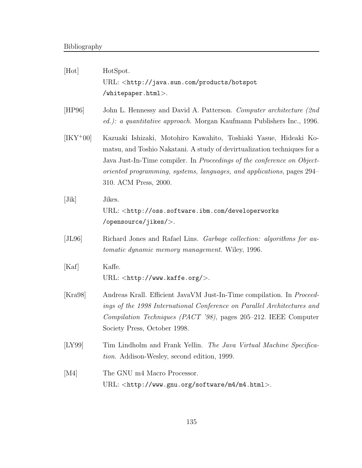| [Hot]          | HotSpot.<br>URL: <http: hotspot<br="" java.sun.com="" products="">/whitepaper.html&gt;.</http:>                                                                                                                                                                                                                                    |
|----------------|------------------------------------------------------------------------------------------------------------------------------------------------------------------------------------------------------------------------------------------------------------------------------------------------------------------------------------|
| [HP96]         | John L. Hennessy and David A. Patterson. Computer architecture (2nd)<br>ed.): a quantitative approach. Morgan Kaufmann Publishers Inc., 1996.                                                                                                                                                                                      |
| $[IKY^+00]$    | Kazuaki Ishizaki, Motohiro Kawahito, Toshiaki Yasue, Hideaki Ko-<br>matsu, and Toshio Nakatani. A study of devirtualization techniques for a<br>Java Just-In-Time compiler. In <i>Proceedings of the conference on Object</i> -<br>oriented programming, systems, languages, and applications, pages 294–<br>310. ACM Press, 2000. |
| $[\text{Jik}]$ | Jikes.<br>URL: <http: developerworks<br="" oss.software.ibm.com="">/opensource/jikes/&gt;.</http:>                                                                                                                                                                                                                                 |
| [JL96]         | Richard Jones and Rafael Lins. <i>Garbage collection: algorithms for au-</i><br><i>tomatic dynamic memory management.</i> Wiley, 1996.                                                                                                                                                                                             |
| [Kaf]          | Kaffe.<br>$URL: <$ http://www.kaffe.org/>.                                                                                                                                                                                                                                                                                         |
| [Kra98]        | Andreas Krall. Efficient JavaVM Just-In-Time compilation. In <i>Proceed</i> -<br>ings of the 1998 International Conference on Parallel Architectures and<br>Compilation Techniques (PACT '98), pages 205-212. IEEE Computer<br>Society Press, October 1998.                                                                        |
| [LY99]         | Tim Lindholm and Frank Yellin. The Java Virtual Machine Specifica-<br><i>tion.</i> Addison-Wesley, second edition, 1999.                                                                                                                                                                                                           |
| [M4]           | The GNU m4 Macro Processor.<br>$\textsc{URL}: \texttt{}.$                                                                                                                                                                                                                                                                          |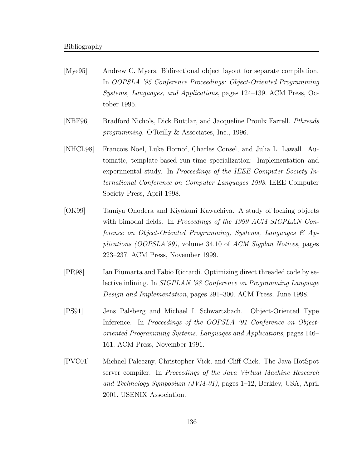- [Mye95] Andrew C. Myers. Bidirectional object layout for separate compilation. In OOPSLA '95 Conference Proceedings: Object-Oriented Programming Systems, Languages, and Applications, pages 124–139. ACM Press, October 1995.
- [NBF96] Bradford Nichols, Dick Buttlar, and Jacqueline Proulx Farrell. Pthreads programming. O'Reilly & Associates, Inc., 1996.
- [NHCL98] Francois Noel, Luke Hornof, Charles Consel, and Julia L. Lawall. Automatic, template-based run-time specialization: Implementation and experimental study. In Proceedings of the IEEE Computer Society International Conference on Computer Languages 1998. IEEE Computer Society Press, April 1998.
- [OK99] Tamiya Onodera and Kiyokuni Kawachiya. A study of locking objects with bimodal fields. In Proceedings of the 1999 ACM SIGPLAN Conference on Object-Oriented Programming, Systems, Languages & Applications (OOPSLA'99), volume 34.10 of ACM Sigplan Notices, pages 223–237. ACM Press, November 1999.
- [PR98] Ian Piumarta and Fabio Riccardi. Optimizing direct threaded code by selective inlining. In SIGPLAN '98 Conference on Programming Language Design and Implementation, pages 291–300. ACM Press, June 1998.
- [PS91] Jens Palsberg and Michael I. Schwartzbach. Object-Oriented Type Inference. In Proceedings of the OOPSLA '91 Conference on Objectoriented Programming Systems, Languages and Applications, pages 146– 161. ACM Press, November 1991.
- [PVC01] Michael Paleczny, Christopher Vick, and Cliff Click. The Java HotSpot server compiler. In Proceedings of the Java Virtual Machine Research and Technology Symposium (JVM-01), pages 1–12, Berkley, USA, April 2001. USENIX Association.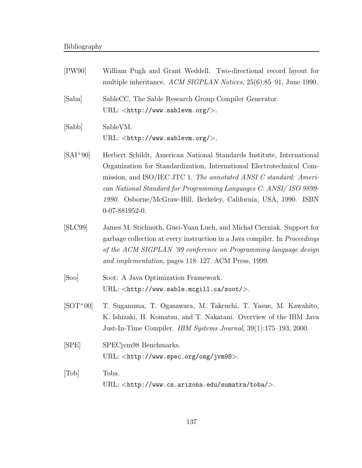| [PW90]        | William Pugh and Grant Weddell. Two-directional record layout for<br>multiple inheritance. ACM SIGPLAN Notices, 25(6):85-91, June 1990.                                                                                                                                                                                                                                           |
|---------------|-----------------------------------------------------------------------------------------------------------------------------------------------------------------------------------------------------------------------------------------------------------------------------------------------------------------------------------------------------------------------------------|
| [Saba]        | SableCC, The Sable Research Group Compiler Generator.<br>URL: <http: www.sablevm.org=""></http:> .                                                                                                                                                                                                                                                                                |
| [Sabb]        | SableVM.<br>URL: <http: www.sablevm.org=""></http:> .                                                                                                                                                                                                                                                                                                                             |
| $[SAI+90]$    | Herbert Schildt, American National Standards Institute, International<br>Organization for Standardization, International Electrotechnical Com-<br>mission, and ISO/IEC JTC 1. The annotated ANSI C standard: Ameri-<br>can National Standard for Programming Languages C: ANSI/ ISO 9899-<br>1990. Osborne/McGraw-Hill, Berkeley, California, USA, 1990. ISBN<br>$0-07-881952-0.$ |
| [SLC99]       | James M. Stichnoth, Guei-Yuan Lueh, and Michal Cierniak. Support for<br>garbage collection at every instruction in a Java compiler. In <i>Proceedings</i><br>of the ACM SIGPLAN '99 conference on Programming language design<br>and implementation, pages 118–127. ACM Press, 1999.                                                                                              |
| [Soo]         | Soot: A Java Optimization Framework.<br>$URL: .$                                                                                                                                                                                                                                                                                                                                  |
| $[SOT+00]$    | T. Suganuma, T. Ogasawara, M. Takeuchi, T. Yasue, M. Kawahito,<br>K. Ishizaki, H. Komatsu, and T. Nakatani. Overview of the IBM Java<br>Just-In-Time Compiler. IBM Systems Journal, 39(1):175–193, 2000.                                                                                                                                                                          |
| $[{\rm SPE}]$ | SPECjvm98 Benchmarks.<br>URL: <http: jvm98="" osg="" www.spec.org="">.</http:>                                                                                                                                                                                                                                                                                                    |
| [Tob]         | Toba.<br>URL: <http: sumatra="" toba="" www.cs.arizona.edu=""></http:> .                                                                                                                                                                                                                                                                                                          |